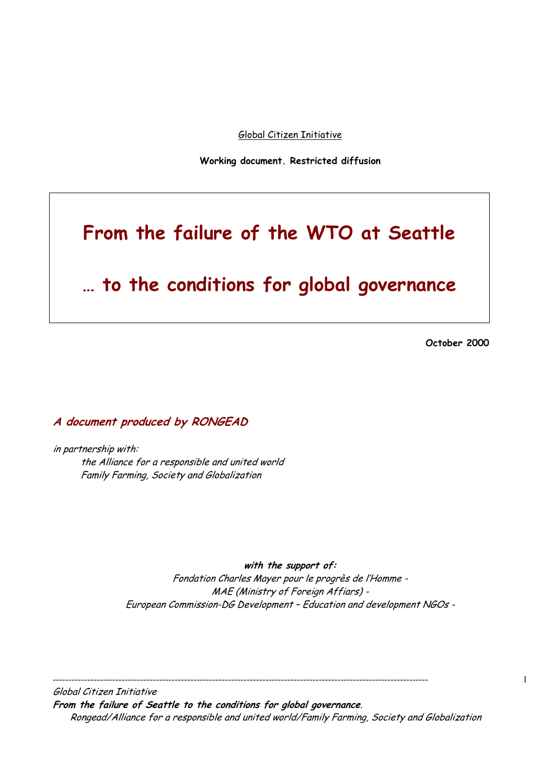Global Citizen Initiative

**Working document. Restricted diffusion** 

# **From the failure of the WTO at Seattle**

# **… to the conditions for global governance**

 **October 2000** 

**A document produced by RONGEAD** 

in partnership with: the Alliance for a responsible and united world Family Farming, Society and Globalization

**with the support of:** 

Fondation Charles Mayer pour le progrès de l'Homme - MAE (Ministry of Foreign Affiars) - European Commission-DG Development – Education and development NGOs -

------------------------------------------------------------------------------------------------------------------------

Global Citizen Initiative **From the failure of Seattle to the conditions for global governance**. Rongead/Alliance for a responsible and united world/Family Farming, Society and Globalization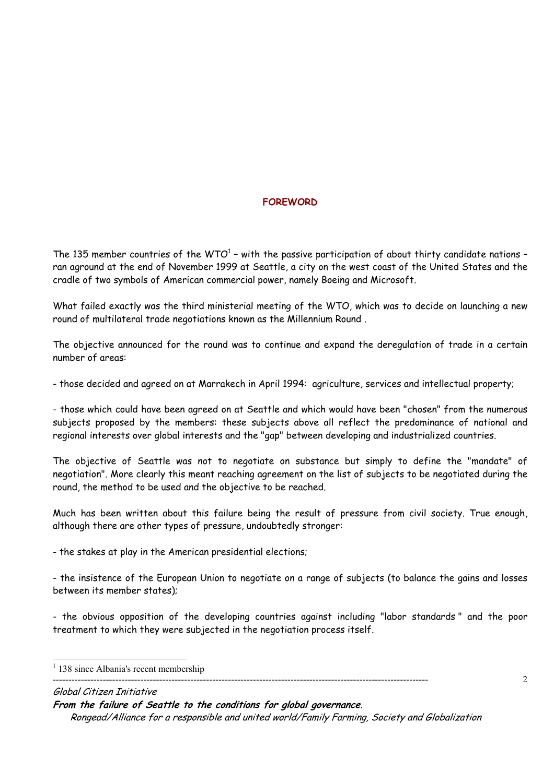# **FOREWORD**

The 135 member countries of the WTO $^{\rm 1}$  – with the passive participation of about thirty candidate nations – ran aground at the end of November 1999 at Seattle, a city on the west coast of the United States and the cradle of two symbols of American commercial power, namely Boeing and Microsoft.

What failed exactly was the third ministerial meeting of the WTO, which was to decide on launching a new round of multilateral trade negotiations known as the Millennium Round .

The objective announced for the round was to continue and expand the deregulation of trade in a certain number of areas:

- those decided and agreed on at Marrakech in April 1994: agriculture, services and intellectual property;

- those which could have been agreed on at Seattle and which would have been "chosen" from the numerous subjects proposed by the members: these subjects above all reflect the predominance of national and regional interests over global interests and the "gap" between developing and industrialized countries.

The objective of Seattle was not to negotiate on substance but simply to define the "mandate" of negotiation". More clearly this meant reaching agreement on the list of subjects to be negotiated during the round, the method to be used and the objective to be reached.

Much has been written about this failure being the result of pressure from civil society. True enough, although there are other types of pressure, undoubtedly stronger:

- the stakes at play in the American presidential elections;

- the insistence of the European Union to negotiate on a range of subjects (to balance the gains and losses between its member states);

- the obvious opposition of the developing countries against including "labor standards " and the poor treatment to which they were subjected in the negotiation process itself.

------------------------------------------------------------------------------------------------------------------------

 $\mathfrak{D}$ 

Global Citizen Initiative

**From the failure of Seattle to the conditions for global governance**.

<sup>&</sup>lt;sup>1</sup> 138 since Albania's recent membership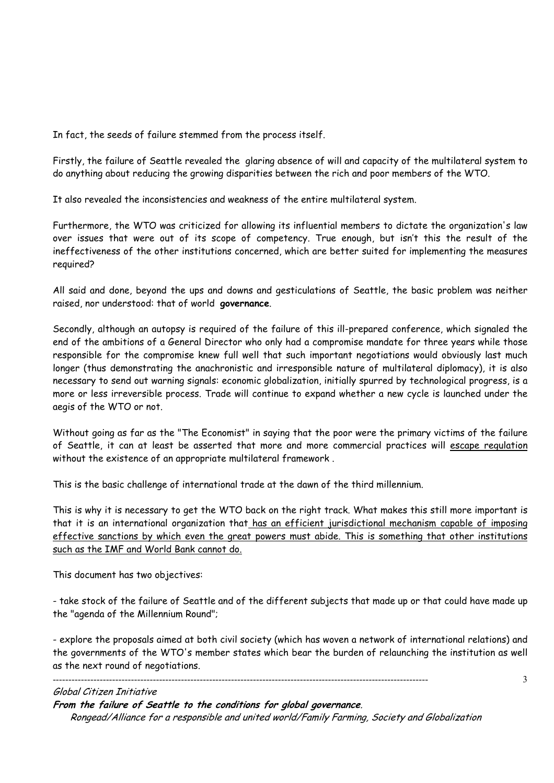In fact, the seeds of failure stemmed from the process itself.

Firstly, the failure of Seattle revealed the glaring absence of will and capacity of the multilateral system to do anything about reducing the growing disparities between the rich and poor members of the WTO.

It also revealed the inconsistencies and weakness of the entire multilateral system.

Furthermore, the WTO was criticized for allowing its influential members to dictate the organization's law over issues that were out of its scope of competency. True enough, but isn't this the result of the ineffectiveness of the other institutions concerned, which are better suited for implementing the measures required?

All said and done, beyond the ups and downs and gesticulations of Seattle, the basic problem was neither raised, nor understood: that of world **governance**.

Secondly, although an autopsy is required of the failure of this ill-prepared conference, which signaled the end of the ambitions of a General Director who only had a compromise mandate for three years while those responsible for the compromise knew full well that such important negotiations would obviously last much longer (thus demonstrating the anachronistic and irresponsible nature of multilateral diplomacy), it is also necessary to send out warning signals: economic globalization, initially spurred by technological progress, is a more or less irreversible process. Trade will continue to expand whether a new cycle is launched under the aegis of the WTO or not.

Without going as far as the "The Economist" in saying that the poor were the primary victims of the failure of Seattle, it can at least be asserted that more and more commercial practices will escape regulation without the existence of an appropriate multilateral framework .

This is the basic challenge of international trade at the dawn of the third millennium.

This is why it is necessary to get the WTO back on the right track. What makes this still more important is that it is an international organization that has an efficient jurisdictional mechanism capable of imposing effective sanctions by which even the great powers must abide. This is something that other institutions such as the IMF and World Bank cannot do.

This document has two objectives:

- take stock of the failure of Seattle and of the different subjects that made up or that could have made up the "agenda of the Millennium Round";

- explore the proposals aimed at both civil society (which has woven a network of international relations) and the governments of the WTO's member states which bear the burden of relaunching the institution as well as the next round of negotiations.

#### Global Citizen Initiative

**From the failure of Seattle to the conditions for global governance**.

------------------------------------------------------------------------------------------------------------------------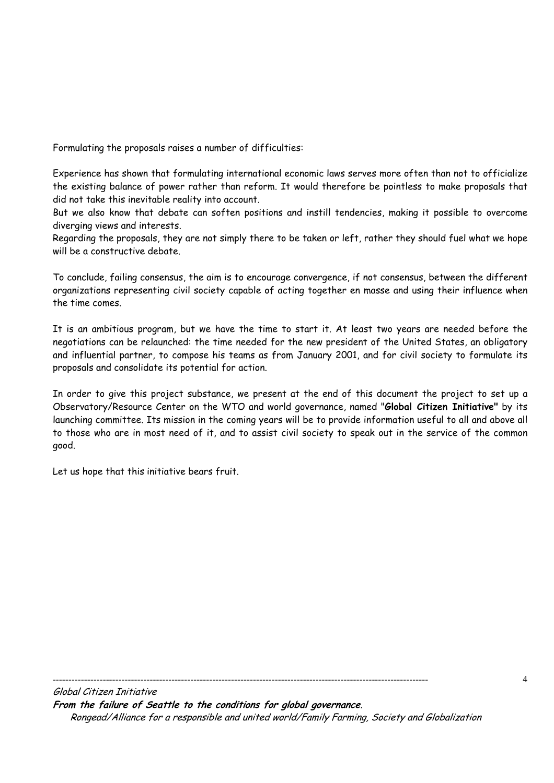Formulating the proposals raises a number of difficulties:

Experience has shown that formulating international economic laws serves more often than not to officialize the existing balance of power rather than reform. It would therefore be pointless to make proposals that did not take this inevitable reality into account.

But we also know that debate can soften positions and instill tendencies, making it possible to overcome diverging views and interests.

Regarding the proposals, they are not simply there to be taken or left, rather they should fuel what we hope will be a constructive debate.

To conclude, failing consensus, the aim is to encourage convergence, if not consensus, between the different organizations representing civil society capable of acting together en masse and using their influence when the time comes.

It is an ambitious program, but we have the time to start it. At least two years are needed before the negotiations can be relaunched: the time needed for the new president of the United States, an obligatory and influential partner, to compose his teams as from January 2001, and for civil society to formulate its proposals and consolidate its potential for action.

In order to give this project substance, we present at the end of this document the project to set up a Observatory/Resource Center on the WTO and world governance, named "**Global Citizen Initiative"** by its launching committee. Its mission in the coming years will be to provide information useful to all and above all to those who are in most need of it, and to assist civil society to speak out in the service of the common good.

Let us hope that this initiative bears fruit.

------------------------------------------------------------------------------------------------------------------------

Global Citizen Initiative **From the failure of Seattle to the conditions for global governance**. Rongead/Alliance for a responsible and united world/Family Farming, Society and Globalization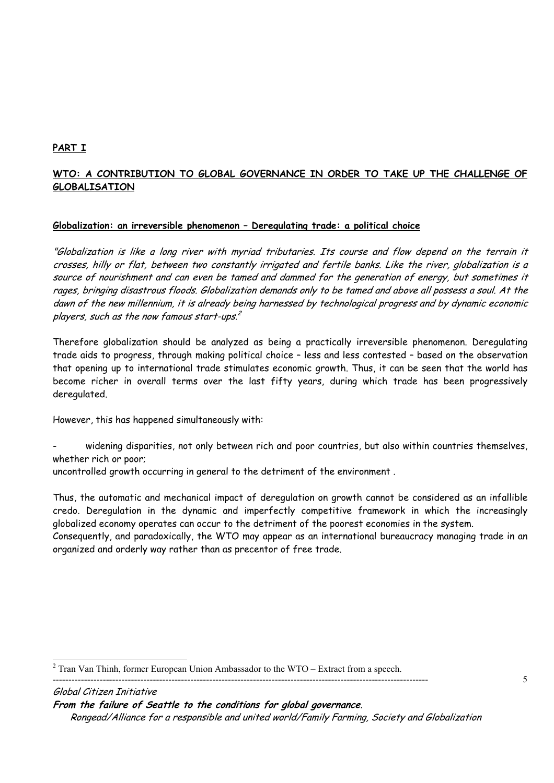# **PART I**

# **WTO: A CONTRIBUTION TO GLOBAL GOVERNANCE IN ORDER TO TAKE UP THE CHALLENGE OF GLOBALISATION**

# **Globalization: an irreversible phenomenon – Deregulating trade: a political choice**

"Globalization is like a long river with myriad tributaries. Its course and flow depend on the terrain it crosses, hilly or flat, between two constantly irrigated and fertile banks. Like the river, globalization is a source of nourishment and can even be tamed and dammed for the generation of energy, but sometimes it rages, bringing disastrous floods. Globalization demands only to be tamed and above all possess a soul. At the dawn of the new millennium, it is already being harnessed by technological progress and by dynamic economic players, such as the now famous start-ups.<sup>2</sup>

Therefore globalization should be analyzed as being a practically irreversible phenomenon. Deregulating trade aids to progress, through making political choice – less and less contested – based on the observation that opening up to international trade stimulates economic growth. Thus, it can be seen that the world has become richer in overall terms over the last fifty years, during which trade has been progressively deregulated.

However, this has happened simultaneously with:

widening disparities, not only between rich and poor countries, but also within countries themselves, whether rich or poor;

uncontrolled growth occurring in general to the detriment of the environment .

Thus, the automatic and mechanical impact of deregulation on growth cannot be considered as an infallible credo. Deregulation in the dynamic and imperfectly competitive framework in which the increasingly globalized economy operates can occur to the detriment of the poorest economies in the system.

Consequently, and paradoxically, the WTO may appear as an international bureaucracy managing trade in an organized and orderly way rather than as precentor of free trade.

5

 $\overline{a}$  $2$  Tran Van Thinh, former European Union Ambassador to the WTO – Extract from a speech.

**From the failure of Seattle to the conditions for global governance**.

Rongead/Alliance for a responsible and united world/Family Farming, Society and Globalization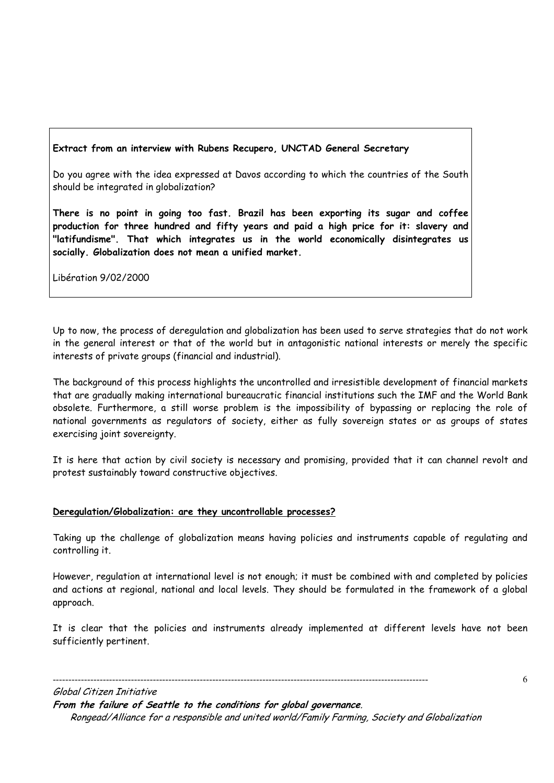# **Extract from an interview with Rubens Recupero, UNCTAD General Secretary**

Do you agree with the idea expressed at Davos according to which the countries of the South should be integrated in globalization?

**There is no point in going too fast. Brazil has been exporting its sugar and coffee production for three hundred and fifty years and paid a high price for it: slavery and "latifundisme". That which integrates us in the world economically disintegrates us socially. Globalization does not mean a unified market.** 

Libération 9/02/2000

Up to now, the process of deregulation and globalization has been used to serve strategies that do not work in the general interest or that of the world but in antagonistic national interests or merely the specific interests of private groups (financial and industrial).

The background of this process highlights the uncontrolled and irresistible development of financial markets that are gradually making international bureaucratic financial institutions such the IMF and the World Bank obsolete. Furthermore, a still worse problem is the impossibility of bypassing or replacing the role of national governments as regulators of society, either as fully sovereign states or as groups of states exercising joint sovereignty.

It is here that action by civil society is necessary and promising, provided that it can channel revolt and protest sustainably toward constructive objectives.

#### **Deregulation/Globalization: are they uncontrollable processes?**

Taking up the challenge of globalization means having policies and instruments capable of regulating and controlling it.

However, regulation at international level is not enough; it must be combined with and completed by policies and actions at regional, national and local levels. They should be formulated in the framework of a global approach.

It is clear that the policies and instruments already implemented at different levels have not been sufficiently pertinent.

Global Citizen Initiative **From the failure of Seattle to the conditions for global governance**. Rongead/Alliance for a responsible and united world/Family Farming, Society and Globalization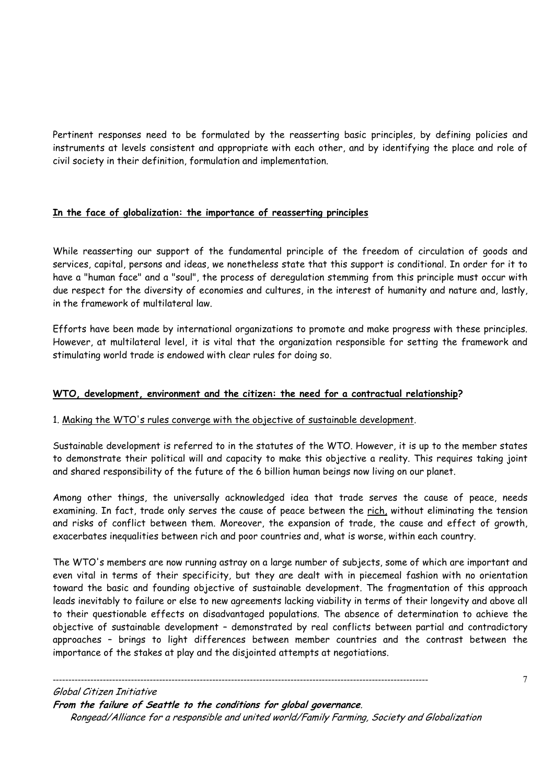Pertinent responses need to be formulated by the reasserting basic principles, by defining policies and instruments at levels consistent and appropriate with each other, and by identifying the place and role of civil society in their definition, formulation and implementation.

# **In the face of globalization: the importance of reasserting principles**

While reasserting our support of the fundamental principle of the freedom of circulation of goods and services, capital, persons and ideas, we nonetheless state that this support is conditional. In order for it to have a "human face" and a "soul", the process of deregulation stemming from this principle must occur with due respect for the diversity of economies and cultures, in the interest of humanity and nature and, lastly, in the framework of multilateral law.

Efforts have been made by international organizations to promote and make progress with these principles. However, at multilateral level, it is vital that the organization responsible for setting the framework and stimulating world trade is endowed with clear rules for doing so.

# **WTO, development, environment and the citizen: the need for a contractual relationship?**

# 1. Making the WTO's rules converge with the objective of sustainable development.

Sustainable development is referred to in the statutes of the WTO. However, it is up to the member states to demonstrate their political will and capacity to make this objective a reality. This requires taking joint and shared responsibility of the future of the 6 billion human beings now living on our planet.

Among other things, the universally acknowledged idea that trade serves the cause of peace, needs examining. In fact, trade only serves the cause of peace between the rich, without eliminating the tension and risks of conflict between them. Moreover, the expansion of trade, the cause and effect of growth, exacerbates inequalities between rich and poor countries and, what is worse, within each country.

The WTO's members are now running astray on a large number of subjects, some of which are important and even vital in terms of their specificity, but they are dealt with in piecemeal fashion with no orientation toward the basic and founding objective of sustainable development. The fragmentation of this approach leads inevitably to failure or else to new agreements lacking viability in terms of their longevity and above all to their questionable effects on disadvantaged populations. The absence of determination to achieve the objective of sustainable development – demonstrated by real conflicts between partial and contradictory approaches – brings to light differences between member countries and the contrast between the importance of the stakes at play and the disjointed attempts at negotiations.

Global Citizen Initiative **From the failure of Seattle to the conditions for global governance**. Rongead/Alliance for a responsible and united world/Family Farming, Society and Globalization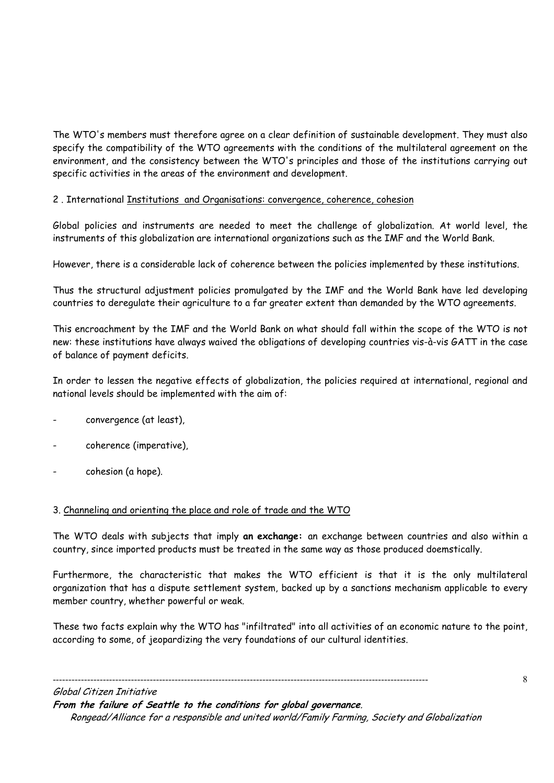The WTO's members must therefore agree on a clear definition of sustainable development. They must also specify the compatibility of the WTO agreements with the conditions of the multilateral agreement on the environment, and the consistency between the WTO's principles and those of the institutions carrying out specific activities in the areas of the environment and development.

# 2 . International Institutions and Organisations: convergence, coherence, cohesion

Global policies and instruments are needed to meet the challenge of globalization. At world level, the instruments of this globalization are international organizations such as the IMF and the World Bank.

However, there is a considerable lack of coherence between the policies implemented by these institutions.

Thus the structural adjustment policies promulgated by the IMF and the World Bank have led developing countries to deregulate their agriculture to a far greater extent than demanded by the WTO agreements.

This encroachment by the IMF and the World Bank on what should fall within the scope of the WTO is not new: these institutions have always waived the obligations of developing countries vis-à-vis GATT in the case of balance of payment deficits.

In order to lessen the negative effects of globalization, the policies required at international, regional and national levels should be implemented with the aim of:

- convergence (at least),
- coherence (imperative),
- cohesion (a hope).

# 3. Channeling and orienting the place and role of trade and the WTO

The WTO deals with subjects that imply **an exchange:** an exchange between countries and also within a country, since imported products must be treated in the same way as those produced doemstically.

Furthermore, the characteristic that makes the WTO efficient is that it is the only multilateral organization that has a dispute settlement system, backed up by a sanctions mechanism applicable to every member country, whether powerful or weak.

These two facts explain why the WTO has "infiltrated" into all activities of an economic nature to the point, according to some, of jeopardizing the very foundations of our cultural identities.

Global Citizen Initiative

**From the failure of Seattle to the conditions for global governance**.

------------------------------------------------------------------------------------------------------------------------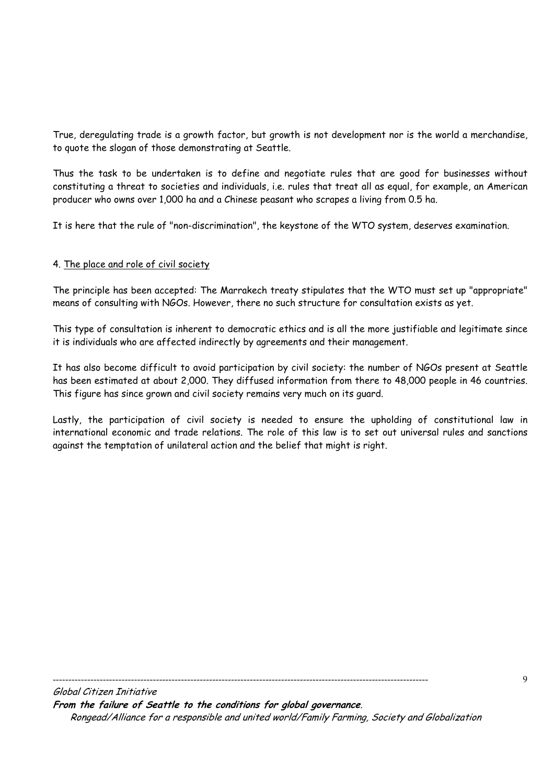True, deregulating trade is a growth factor, but growth is not development nor is the world a merchandise, to quote the slogan of those demonstrating at Seattle.

Thus the task to be undertaken is to define and negotiate rules that are good for businesses without constituting a threat to societies and individuals, i.e. rules that treat all as equal, for example, an American producer who owns over 1,000 ha and a Chinese peasant who scrapes a living from 0.5 ha.

It is here that the rule of "non-discrimination", the keystone of the WTO system, deserves examination.

# 4. The place and role of civil society

The principle has been accepted: The Marrakech treaty stipulates that the WTO must set up "appropriate" means of consulting with NGOs. However, there no such structure for consultation exists as yet.

This type of consultation is inherent to democratic ethics and is all the more justifiable and legitimate since it is individuals who are affected indirectly by agreements and their management.

It has also become difficult to avoid participation by civil society: the number of NGOs present at Seattle has been estimated at about 2,000. They diffused information from there to 48,000 people in 46 countries. This figure has since grown and civil society remains very much on its guard.

Lastly, the participation of civil society is needed to ensure the upholding of constitutional law in international economic and trade relations. The role of this law is to set out universal rules and sanctions against the temptation of unilateral action and the belief that might is right.

------------------------------------------------------------------------------------------------------------------------

Global Citizen Initiative **From the failure of Seattle to the conditions for global governance**. Rongead/Alliance for a responsible and united world/Family Farming, Society and Globalization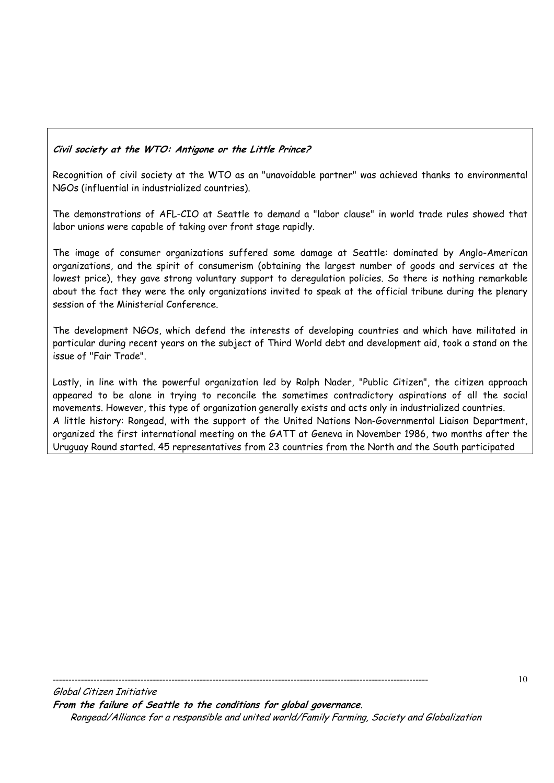# **Civil society at the WTO: Antigone or the Little Prince?**

Recognition of civil society at the WTO as an "unavoidable partner" was achieved thanks to environmental NGOs (influential in industrialized countries).

The demonstrations of AFL-CIO at Seattle to demand a "labor clause" in world trade rules showed that labor unions were capable of taking over front stage rapidly.

The image of consumer organizations suffered some damage at Seattle: dominated by Anglo-American organizations, and the spirit of consumerism (obtaining the largest number of goods and services at the lowest price), they gave strong voluntary support to deregulation policies. So there is nothing remarkable about the fact they were the only organizations invited to speak at the official tribune during the plenary session of the Ministerial Conference.

The development NGOs, which defend the interests of developing countries and which have militated in particular during recent years on the subject of Third World debt and development aid, took a stand on the issue of "Fair Trade".

Lastly, in line with the powerful organization led by Ralph Nader, "Public Citizen", the citizen approach appeared to be alone in trying to reconcile the sometimes contradictory aspirations of all the social movements. However, this type of organization generally exists and acts only in industrialized countries. A little history: Rongead, with the support of the United Nations Non-Governmental Liaison Department, organized the first international meeting on the GATT at Geneva in November 1986, two months after the Uruguay Round started. 45 representatives from 23 countries from the North and the South participated

------------------------------------------------------------------------------------------------------------------------

Global Citizen Initiative **From the failure of Seattle to the conditions for global governance**. Rongead/Alliance for a responsible and united world/Family Farming, Society and Globalization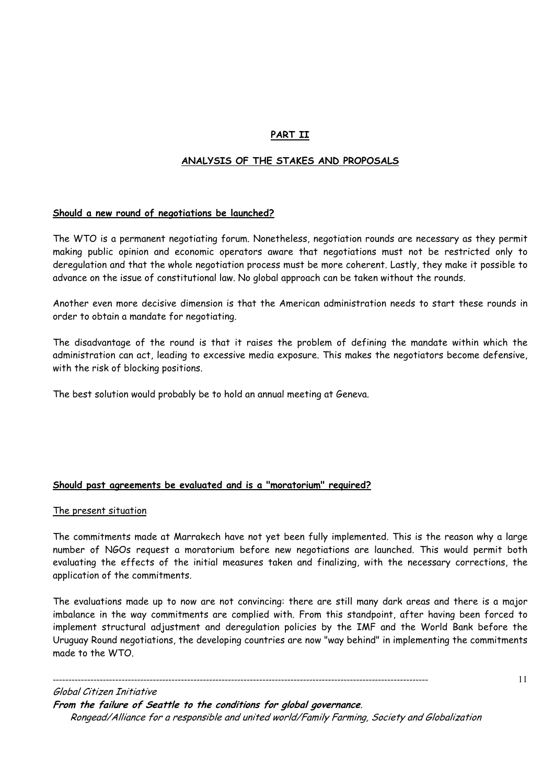# **PART II**

# **ANALYSIS OF THE STAKES AND PROPOSALS**

# **Should a new round of negotiations be launched?**

The WTO is a permanent negotiating forum. Nonetheless, negotiation rounds are necessary as they permit making public opinion and economic operators aware that negotiations must not be restricted only to deregulation and that the whole negotiation process must be more coherent. Lastly, they make it possible to advance on the issue of constitutional law. No global approach can be taken without the rounds.

Another even more decisive dimension is that the American administration needs to start these rounds in order to obtain a mandate for negotiating.

The disadvantage of the round is that it raises the problem of defining the mandate within which the administration can act, leading to excessive media exposure. This makes the negotiators become defensive, with the risk of blocking positions.

The best solution would probably be to hold an annual meeting at Geneva.

#### **Should past agreements be evaluated and is a "moratorium" required?**

#### The present situation

The commitments made at Marrakech have not yet been fully implemented. This is the reason why a large number of NGOs request a moratorium before new negotiations are launched. This would permit both evaluating the effects of the initial measures taken and finalizing, with the necessary corrections, the application of the commitments.

The evaluations made up to now are not convincing: there are still many dark areas and there is a major imbalance in the way commitments are complied with. From this standpoint, after having been forced to implement structural adjustment and deregulation policies by the IMF and the World Bank before the Uruguay Round negotiations, the developing countries are now "way behind" in implementing the commitments made to the WTO.

Global Citizen Initiative **From the failure of Seattle to the conditions for global governance**. Rongead/Alliance for a responsible and united world/Family Farming, Society and Globalization

------------------------------------------------------------------------------------------------------------------------

11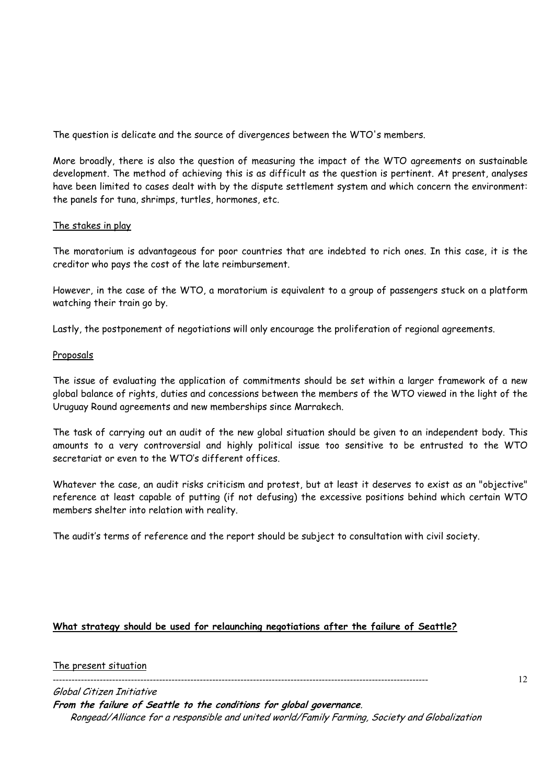The question is delicate and the source of divergences between the WTO's members.

More broadly, there is also the question of measuring the impact of the WTO agreements on sustainable development. The method of achieving this is as difficult as the question is pertinent. At present, analyses have been limited to cases dealt with by the dispute settlement system and which concern the environment: the panels for tuna, shrimps, turtles, hormones, etc.

# The stakes in play

The moratorium is advantageous for poor countries that are indebted to rich ones. In this case, it is the creditor who pays the cost of the late reimbursement.

However, in the case of the WTO, a moratorium is equivalent to a group of passengers stuck on a platform watching their train go by.

Lastly, the postponement of negotiations will only encourage the proliferation of regional agreements.

# Proposals

The issue of evaluating the application of commitments should be set within a larger framework of a new global balance of rights, duties and concessions between the members of the WTO viewed in the light of the Uruguay Round agreements and new memberships since Marrakech.

The task of carrying out an audit of the new global situation should be given to an independent body. This amounts to a very controversial and highly political issue too sensitive to be entrusted to the WTO secretariat or even to the WTO's different offices.

Whatever the case, an audit risks criticism and protest, but at least it deserves to exist as an "objective" reference at least capable of putting (if not defusing) the excessive positions behind which certain WTO members shelter into relation with reality.

The audit's terms of reference and the report should be subject to consultation with civil society.

# **What strategy should be used for relaunching negotiations after the failure of Seattle?**

#### The present situation

------------------------------------------------------------------------------------------------------------------------

Global Citizen Initiative **From the failure of Seattle to the conditions for global governance**. Rongead/Alliance for a responsible and united world/Family Farming, Society and Globalization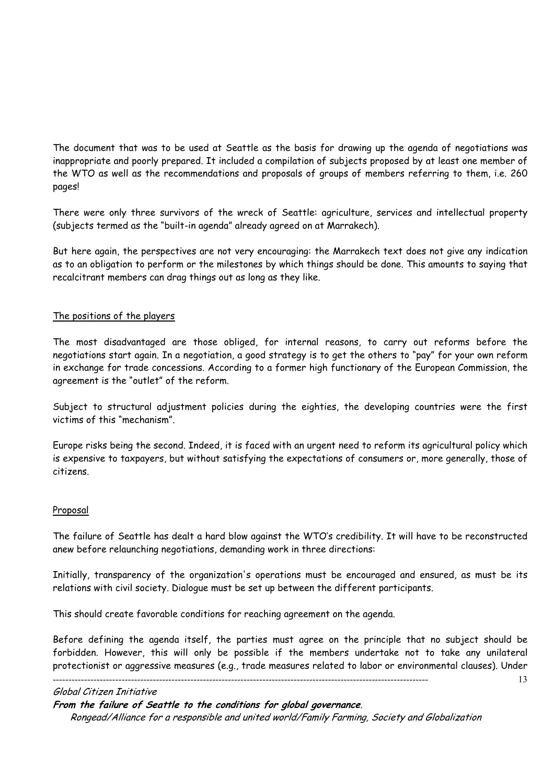The document that was to be used at Seattle as the basis for drawing up the agenda of negotiations was inappropriate and poorly prepared. It included a compilation of subjects proposed by at least one member of the WTO as well as the recommendations and proposals of groups of members referring to them, i.e. 260 pages!

There were only three survivors of the wreck of Seattle: agriculture, services and intellectual property (subjects termed as the "built-in agenda" already agreed on at Marrakech).

But here again, the perspectives are not very encouraging: the Marrakech text does not give any indication as to an obligation to perform or the milestones by which things should be done. This amounts to saying that recalcitrant members can drag things out as long as they like.

# The positions of the players

The most disadvantaged are those obliged, for internal reasons, to carry out reforms before the negotiations start again. In a negotiation, a good strategy is to get the others to "pay" for your own reform in exchange for trade concessions. According to a former high functionary of the European Commission, the agreement is the "outlet" of the reform.

Subject to structural adjustment policies during the eighties, the developing countries were the first victims of this "mechanism".

Europe risks being the second. Indeed, it is faced with an urgent need to reform its agricultural policy which is expensive to taxpayers, but without satisfying the expectations of consumers or, more generally, those of citizens.

#### Proposal

The failure of Seattle has dealt a hard blow against the WTO's credibility. It will have to be reconstructed anew before relaunching negotiations, demanding work in three directions:

Initially, transparency of the organization's operations must be encouraged and ensured, as must be its relations with civil society. Dialogue must be set up between the different participants.

This should create favorable conditions for reaching agreement on the agenda.

------------------------------------------------------------------------------------------------------------------------

Before defining the agenda itself, the parties must agree on the principle that no subject should be forbidden. However, this will only be possible if the members undertake not to take any unilateral protectionist or aggressive measures (e.g., trade measures related to labor or environmental clauses). Under

13

#### Global Citizen Initiative

**From the failure of Seattle to the conditions for global governance**.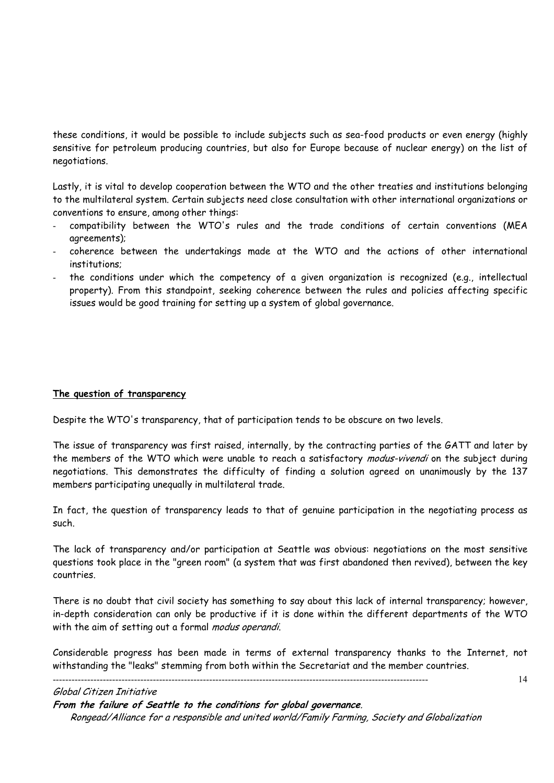these conditions, it would be possible to include subjects such as sea-food products or even energy (highly sensitive for petroleum producing countries, but also for Europe because of nuclear energy) on the list of negotiations.

Lastly, it is vital to develop cooperation between the WTO and the other treaties and institutions belonging to the multilateral system. Certain subjects need close consultation with other international organizations or conventions to ensure, among other things:

- compatibility between the WTO's rules and the trade conditions of certain conventions (MEA agreements);
- coherence between the undertakings made at the WTO and the actions of other international institutions;
- the conditions under which the competency of a given organization is recognized (e.g., intellectual property). From this standpoint, seeking coherence between the rules and policies affecting specific issues would be good training for setting up a system of global governance.

#### **The question of transparency**

Despite the WTO's transparency, that of participation tends to be obscure on two levels.

The issue of transparency was first raised, internally, by the contracting parties of the GATT and later by the members of the WTO which were unable to reach a satisfactory *modus-vivendi* on the subject during negotiations. This demonstrates the difficulty of finding a solution agreed on unanimously by the 137 members participating unequally in multilateral trade.

In fact, the question of transparency leads to that of genuine participation in the negotiating process as such.

The lack of transparency and/or participation at Seattle was obvious: negotiations on the most sensitive questions took place in the "green room" (a system that was first abandoned then revived), between the key countries.

There is no doubt that civil society has something to say about this lack of internal transparency; however, in-depth consideration can only be productive if it is done within the different departments of the WTO with the aim of setting out a formal modus operandi.

Considerable progress has been made in terms of external transparency thanks to the Internet, not withstanding the "leaks" stemming from both within the Secretariat and the member countries.

#### Global Citizen Initiative

**From the failure of Seattle to the conditions for global governance**.

------------------------------------------------------------------------------------------------------------------------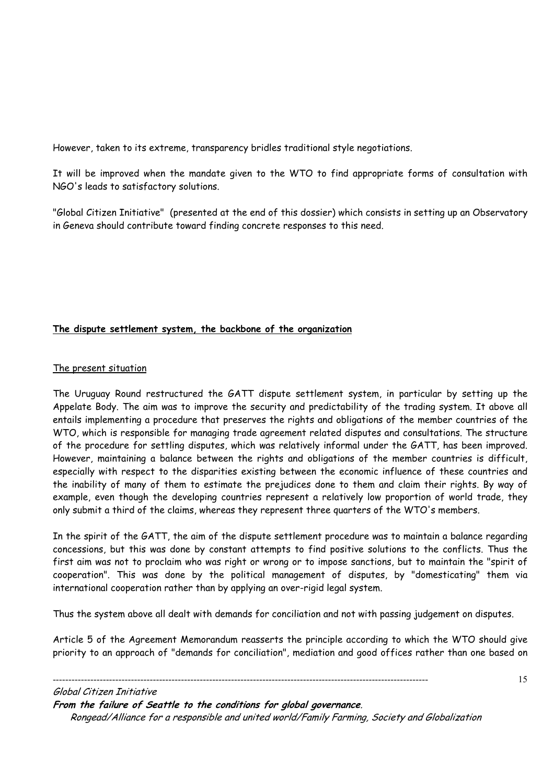However, taken to its extreme, transparency bridles traditional style negotiations.

It will be improved when the mandate given to the WTO to find appropriate forms of consultation with NGO's leads to satisfactory solutions.

"Global Citizen Initiative" (presented at the end of this dossier) which consists in setting up an Observatory in Geneva should contribute toward finding concrete responses to this need.

# **The dispute settlement system, the backbone of the organization**

# The present situation

The Uruguay Round restructured the GATT dispute settlement system, in particular by setting up the Appelate Body. The aim was to improve the security and predictability of the trading system. It above all entails implementing a procedure that preserves the rights and obligations of the member countries of the WTO, which is responsible for managing trade agreement related disputes and consultations. The structure of the procedure for settling disputes, which was relatively informal under the GATT, has been improved. However, maintaining a balance between the rights and obligations of the member countries is difficult, especially with respect to the disparities existing between the economic influence of these countries and the inability of many of them to estimate the prejudices done to them and claim their rights. By way of example, even though the developing countries represent a relatively low proportion of world trade, they only submit a third of the claims, whereas they represent three quarters of the WTO's members.

In the spirit of the GATT, the aim of the dispute settlement procedure was to maintain a balance regarding concessions, but this was done by constant attempts to find positive solutions to the conflicts. Thus the first aim was not to proclaim who was right or wrong or to impose sanctions, but to maintain the "spirit of cooperation". This was done by the political management of disputes, by "domesticating" them via international cooperation rather than by applying an over-rigid legal system.

Thus the system above all dealt with demands for conciliation and not with passing judgement on disputes.

Article 5 of the Agreement Memorandum reasserts the principle according to which the WTO should give priority to an approach of "demands for conciliation", mediation and good offices rather than one based on

------------------------------------------------------------------------------------------------------------------------ Global Citizen Initiative **From the failure of Seattle to the conditions for global governance**. Rongead/Alliance for a responsible and united world/Family Farming, Society and Globalization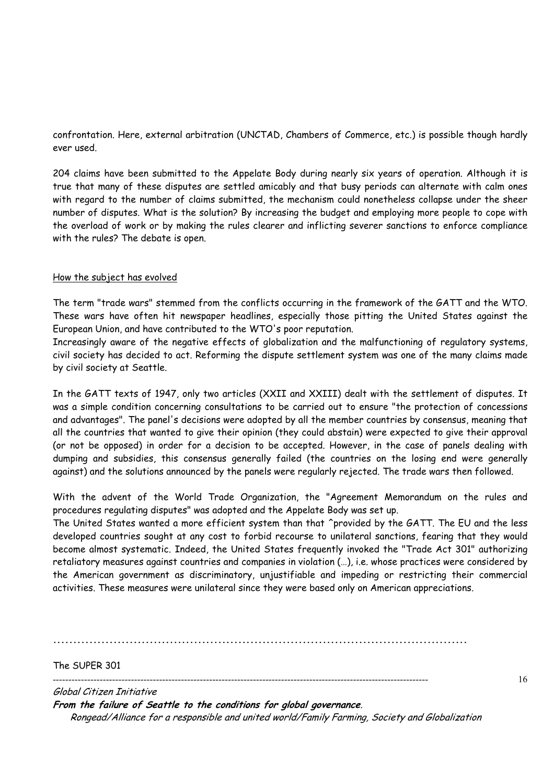confrontation. Here, external arbitration (UNCTAD, Chambers of Commerce, etc.) is possible though hardly ever used.

204 claims have been submitted to the Appelate Body during nearly six years of operation. Although it is true that many of these disputes are settled amicably and that busy periods can alternate with calm ones with regard to the number of claims submitted, the mechanism could nonetheless collapse under the sheer number of disputes. What is the solution? By increasing the budget and employing more people to cope with the overload of work or by making the rules clearer and inflicting severer sanctions to enforce compliance with the rules? The debate is open.

# How the subject has evolved

The term "trade wars" stemmed from the conflicts occurring in the framework of the GATT and the WTO. These wars have often hit newspaper headlines, especially those pitting the United States against the European Union, and have contributed to the WTO's poor reputation.

Increasingly aware of the negative effects of globalization and the malfunctioning of regulatory systems, civil society has decided to act. Reforming the dispute settlement system was one of the many claims made by civil society at Seattle.

In the GATT texts of 1947, only two articles (XXII and XXIII) dealt with the settlement of disputes. It was a simple condition concerning consultations to be carried out to ensure "the protection of concessions and advantages". The panel's decisions were adopted by all the member countries by consensus, meaning that all the countries that wanted to give their opinion (they could abstain) were expected to give their approval (or not be opposed) in order for a decision to be accepted. However, in the case of panels dealing with dumping and subsidies, this consensus generally failed (the countries on the losing end were generally against) and the solutions announced by the panels were regularly rejected. The trade wars then followed.

With the advent of the World Trade Organization, the "Agreement Memorandum on the rules and procedures regulating disputes" was adopted and the Appelate Body was set up.

The United States wanted a more efficient system than that ^provided by the GATT. The EU and the less developed countries sought at any cost to forbid recourse to unilateral sanctions, fearing that they would become almost systematic. Indeed, the United States frequently invoked the "Trade Act 301" authorizing retaliatory measures against countries and companies in violation (…), i.e. whose practices were considered by the American government as discriminatory, unjustifiable and impeding or restricting their commercial activities. These measures were unilateral since they were based only on American appreciations.

**.......................................................................................................** 

The SUPER 301

------------------------------------------------------------------------------------------------------------------------

16

Global Citizen Initiative **From the failure of Seattle to the conditions for global governance**. Rongead/Alliance for a responsible and united world/Family Farming, Society and Globalization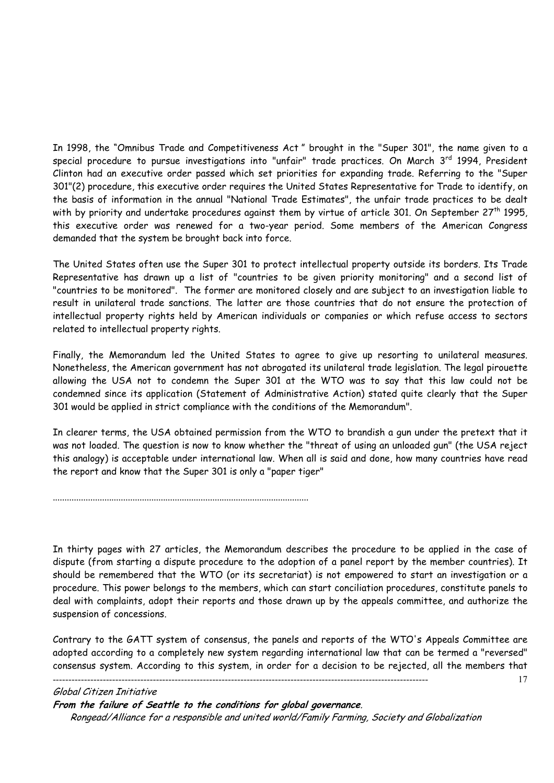In 1998, the "Omnibus Trade and Competitiveness Act " brought in the "Super 301", the name given to a special procedure to pursue investigations into "unfair" trade practices. On March 3<sup>rd</sup> 1994, President Clinton had an executive order passed which set priorities for expanding trade. Referring to the "Super 301"(2) procedure, this executive order requires the United States Representative for Trade to identify, on the basis of information in the annual "National Trade Estimates", the unfair trade practices to be dealt with by priority and undertake procedures against them by virtue of article 301. On September 27<sup>th</sup> 1995, this executive order was renewed for a two-year period. Some members of the American Congress demanded that the system be brought back into force.

The United States often use the Super 301 to protect intellectual property outside its borders. Its Trade Representative has drawn up a list of "countries to be given priority monitoring" and a second list of "countries to be monitored". The former are monitored closely and are subject to an investigation liable to result in unilateral trade sanctions. The latter are those countries that do not ensure the protection of intellectual property rights held by American individuals or companies or which refuse access to sectors related to intellectual property rights.

Finally, the Memorandum led the United States to agree to give up resorting to unilateral measures. Nonetheless, the American government has not abrogated its unilateral trade legislation. The legal pirouette allowing the USA not to condemn the Super 301 at the WTO was to say that this law could not be condemned since its application (Statement of Administrative Action) stated quite clearly that the Super 301 would be applied in strict compliance with the conditions of the Memorandum".

In clearer terms, the USA obtained permission from the WTO to brandish a gun under the pretext that it was not loaded. The question is now to know whether the "threat of using an unloaded gun" (the USA reject this analogy) is acceptable under international law. When all is said and done, how many countries have read the report and know that the Super 301 is only a "paper tiger"

.............................................................................................................

In thirty pages with 27 articles, the Memorandum describes the procedure to be applied in the case of dispute (from starting a dispute procedure to the adoption of a panel report by the member countries). It should be remembered that the WTO (or its secretariat) is not empowered to start an investigation or a procedure. This power belongs to the members, which can start conciliation procedures, constitute panels to deal with complaints, adopt their reports and those drawn up by the appeals committee, and authorize the suspension of concessions.

Contrary to the GATT system of consensus, the panels and reports of the WTO's Appeals Committee are adopted according to a completely new system regarding international law that can be termed a "reversed" consensus system. According to this system, in order for a decision to be rejected, all the members that

17

# Global Citizen Initiative **From the failure of Seattle to the conditions for global governance**. Rongead/Alliance for a responsible and united world/Family Farming, Society and Globalization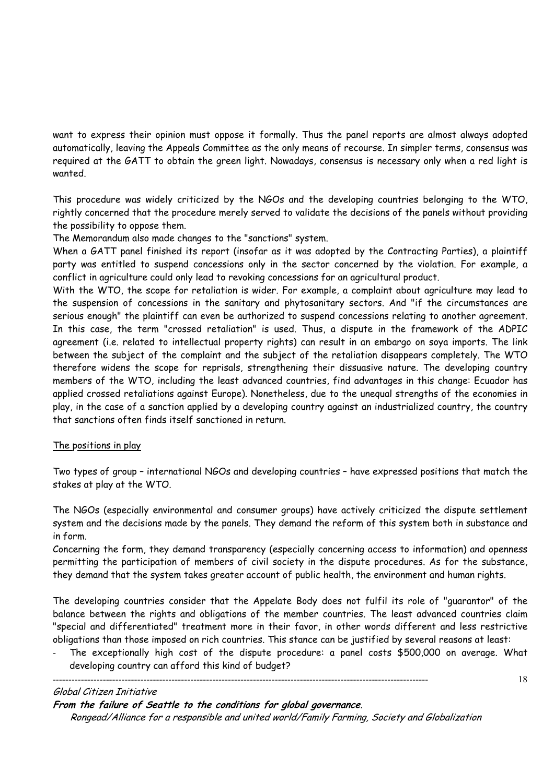want to express their opinion must oppose it formally. Thus the panel reports are almost always adopted automatically, leaving the Appeals Committee as the only means of recourse. In simpler terms, consensus was required at the GATT to obtain the green light. Nowadays, consensus is necessary only when a red light is wanted.

This procedure was widely criticized by the NGOs and the developing countries belonging to the WTO, rightly concerned that the procedure merely served to validate the decisions of the panels without providing the possibility to oppose them.

The Memorandum also made changes to the "sanctions" system.

When a GATT panel finished its report (insofar as it was adopted by the Contracting Parties), a plaintiff party was entitled to suspend concessions only in the sector concerned by the violation. For example, a conflict in agriculture could only lead to revoking concessions for an agricultural product.

With the WTO, the scope for retaliation is wider. For example, a complaint about agriculture may lead to the suspension of concessions in the sanitary and phytosanitary sectors. And "if the circumstances are serious enough" the plaintiff can even be authorized to suspend concessions relating to another agreement. In this case, the term "crossed retaliation" is used. Thus, a dispute in the framework of the ADPIC agreement (i.e. related to intellectual property rights) can result in an embargo on soya imports. The link between the subject of the complaint and the subject of the retaliation disappears completely. The WTO therefore widens the scope for reprisals, strengthening their dissuasive nature. The developing country members of the WTO, including the least advanced countries, find advantages in this change: Ecuador has applied crossed retaliations against Europe). Nonetheless, due to the unequal strengths of the economies in play, in the case of a sanction applied by a developing country against an industrialized country, the country that sanctions often finds itself sanctioned in return.

# The positions in play

Two types of group – international NGOs and developing countries – have expressed positions that match the stakes at play at the WTO.

The NGOs (especially environmental and consumer groups) have actively criticized the dispute settlement system and the decisions made by the panels. They demand the reform of this system both in substance and in form.

Concerning the form, they demand transparency (especially concerning access to information) and openness permitting the participation of members of civil society in the dispute procedures. As for the substance, they demand that the system takes greater account of public health, the environment and human rights.

The developing countries consider that the Appelate Body does not fulfil its role of "guarantor" of the balance between the rights and obligations of the member countries. The least advanced countries claim "special and differentiated" treatment more in their favor, in other words different and less restrictive obligations than those imposed on rich countries. This stance can be justified by several reasons at least:

The exceptionally high cost of the dispute procedure: a panel costs \$500,000 on average. What developing country can afford this kind of budget?

#### Global Citizen Initiative

**From the failure of Seattle to the conditions for global governance**.

------------------------------------------------------------------------------------------------------------------------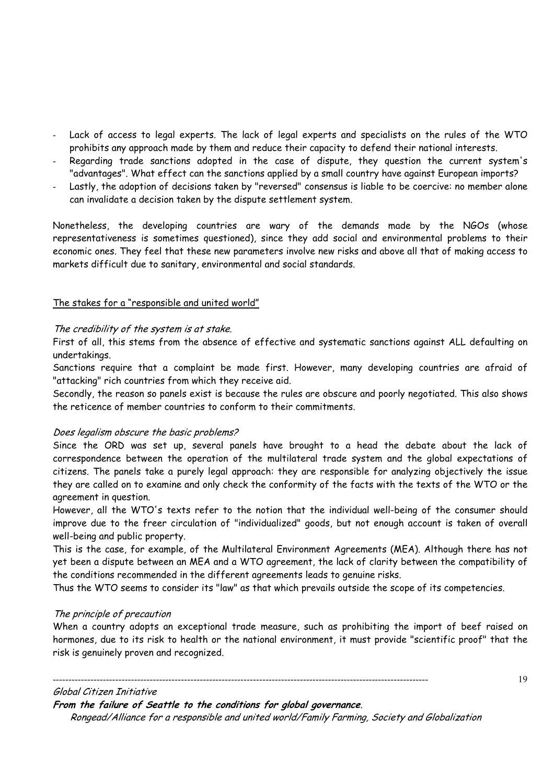- Lack of access to legal experts. The lack of legal experts and specialists on the rules of the WTO prohibits any approach made by them and reduce their capacity to defend their national interests.
- Regarding trade sanctions adopted in the case of dispute, they question the current system's "advantages". What effect can the sanctions applied by a small country have against European imports?
- Lastly, the adoption of decisions taken by "reversed" consensus is liable to be coercive: no member alone can invalidate a decision taken by the dispute settlement system.

Nonetheless, the developing countries are wary of the demands made by the NGOs (whose representativeness is sometimes questioned), since they add social and environmental problems to their economic ones. They feel that these new parameters involve new risks and above all that of making access to markets difficult due to sanitary, environmental and social standards.

# The stakes for a "responsible and united world"

# The credibility of the system is at stake.

First of all, this stems from the absence of effective and systematic sanctions against ALL defaulting on undertakings.

Sanctions require that a complaint be made first. However, many developing countries are afraid of "attacking" rich countries from which they receive aid.

Secondly, the reason so panels exist is because the rules are obscure and poorly negotiated. This also shows the reticence of member countries to conform to their commitments.

#### Does legalism obscure the basic problems?

Since the ORD was set up, several panels have brought to a head the debate about the lack of correspondence between the operation of the multilateral trade system and the global expectations of citizens. The panels take a purely legal approach: they are responsible for analyzing objectively the issue they are called on to examine and only check the conformity of the facts with the texts of the WTO or the agreement in question.

However, all the WTO's texts refer to the notion that the individual well-being of the consumer should improve due to the freer circulation of "individualized" goods, but not enough account is taken of overall well-being and public property.

This is the case, for example, of the Multilateral Environment Agreements (MEA). Although there has not yet been a dispute between an MEA and a WTO agreement, the lack of clarity between the compatibility of the conditions recommended in the different agreements leads to genuine risks.

Thus the WTO seems to consider its "law" as that which prevails outside the scope of its competencies.

# The principle of precaution

When a country adopts an exceptional trade measure, such as prohibiting the import of beef raised on hormones, due to its risk to health or the national environment, it must provide "scientific proof" that the risk is genuinely proven and recognized.

Global Citizen Initiative

**From the failure of Seattle to the conditions for global governance**.

------------------------------------------------------------------------------------------------------------------------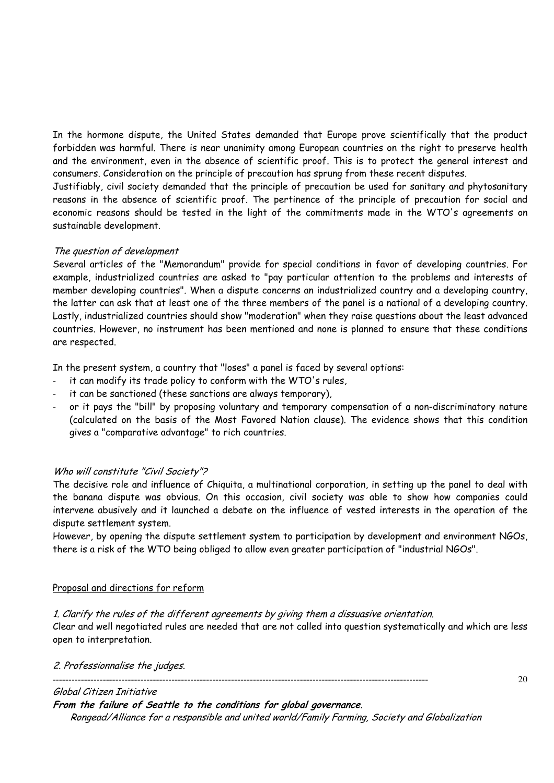In the hormone dispute, the United States demanded that Europe prove scientifically that the product forbidden was harmful. There is near unanimity among European countries on the right to preserve health and the environment, even in the absence of scientific proof. This is to protect the general interest and consumers. Consideration on the principle of precaution has sprung from these recent disputes.

Justifiably, civil society demanded that the principle of precaution be used for sanitary and phytosanitary reasons in the absence of scientific proof. The pertinence of the principle of precaution for social and economic reasons should be tested in the light of the commitments made in the WTO's agreements on sustainable development.

# The question of development

Several articles of the "Memorandum" provide for special conditions in favor of developing countries. For example, industrialized countries are asked to "pay particular attention to the problems and interests of member developing countries". When a dispute concerns an industrialized country and a developing country, the latter can ask that at least one of the three members of the panel is a national of a developing country. Lastly, industrialized countries should show "moderation" when they raise questions about the least advanced countries. However, no instrument has been mentioned and none is planned to ensure that these conditions are respected.

In the present system, a country that "loses" a panel is faced by several options:

- it can modify its trade policy to conform with the WTO's rules,
- it can be sanctioned (these sanctions are always temporary),
- or it pays the "bill" by proposing voluntary and temporary compensation of a non-discriminatory nature (calculated on the basis of the Most Favored Nation clause). The evidence shows that this condition gives a "comparative advantage" to rich countries.

# Who will constitute "Civil Society"?

The decisive role and influence of Chiquita, a multinational corporation, in setting up the panel to deal with the banana dispute was obvious. On this occasion, civil society was able to show how companies could intervene abusively and it launched a debate on the influence of vested interests in the operation of the dispute settlement system.

However, by opening the dispute settlement system to participation by development and environment NGOs, there is a risk of the WTO being obliged to allow even greater participation of "industrial NGOs".

# Proposal and directions for reform

# 1. Clarify the rules of the different agreements by giving them a dissuasive orientation.

Clear and well negotiated rules are needed that are not called into question systematically and which are less open to interpretation.

2. Professionnalise the judges.

------------------------------------------------------------------------------------------------------------------------

# Global Citizen Initiative

**From the failure of Seattle to the conditions for global governance**.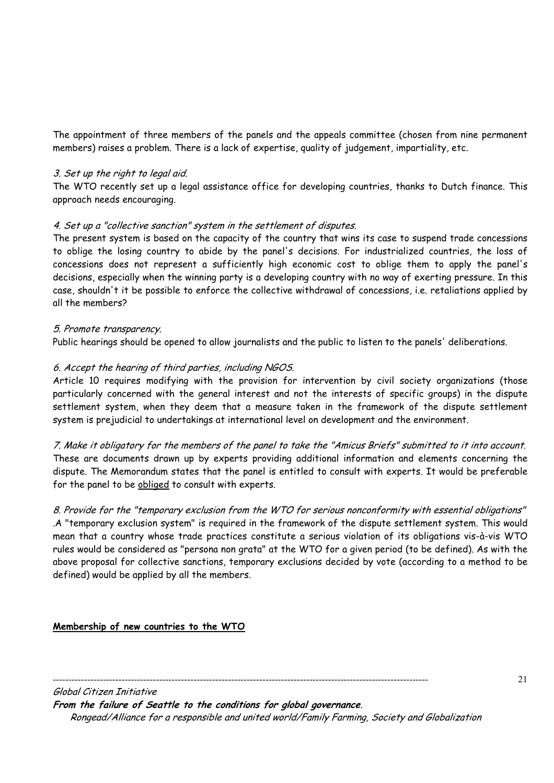The appointment of three members of the panels and the appeals committee (chosen from nine permanent members) raises a problem. There is a lack of expertise, quality of judgement, impartiality, etc.

# 3. Set up the right to legal aid.

The WTO recently set up a legal assistance office for developing countries, thanks to Dutch finance. This approach needs encouraging.

# 4. Set up a "collective sanction" system in the settlement of disputes.

The present system is based on the capacity of the country that wins its case to suspend trade concessions to oblige the losing country to abide by the panel's decisions. For industrialized countries, the loss of concessions does not represent a sufficiently high economic cost to oblige them to apply the panel's decisions, especially when the winning party is a developing country with no way of exerting pressure. In this case, shouldn't it be possible to enforce the collective withdrawal of concessions, i.e. retaliations applied by all the members?

#### 5. Promote transparency.

Public hearings should be opened to allow journalists and the public to listen to the panels' deliberations.

# 6. Accept the hearing of third parties, including NGOS.

Article 10 requires modifying with the provision for intervention by civil society organizations (those particularly concerned with the general interest and not the interests of specific groups) in the dispute settlement system, when they deem that a measure taken in the framework of the dispute settlement system is prejudicial to undertakings at international level on development and the environment.

7. Make it obligatory for the members of the panel to take the "Amicus Briefs" submitted to it into account. These are documents drawn up by experts providing additional information and elements concerning the dispute. The Memorandum states that the panel is entitled to consult with experts. It would be preferable for the panel to be obliged to consult with experts.

8. Provide for the "temporary exclusion from the WTO for serious nonconformity with essential obligations" .A "temporary exclusion system" is required in the framework of the dispute settlement system. This would mean that a country whose trade practices constitute a serious violation of its obligations vis-à-vis WTO rules would be considered as "persona non grata" at the WTO for a given period (to be defined). As with the above proposal for collective sanctions, temporary exclusions decided by vote (according to a method to be defined) would be applied by all the members.

# **Membership of new countries to the WTO**

------------------------------------------------------------------------------------------------------------------------

Global Citizen Initiative **From the failure of Seattle to the conditions for global governance**. Rongead/Alliance for a responsible and united world/Family Farming, Society and Globalization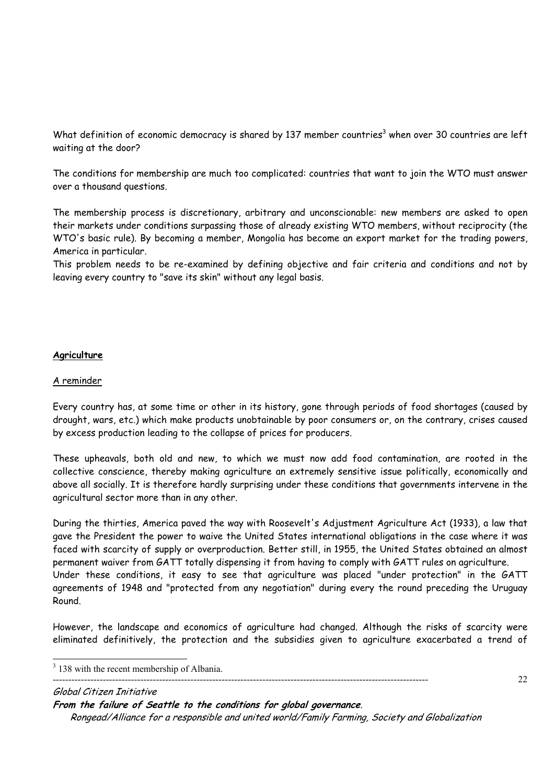What definition of economic democracy is shared by 137 member countries $^3$  when over 30 countries are left waiting at the door?

The conditions for membership are much too complicated: countries that want to join the WTO must answer over a thousand questions.

The membership process is discretionary, arbitrary and unconscionable: new members are asked to open their markets under conditions surpassing those of already existing WTO members, without reciprocity (the WTO's basic rule). By becoming a member, Mongolia has become an export market for the trading powers, America in particular.

This problem needs to be re-examined by defining objective and fair criteria and conditions and not by leaving every country to "save its skin" without any legal basis.

# **Agriculture**

# A reminder

Every country has, at some time or other in its history, gone through periods of food shortages (caused by drought, wars, etc.) which make products unobtainable by poor consumers or, on the contrary, crises caused by excess production leading to the collapse of prices for producers.

These upheavals, both old and new, to which we must now add food contamination, are rooted in the collective conscience, thereby making agriculture an extremely sensitive issue politically, economically and above all socially. It is therefore hardly surprising under these conditions that governments intervene in the agricultural sector more than in any other.

During the thirties, America paved the way with Roosevelt's Adjustment Agriculture Act (1933), a law that gave the President the power to waive the United States international obligations in the case where it was faced with scarcity of supply or overproduction. Better still, in 1955, the United States obtained an almost permanent waiver from GATT totally dispensing it from having to comply with GATT rules on agriculture. Under these conditions, it easy to see that agriculture was placed "under protection" in the GATT agreements of 1948 and "protected from any negotiation" during every the round preceding the Uruguay Round.

However, the landscape and economics of agriculture had changed. Although the risks of scarcity were eliminated definitively, the protection and the subsidies given to agriculture exacerbated a trend of

22

Global Citizen Initiative

**From the failure of Seattle to the conditions for global governance**.

------------------------------------------------------------------------------------------------------------------------

<sup>&</sup>lt;sup>3</sup> 138 with the recent membership of Albania.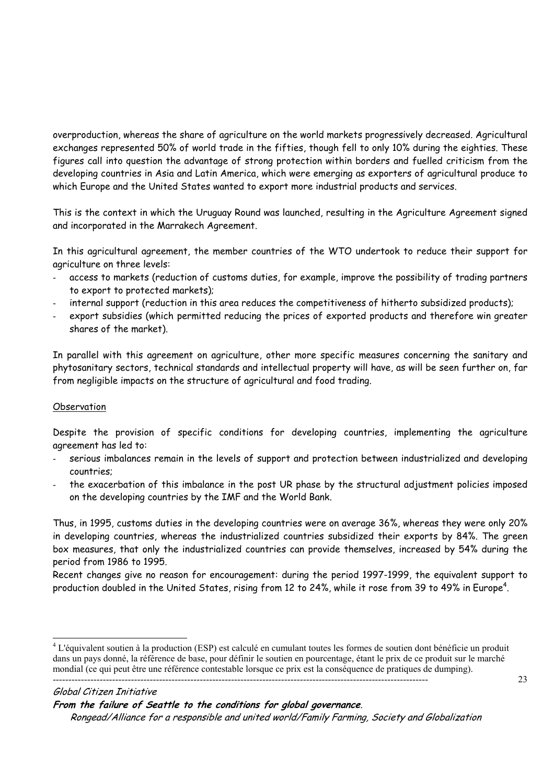overproduction, whereas the share of agriculture on the world markets progressively decreased. Agricultural exchanges represented 50% of world trade in the fifties, though fell to only 10% during the eighties. These figures call into question the advantage of strong protection within borders and fuelled criticism from the developing countries in Asia and Latin America, which were emerging as exporters of agricultural produce to which Europe and the United States wanted to export more industrial products and services.

This is the context in which the Uruguay Round was launched, resulting in the Agriculture Agreement signed and incorporated in the Marrakech Agreement.

In this agricultural agreement, the member countries of the WTO undertook to reduce their support for agriculture on three levels:

- access to markets (reduction of customs duties, for example, improve the possibility of trading partners to export to protected markets);
- internal support (reduction in this area reduces the competitiveness of hitherto subsidized products);
- export subsidies (which permitted reducing the prices of exported products and therefore win greater shares of the market).

In parallel with this agreement on agriculture, other more specific measures concerning the sanitary and phytosanitary sectors, technical standards and intellectual property will have, as will be seen further on, far from negligible impacts on the structure of agricultural and food trading.

# **Observation**

Despite the provision of specific conditions for developing countries, implementing the agriculture agreement has led to:

- serious imbalances remain in the levels of support and protection between industrialized and developing countries;
- the exacerbation of this imbalance in the post UR phase by the structural adjustment policies imposed on the developing countries by the IMF and the World Bank.

Thus, in 1995, customs duties in the developing countries were on average 36%, whereas they were only 20% in developing countries, whereas the industrialized countries subsidized their exports by 84%. The green box measures, that only the industrialized countries can provide themselves, increased by 54% during the period from 1986 to 1995.

Recent changes give no reason for encouragement: during the period 1997-1999, the equivalent support to production doubled in the United States, rising from 12 to 24%, while it rose from 39 to 49% in Europe $^4\!$ .

 $\overline{a}$ 

**From the failure of Seattle to the conditions for global governance**.

<sup>------------------------------------------------------------------------------------------------------------------------</sup>  <sup>4</sup> L'équivalent soutien à la production (ESP) est calculé en cumulant toutes les formes de soutien dont bénéficie un produit dans un pays donné, la référence de base, pour définir le soutien en pourcentage, étant le prix de ce produit sur le marché mondial (ce qui peut être une référence contestable lorsque ce prix est la conséquence de pratiques de dumping).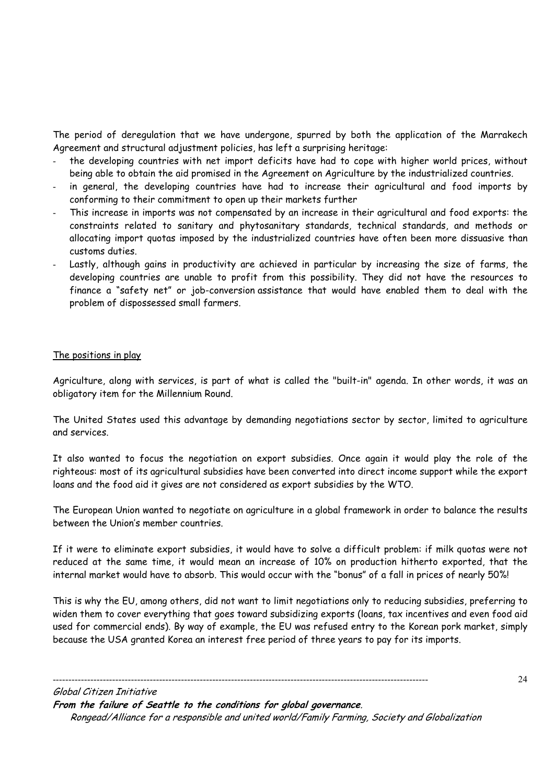The period of deregulation that we have undergone, spurred by both the application of the Marrakech Agreement and structural adjustment policies, has left a surprising heritage:

- the developing countries with net import deficits have had to cope with higher world prices, without being able to obtain the aid promised in the Agreement on Agriculture by the industrialized countries.
- in general, the developing countries have had to increase their agricultural and food imports by conforming to their commitment to open up their markets further
- This increase in imports was not compensated by an increase in their agricultural and food exports: the constraints related to sanitary and phytosanitary standards, technical standards, and methods or allocating import quotas imposed by the industrialized countries have often been more dissuasive than customs duties.
- Lastly, although gains in productivity are achieved in particular by increasing the size of farms, the developing countries are unable to profit from this possibility. They did not have the resources to finance a "safety net" or job-conversion assistance that would have enabled them to deal with the problem of dispossessed small farmers.

# The positions in play

Agriculture, along with services, is part of what is called the "built-in" agenda. In other words, it was an obligatory item for the Millennium Round.

The United States used this advantage by demanding negotiations sector by sector, limited to agriculture and services.

It also wanted to focus the negotiation on export subsidies. Once again it would play the role of the righteous: most of its agricultural subsidies have been converted into direct income support while the export loans and the food aid it gives are not considered as export subsidies by the WTO.

The European Union wanted to negotiate on agriculture in a global framework in order to balance the results between the Union's member countries.

If it were to eliminate export subsidies, it would have to solve a difficult problem: if milk quotas were not reduced at the same time, it would mean an increase of 10% on production hitherto exported, that the internal market would have to absorb. This would occur with the "bonus" of a fall in prices of nearly 50%!

This is why the EU, among others, did not want to limit negotiations only to reducing subsidies, preferring to widen them to cover everything that goes toward subsidizing exports (loans, tax incentives and even food aid used for commercial ends). By way of example, the EU was refused entry to the Korean pork market, simply because the USA granted Korea an interest free period of three years to pay for its imports.

Global Citizen Initiative **From the failure of Seattle to the conditions for global governance**. Rongead/Alliance for a responsible and united world/Family Farming, Society and Globalization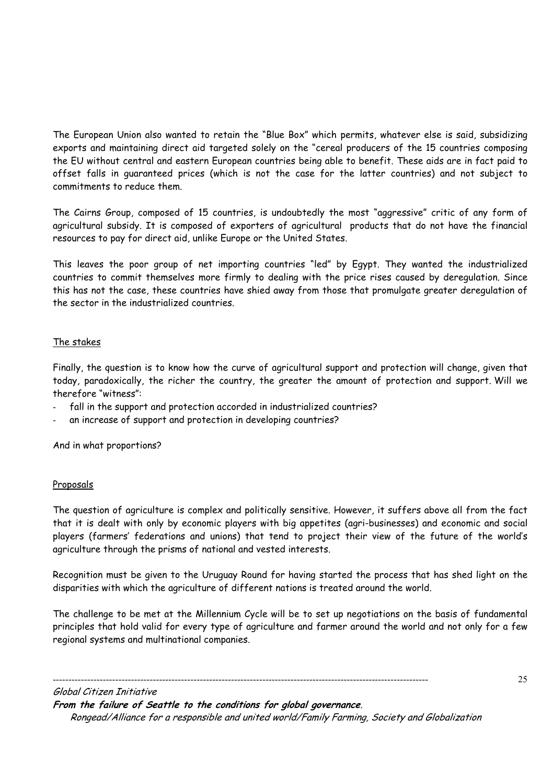The European Union also wanted to retain the "Blue Box" which permits, whatever else is said, subsidizing exports and maintaining direct aid targeted solely on the "cereal producers of the 15 countries composing the EU without central and eastern European countries being able to benefit. These aids are in fact paid to offset falls in guaranteed prices (which is not the case for the latter countries) and not subject to commitments to reduce them.

The Cairns Group, composed of 15 countries, is undoubtedly the most "aggressive" critic of any form of agricultural subsidy. It is composed of exporters of agricultural products that do not have the financial resources to pay for direct aid, unlike Europe or the United States.

This leaves the poor group of net importing countries "led" by Egypt. They wanted the industrialized countries to commit themselves more firmly to dealing with the price rises caused by deregulation. Since this has not the case, these countries have shied away from those that promulgate greater deregulation of the sector in the industrialized countries.

# The stakes

Finally, the question is to know how the curve of agricultural support and protection will change, given that today, paradoxically, the richer the country, the greater the amount of protection and support. Will we therefore "witness":

- fall in the support and protection accorded in industrialized countries?
- an increase of support and protection in developing countries?

And in what proportions?

#### Proposals

The question of agriculture is complex and politically sensitive. However, it suffers above all from the fact that it is dealt with only by economic players with big appetites (agri-businesses) and economic and social players (farmers' federations and unions) that tend to project their view of the future of the world's agriculture through the prisms of national and vested interests.

Recognition must be given to the Uruguay Round for having started the process that has shed light on the disparities with which the agriculture of different nations is treated around the world.

The challenge to be met at the Millennium Cycle will be to set up negotiations on the basis of fundamental principles that hold valid for every type of agriculture and farmer around the world and not only for a few regional systems and multinational companies.

Global Citizen Initiative **From the failure of Seattle to the conditions for global governance**. Rongead/Alliance for a responsible and united world/Family Farming, Society and Globalization

------------------------------------------------------------------------------------------------------------------------

25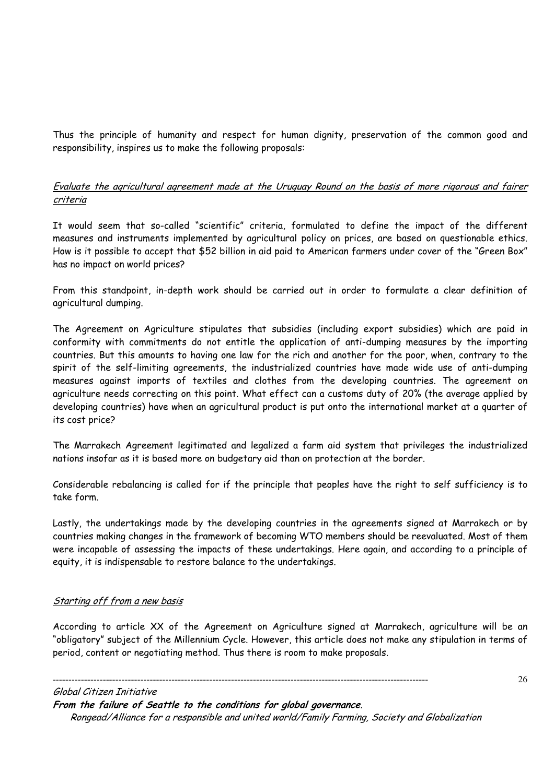Thus the principle of humanity and respect for human dignity, preservation of the common good and responsibility, inspires us to make the following proposals:

# Evaluate the agricultural agreement made at the Uruguay Round on the basis of more rigorous and fairer criteria

It would seem that so-called "scientific" criteria, formulated to define the impact of the different measures and instruments implemented by agricultural policy on prices, are based on questionable ethics. How is it possible to accept that \$52 billion in aid paid to American farmers under cover of the "Green Box" has no impact on world prices?

From this standpoint, in-depth work should be carried out in order to formulate a clear definition of agricultural dumping.

The Agreement on Agriculture stipulates that subsidies (including export subsidies) which are paid in conformity with commitments do not entitle the application of anti-dumping measures by the importing countries. But this amounts to having one law for the rich and another for the poor, when, contrary to the spirit of the self-limiting agreements, the industrialized countries have made wide use of anti-dumping measures against imports of textiles and clothes from the developing countries. The agreement on agriculture needs correcting on this point. What effect can a customs duty of 20% (the average applied by developing countries) have when an agricultural product is put onto the international market at a quarter of its cost price?

The Marrakech Agreement legitimated and legalized a farm aid system that privileges the industrialized nations insofar as it is based more on budgetary aid than on protection at the border.

Considerable rebalancing is called for if the principle that peoples have the right to self sufficiency is to take form.

Lastly, the undertakings made by the developing countries in the agreements signed at Marrakech or by countries making changes in the framework of becoming WTO members should be reevaluated. Most of them were incapable of assessing the impacts of these undertakings. Here again, and according to a principle of equity, it is indispensable to restore balance to the undertakings.

# Starting off from a new basis

According to article XX of the Agreement on Agriculture signed at Marrakech, agriculture will be an "obligatory" subject of the Millennium Cycle. However, this article does not make any stipulation in terms of period, content or negotiating method. Thus there is room to make proposals.

------------------------------------------------------------------------------------------------------------------------

Global Citizen Initiative **From the failure of Seattle to the conditions for global governance**. Rongead/Alliance for a responsible and united world/Family Farming, Society and Globalization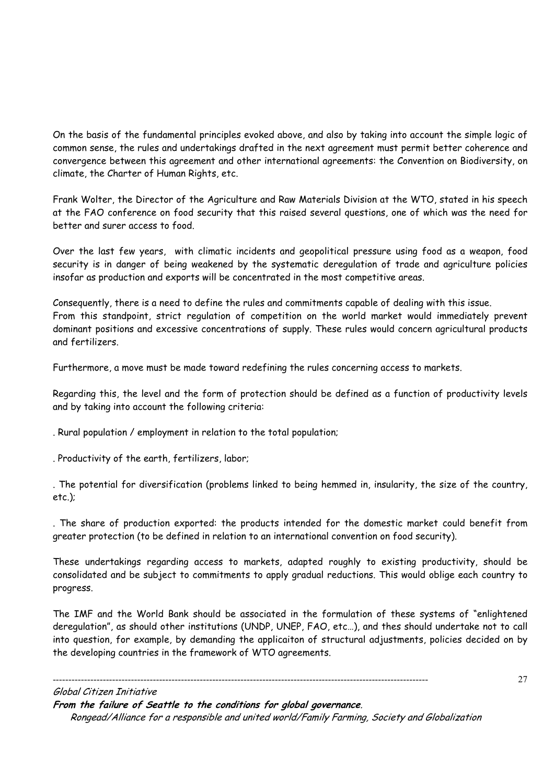On the basis of the fundamental principles evoked above, and also by taking into account the simple logic of common sense, the rules and undertakings drafted in the next agreement must permit better coherence and convergence between this agreement and other international agreements: the Convention on Biodiversity, on climate, the Charter of Human Rights, etc.

Frank Wolter, the Director of the Agriculture and Raw Materials Division at the WTO, stated in his speech at the FAO conference on food security that this raised several questions, one of which was the need for better and surer access to food.

Over the last few years, with climatic incidents and geopolitical pressure using food as a weapon, food security is in danger of being weakened by the systematic deregulation of trade and agriculture policies insofar as production and exports will be concentrated in the most competitive areas.

Consequently, there is a need to define the rules and commitments capable of dealing with this issue. From this standpoint, strict regulation of competition on the world market would immediately prevent dominant positions and excessive concentrations of supply. These rules would concern agricultural products and fertilizers.

Furthermore, a move must be made toward redefining the rules concerning access to markets.

Regarding this, the level and the form of protection should be defined as a function of productivity levels and by taking into account the following criteria:

. Rural population / employment in relation to the total population;

. Productivity of the earth, fertilizers, labor;

. The potential for diversification (problems linked to being hemmed in, insularity, the size of the country, etc.);

. The share of production exported: the products intended for the domestic market could benefit from greater protection (to be defined in relation to an international convention on food security).

These undertakings regarding access to markets, adapted roughly to existing productivity, should be consolidated and be subject to commitments to apply gradual reductions. This would oblige each country to progress.

The IMF and the World Bank should be associated in the formulation of these systems of "enlightened deregulation", as should other institutions (UNDP, UNEP, FAO, etc…), and thes should undertake not to call into question, for example, by demanding the applicaiton of structural adjustments, policies decided on by the developing countries in the framework of WTO agreements.

27

Global Citizen Initiative **From the failure of Seattle to the conditions for global governance**. Rongead/Alliance for a responsible and united world/Family Farming, Society and Globalization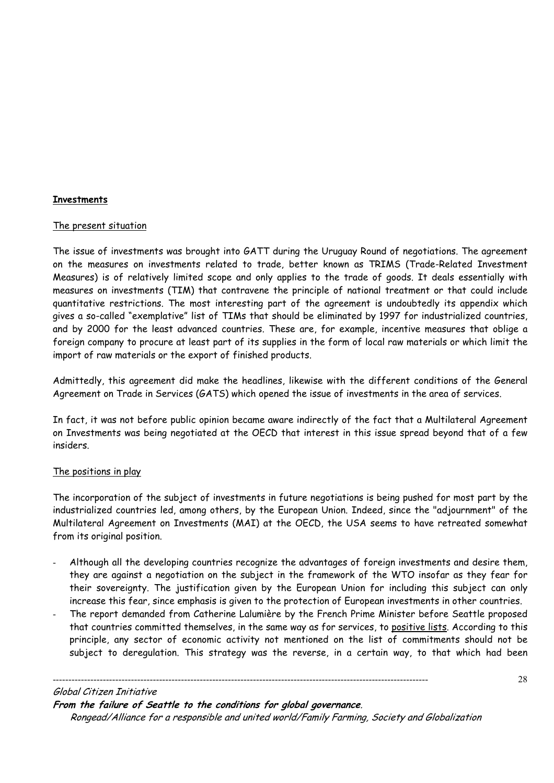# **Investments**

#### The present situation

The issue of investments was brought into GATT during the Uruguay Round of negotiations. The agreement on the measures on investments related to trade, better known as TRIMS (Trade-Related Investment Measures) is of relatively limited scope and only applies to the trade of goods. It deals essentially with measures on investments (TIM) that contravene the principle of national treatment or that could include quantitative restrictions. The most interesting part of the agreement is undoubtedly its appendix which gives a so-called "exemplative" list of TIMs that should be eliminated by 1997 for industrialized countries, and by 2000 for the least advanced countries. These are, for example, incentive measures that oblige a foreign company to procure at least part of its supplies in the form of local raw materials or which limit the import of raw materials or the export of finished products.

Admittedly, this agreement did make the headlines, likewise with the different conditions of the General Agreement on Trade in Services (GATS) which opened the issue of investments in the area of services.

In fact, it was not before public opinion became aware indirectly of the fact that a Multilateral Agreement on Investments was being negotiated at the OECD that interest in this issue spread beyond that of a few insiders.

# The positions in play

The incorporation of the subject of investments in future negotiations is being pushed for most part by the industrialized countries led, among others, by the European Union. Indeed, since the "adjournment" of the Multilateral Agreement on Investments (MAI) at the OECD, the USA seems to have retreated somewhat from its original position.

- Although all the developing countries recognize the advantages of foreign investments and desire them, they are against a negotiation on the subject in the framework of the WTO insofar as they fear for their sovereignty. The justification given by the European Union for including this subject can only increase this fear, since emphasis is given to the protection of European investments in other countries.
- The report demanded from Catherine Lalumière by the French Prime Minister before Seattle proposed that countries committed themselves, in the same way as for services, to positive lists. According to this principle, any sector of economic activity not mentioned on the list of commitments should not be subject to deregulation. This strategy was the reverse, in a certain way, to that which had been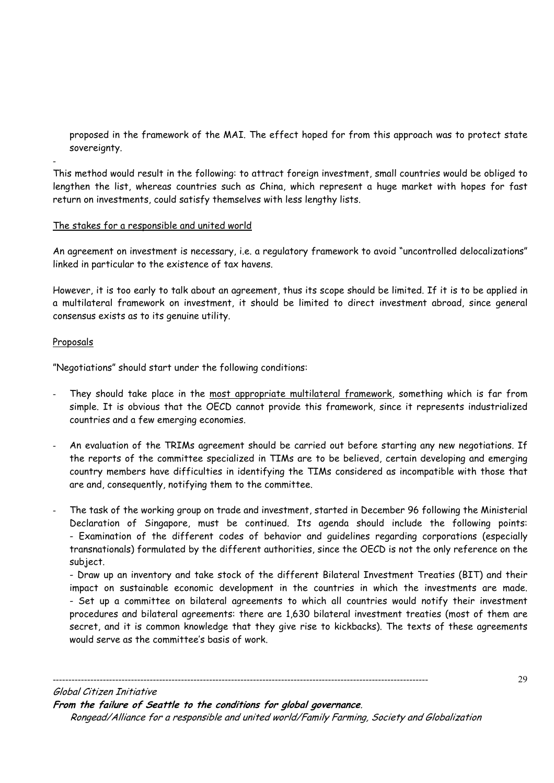proposed in the framework of the MAI. The effect hoped for from this approach was to protect state sovereignty.

This method would result in the following: to attract foreign investment, small countries would be obliged to lengthen the list, whereas countries such as China, which represent a huge market with hopes for fast return on investments, could satisfy themselves with less lengthy lists.

# The stakes for a responsible and united world

An agreement on investment is necessary, i.e. a regulatory framework to avoid "uncontrolled delocalizations" linked in particular to the existence of tax havens.

However, it is too early to talk about an agreement, thus its scope should be limited. If it is to be applied in a multilateral framework on investment, it should be limited to direct investment abroad, since general consensus exists as to its genuine utility.

#### Proposals

-

"Negotiations" should start under the following conditions:

- They should take place in the most appropriate multilateral framework, something which is far from simple. It is obvious that the OECD cannot provide this framework, since it represents industrialized countries and a few emerging economies.
- An evaluation of the TRIMs agreement should be carried out before starting any new negotiations. If the reports of the committee specialized in TIMs are to be believed, certain developing and emerging country members have difficulties in identifying the TIMs considered as incompatible with those that are and, consequently, notifying them to the committee.
- The task of the working group on trade and investment, started in December 96 following the Ministerial Declaration of Singapore, must be continued. Its agenda should include the following points: - Examination of the different codes of behavior and guidelines regarding corporations (especially transnationals) formulated by the different authorities, since the OECD is not the only reference on the subject.

- Draw up an inventory and take stock of the different Bilateral Investment Treaties (BIT) and their impact on sustainable economic development in the countries in which the investments are made. - Set up a committee on bilateral agreements to which all countries would notify their investment procedures and bilateral agreements: there are 1,630 bilateral investment treaties (most of them are secret, and it is common knowledge that they give rise to kickbacks). The texts of these agreements would serve as the committee's basis of work.

Global Citizen Initiative **From the failure of Seattle to the conditions for global governance**. Rongead/Alliance for a responsible and united world/Family Farming, Society and Globalization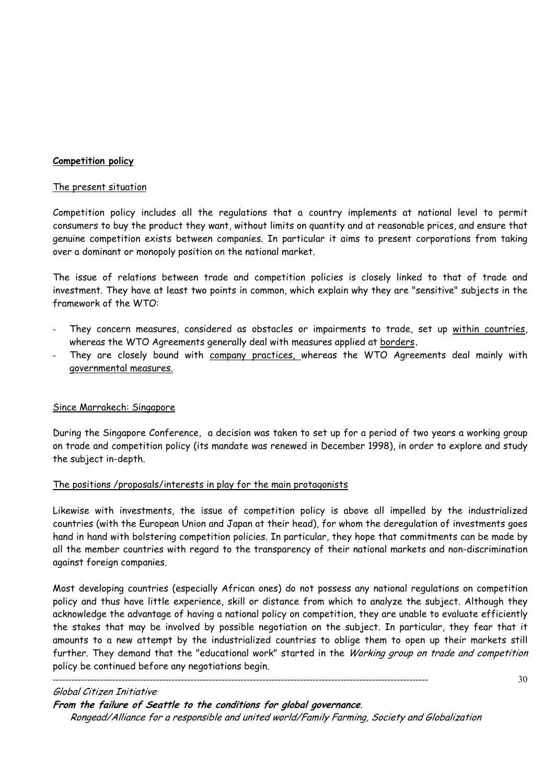#### **Competition policy**

#### The present situation

Competition policy includes all the regulations that a country implements at national level to permit consumers to buy the product they want, without limits on quantity and at reasonable prices, and ensure that genuine competition exists between companies. In particular it aims to present corporations from taking over a dominant or monopoly position on the national market.

The issue of relations between trade and competition policies is closely linked to that of trade and investment. They have at least two points in common, which explain why they are "sensitive" subjects in the framework of the WTO:

- They concern measures, considered as obstacles or impairments to trade, set up within countries, whereas the WTO Agreements generally deal with measures applied at borders**.**
- They are closely bound with company practices, whereas the WTO Agreements deal mainly with governmental measures.

#### Since Marrakech: Singapore

During the Singapore Conference, a decision was taken to set up for a period of two years a working group on trade and competition policy (its mandate was renewed in December 1998), in order to explore and study the subject in-depth.

#### The positions /proposals/interests in play for the main protagonists

Likewise with investments, the issue of competition policy is above all impelled by the industrialized countries (with the European Union and Japan at their head), for whom the deregulation of investments goes hand in hand with bolstering competition policies. In particular, they hope that commitments can be made by all the member countries with regard to the transparency of their national markets and non-discrimination against foreign companies.

Most developing countries (especially African ones) do not possess any national regulations on competition policy and thus have little experience, skill or distance from which to analyze the subject. Although they acknowledge the advantage of having a national policy on competition, they are unable to evaluate efficiently the stakes that may be involved by possible negotiation on the subject. In particular, they fear that it amounts to a new attempt by the industrialized countries to oblige them to open up their markets still further. They demand that the "educational work" started in the Working group on trade and competition policy be continued before any negotiations begin.

------------------------------------------------------------------------------------------------------------------------

#### Global Citizen Initiative

**From the failure of Seattle to the conditions for global governance**.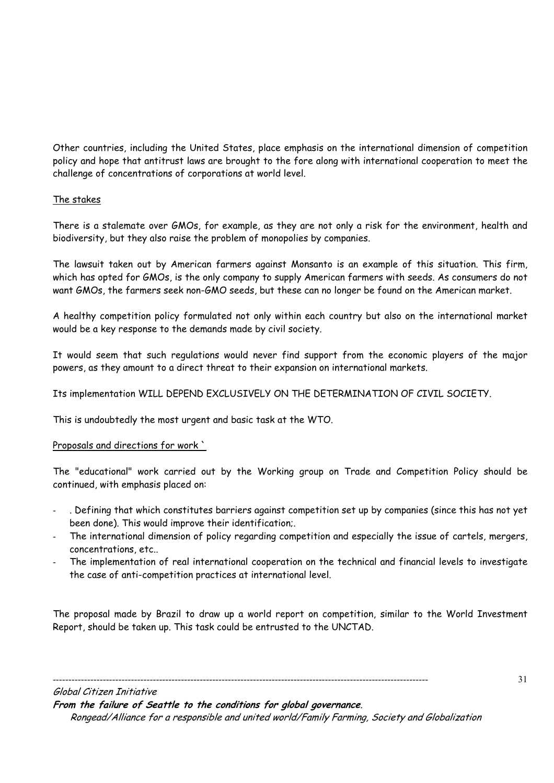Other countries, including the United States, place emphasis on the international dimension of competition policy and hope that antitrust laws are brought to the fore along with international cooperation to meet the challenge of concentrations of corporations at world level.

# The stakes

There is a stalemate over GMOs, for example, as they are not only a risk for the environment, health and biodiversity, but they also raise the problem of monopolies by companies.

The lawsuit taken out by American farmers against Monsanto is an example of this situation. This firm, which has opted for GMOs, is the only company to supply American farmers with seeds. As consumers do not want GMOs, the farmers seek non-GMO seeds, but these can no longer be found on the American market.

A healthy competition policy formulated not only within each country but also on the international market would be a key response to the demands made by civil society.

It would seem that such regulations would never find support from the economic players of the major powers, as they amount to a direct threat to their expansion on international markets.

Its implementation WILL DEPEND EXCLUSIVELY ON THE DETERMINATION OF CIVIL SOCIETY.

This is undoubtedly the most urgent and basic task at the WTO.

# Proposals and directions for work `

The "educational" work carried out by the Working group on Trade and Competition Policy should be continued, with emphasis placed on:

- . Defining that which constitutes barriers against competition set up by companies (since this has not yet been done). This would improve their identification;.
- The international dimension of policy regarding competition and especially the issue of cartels, mergers, concentrations, etc..
- The implementation of real international cooperation on the technical and financial levels to investigate the case of anti-competition practices at international level.

The proposal made by Brazil to draw up a world report on competition, similar to the World Investment Report, should be taken up. This task could be entrusted to the UNCTAD.

Global Citizen Initiative **From the failure of Seattle to the conditions for global governance**. Rongead/Alliance for a responsible and united world/Family Farming, Society and Globalization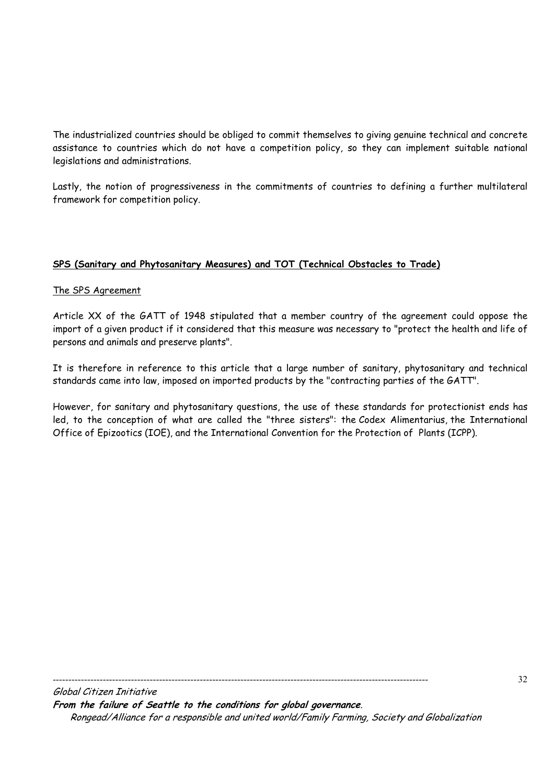The industrialized countries should be obliged to commit themselves to giving genuine technical and concrete assistance to countries which do not have a competition policy, so they can implement suitable national legislations and administrations.

Lastly, the notion of progressiveness in the commitments of countries to defining a further multilateral framework for competition policy.

# **SPS (Sanitary and Phytosanitary Measures) and TOT (Technical Obstacles to Trade)**

# The SPS Agreement

Article XX of the GATT of 1948 stipulated that a member country of the agreement could oppose the import of a given product if it considered that this measure was necessary to "protect the health and life of persons and animals and preserve plants".

It is therefore in reference to this article that a large number of sanitary, phytosanitary and technical standards came into law, imposed on imported products by the "contracting parties of the GATT".

However, for sanitary and phytosanitary questions, the use of these standards for protectionist ends has led, to the conception of what are called the "three sisters": the Codex Alimentarius, the International Office of Epizootics (IOE), and the International Convention for the Protection of Plants (ICPP).

Global Citizen Initiative **From the failure of Seattle to the conditions for global governance**. Rongead/Alliance for a responsible and united world/Family Farming, Society and Globalization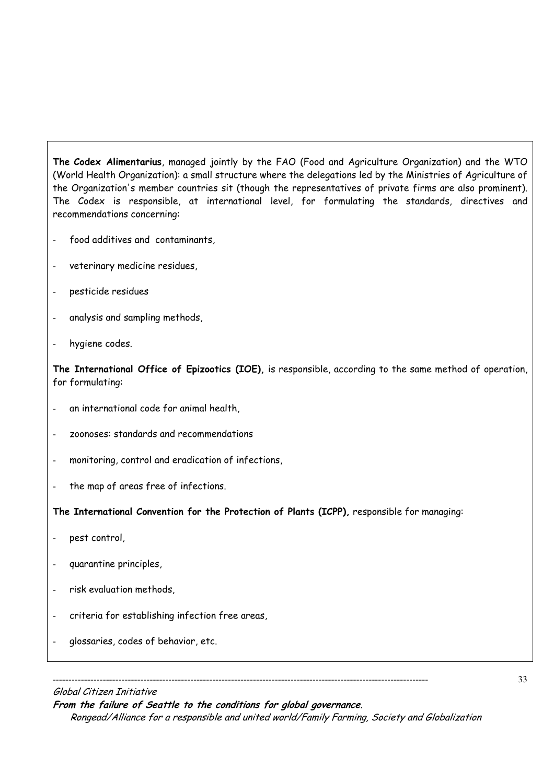**The Codex Alimentarius**, managed jointly by the FAO (Food and Agriculture Organization) and the WTO (World Health Organization): a small structure where the delegations led by the Ministries of Agriculture of the Organization's member countries sit (though the representatives of private firms are also prominent). The Codex is responsible, at international level, for formulating the standards, directives and recommendations concerning:

- food additives and contaminants,
- veterinary medicine residues,
- pesticide residues
- analysis and sampling methods,
- hygiene codes.

**The International Office of Epizootics (IOE),** is responsible, according to the same method of operation, for formulating:

- an international code for animal health,
- zoonoses: standards and recommendations
- monitoring, control and eradication of infections,
- the map of areas free of infections.

**The International Convention for the Protection of Plants (ICPP),** responsible for managing:

- pest control,
- quarantine principles,
- risk evaluation methods,
- criteria for establishing infection free areas,
- glossaries, codes of behavior, etc.

#### Global Citizen Initiative

**From the failure of Seattle to the conditions for global governance**.

------------------------------------------------------------------------------------------------------------------------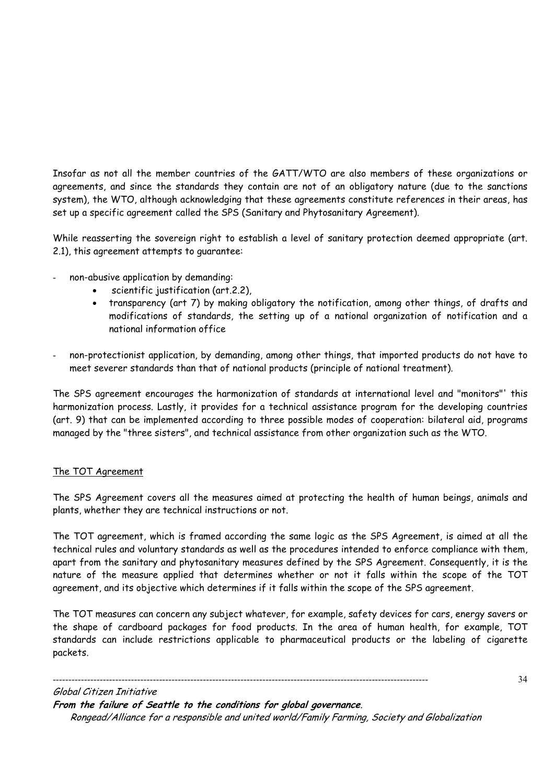Insofar as not all the member countries of the GATT/WTO are also members of these organizations or agreements, and since the standards they contain are not of an obligatory nature (due to the sanctions system), the WTO, although acknowledging that these agreements constitute references in their areas, has set up a specific agreement called the SPS (Sanitary and Phytosanitary Agreement).

While reasserting the sovereign right to establish a level of sanitary protection deemed appropriate (art. 2.1), this agreement attempts to guarantee:

- non-abusive application by demanding:
	- scientific justification (art.2.2),
	- transparency (art 7) by making obligatory the notification, among other things, of drafts and modifications of standards, the setting up of a national organization of notification and a national information office
- non-protectionist application, by demanding, among other things, that imported products do not have to meet severer standards than that of national products (principle of national treatment).

The SPS agreement encourages the harmonization of standards at international level and "monitors"' this harmonization process. Lastly, it provides for a technical assistance program for the developing countries (art. 9) that can be implemented according to three possible modes of cooperation: bilateral aid, programs managed by the "three sisters", and technical assistance from other organization such as the WTO.

# The TOT Agreement

The SPS Agreement covers all the measures aimed at protecting the health of human beings, animals and plants, whether they are technical instructions or not.

The TOT agreement, which is framed according the same logic as the SPS Agreement, is aimed at all the technical rules and voluntary standards as well as the procedures intended to enforce compliance with them, apart from the sanitary and phytosanitary measures defined by the SPS Agreement. Consequently, it is the nature of the measure applied that determines whether or not it falls within the scope of the TOT agreement, and its objective which determines if it falls within the scope of the SPS agreement.

The TOT measures can concern any subject whatever, for example, safety devices for cars, energy savers or the shape of cardboard packages for food products. In the area of human health, for example, TOT standards can include restrictions applicable to pharmaceutical products or the labeling of cigarette packets.

------------------------------------------------------------------------------------------------------------------------ Global Citizen Initiative

**From the failure of Seattle to the conditions for global governance**.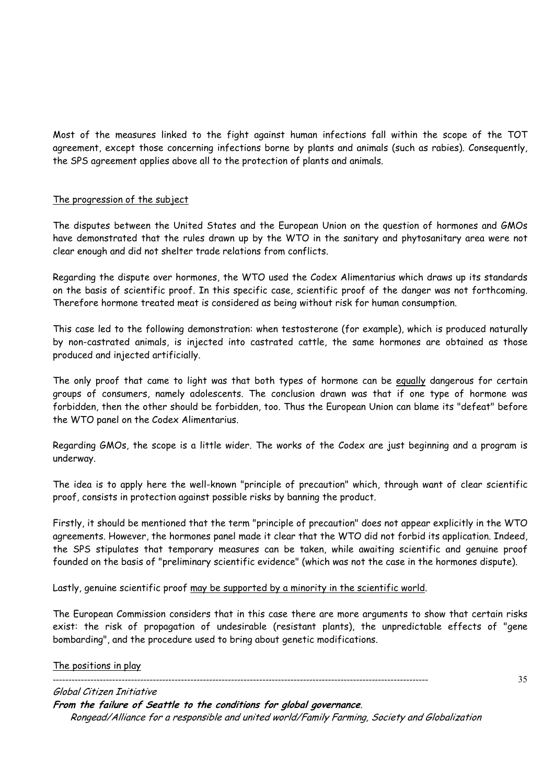Most of the measures linked to the fight against human infections fall within the scope of the TOT agreement, except those concerning infections borne by plants and animals (such as rabies). Consequently, the SPS agreement applies above all to the protection of plants and animals.

# The progression of the subject

The disputes between the United States and the European Union on the question of hormones and GMOs have demonstrated that the rules drawn up by the WTO in the sanitary and phytosanitary area were not clear enough and did not shelter trade relations from conflicts.

Regarding the dispute over hormones, the WTO used the Codex Alimentarius which draws up its standards on the basis of scientific proof. In this specific case, scientific proof of the danger was not forthcoming. Therefore hormone treated meat is considered as being without risk for human consumption.

This case led to the following demonstration: when testosterone (for example), which is produced naturally by non-castrated animals, is injected into castrated cattle, the same hormones are obtained as those produced and injected artificially.

The only proof that came to light was that both types of hormone can be equally dangerous for certain groups of consumers, namely adolescents. The conclusion drawn was that if one type of hormone was forbidden, then the other should be forbidden, too. Thus the European Union can blame its "defeat" before the WTO panel on the Codex Alimentarius.

Regarding GMOs, the scope is a little wider. The works of the Codex are just beginning and a program is underway.

The idea is to apply here the well-known "principle of precaution" which, through want of clear scientific proof, consists in protection against possible risks by banning the product.

Firstly, it should be mentioned that the term "principle of precaution" does not appear explicitly in the WTO agreements. However, the hormones panel made it clear that the WTO did not forbid its application. Indeed, the SPS stipulates that temporary measures can be taken, while awaiting scientific and genuine proof founded on the basis of "preliminary scientific evidence" (which was not the case in the hormones dispute).

Lastly, genuine scientific proof may be supported by a minority in the scientific world.

The European Commission considers that in this case there are more arguments to show that certain risks exist: the risk of propagation of undesirable (resistant plants), the unpredictable effects of "gene bombarding", and the procedure used to bring about genetic modifications.

#### The positions in play

------------------------------------------------------------------------------------------------------------------------

35

Global Citizen Initiative **From the failure of Seattle to the conditions for global governance**. Rongead/Alliance for a responsible and united world/Family Farming, Society and Globalization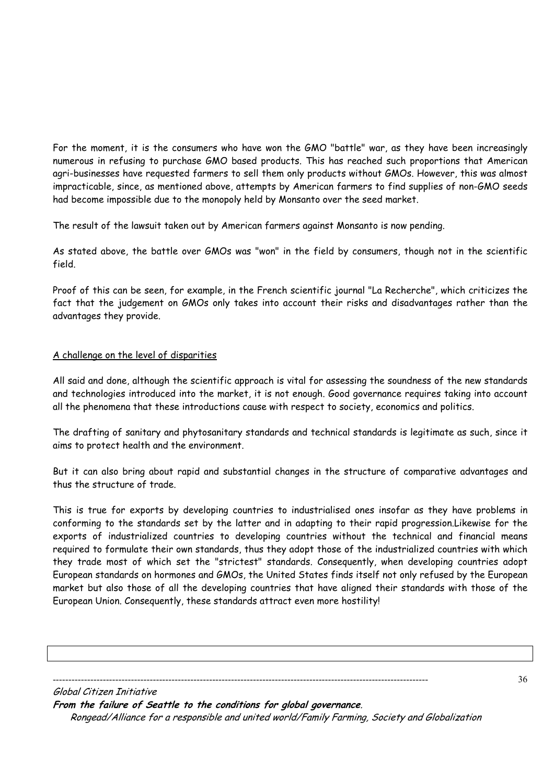For the moment, it is the consumers who have won the GMO "battle" war, as they have been increasingly numerous in refusing to purchase GMO based products. This has reached such proportions that American agri-businesses have requested farmers to sell them only products without GMOs. However, this was almost impracticable, since, as mentioned above, attempts by American farmers to find supplies of non-GMO seeds had become impossible due to the monopoly held by Monsanto over the seed market.

The result of the lawsuit taken out by American farmers against Monsanto is now pending.

As stated above, the battle over GMOs was "won" in the field by consumers, though not in the scientific field.

Proof of this can be seen, for example, in the French scientific journal "La Recherche", which criticizes the fact that the judgement on GMOs only takes into account their risks and disadvantages rather than the advantages they provide.

# A challenge on the level of disparities

All said and done, although the scientific approach is vital for assessing the soundness of the new standards and technologies introduced into the market, it is not enough. Good governance requires taking into account all the phenomena that these introductions cause with respect to society, economics and politics.

The drafting of sanitary and phytosanitary standards and technical standards is legitimate as such, since it aims to protect health and the environment.

But it can also bring about rapid and substantial changes in the structure of comparative advantages and thus the structure of trade.

This is true for exports by developing countries to industrialised ones insofar as they have problems in conforming to the standards set by the latter and in adapting to their rapid progression.Likewise for the exports of industrialized countries to developing countries without the technical and financial means required to formulate their own standards, thus they adopt those of the industrialized countries with which they trade most of which set the "strictest" standards. Consequently, when developing countries adopt European standards on hormones and GMOs, the United States finds itself not only refused by the European market but also those of all the developing countries that have aligned their standards with those of the European Union. Consequently, these standards attract even more hostility!

------------------------------------------------------------------------------------------------------------------------

Global Citizen Initiative **From the failure of Seattle to the conditions for global governance**. Rongead/Alliance for a responsible and united world/Family Farming, Society and Globalization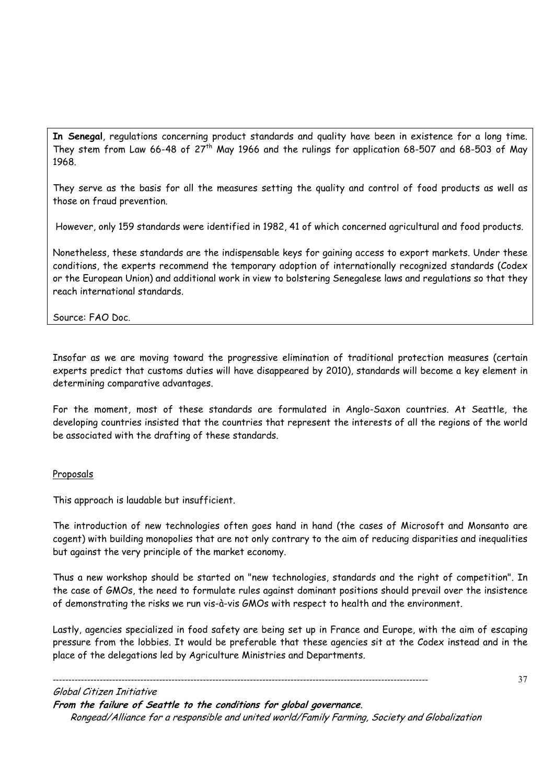**In Senegal**, regulations concerning product standards and quality have been in existence for a long time. They stem from Law 66-48 of 27<sup>th</sup> May 1966 and the rulings for application 68-507 and 68-503 of May 1968.

They serve as the basis for all the measures setting the quality and control of food products as well as those on fraud prevention.

However, only 159 standards were identified in 1982, 41 of which concerned agricultural and food products.

Nonetheless, these standards are the indispensable keys for gaining access to export markets. Under these conditions, the experts recommend the temporary adoption of internationally recognized standards (Codex or the European Union) and additional work in view to bolstering Senegalese laws and regulations so that they reach international standards.

Source: FAO Doc.

Insofar as we are moving toward the progressive elimination of traditional protection measures (certain experts predict that customs duties will have disappeared by 2010), standards will become a key element in determining comparative advantages.

For the moment, most of these standards are formulated in Anglo-Saxon countries. At Seattle, the developing countries insisted that the countries that represent the interests of all the regions of the world be associated with the drafting of these standards.

#### Proposals

This approach is laudable but insufficient.

The introduction of new technologies often goes hand in hand (the cases of Microsoft and Monsanto are cogent) with building monopolies that are not only contrary to the aim of reducing disparities and inequalities but against the very principle of the market economy.

Thus a new workshop should be started on "new technologies, standards and the right of competition". In the case of GMOs, the need to formulate rules against dominant positions should prevail over the insistence of demonstrating the risks we run vis-à-vis GMOs with respect to health and the environment.

Lastly, agencies specialized in food safety are being set up in France and Europe, with the aim of escaping pressure from the lobbies. It would be preferable that these agencies sit at the Codex instead and in the place of the delegations led by Agriculture Ministries and Departments.

Global Citizen Initiative

**From the failure of Seattle to the conditions for global governance**.

------------------------------------------------------------------------------------------------------------------------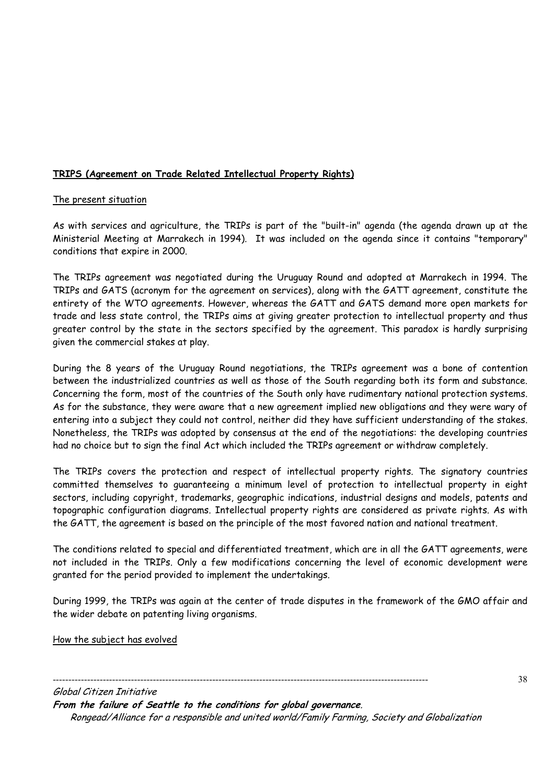# **TRIPS (Agreement on Trade Related Intellectual Property Rights)**

# The present situation

As with services and agriculture, the TRIPs is part of the "built-in" agenda (the agenda drawn up at the Ministerial Meeting at Marrakech in 1994). It was included on the agenda since it contains "temporary" conditions that expire in 2000.

The TRIPs agreement was negotiated during the Uruguay Round and adopted at Marrakech in 1994. The TRIPs and GATS (acronym for the agreement on services), along with the GATT agreement, constitute the entirety of the WTO agreements. However, whereas the GATT and GATS demand more open markets for trade and less state control, the TRIPs aims at giving greater protection to intellectual property and thus greater control by the state in the sectors specified by the agreement. This paradox is hardly surprising given the commercial stakes at play.

During the 8 years of the Uruguay Round negotiations, the TRIPs agreement was a bone of contention between the industrialized countries as well as those of the South regarding both its form and substance. Concerning the form, most of the countries of the South only have rudimentary national protection systems. As for the substance, they were aware that a new agreement implied new obligations and they were wary of entering into a subject they could not control, neither did they have sufficient understanding of the stakes. Nonetheless, the TRIPs was adopted by consensus at the end of the negotiations: the developing countries had no choice but to sign the final Act which included the TRIPs agreement or withdraw completely.

The TRIPs covers the protection and respect of intellectual property rights. The signatory countries committed themselves to guaranteeing a minimum level of protection to intellectual property in eight sectors, including copyright, trademarks, geographic indications, industrial designs and models, patents and topographic configuration diagrams. Intellectual property rights are considered as private rights. As with the GATT, the agreement is based on the principle of the most favored nation and national treatment.

The conditions related to special and differentiated treatment, which are in all the GATT agreements, were not included in the TRIPs. Only a few modifications concerning the level of economic development were granted for the period provided to implement the undertakings.

During 1999, the TRIPs was again at the center of trade disputes in the framework of the GMO affair and the wider debate on patenting living organisms.

How the subject has evolved

38

Global Citizen Initiative **From the failure of Seattle to the conditions for global governance**. Rongead/Alliance for a responsible and united world/Family Farming, Society and Globalization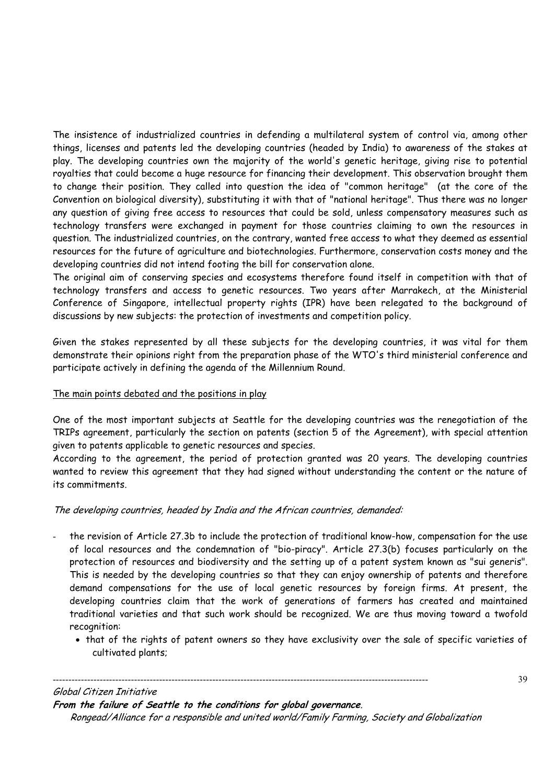The insistence of industrialized countries in defending a multilateral system of control via, among other things, licenses and patents led the developing countries (headed by India) to awareness of the stakes at play. The developing countries own the majority of the world's genetic heritage, giving rise to potential royalties that could become a huge resource for financing their development. This observation brought them to change their position. They called into question the idea of "common heritage" (at the core of the Convention on biological diversity), substituting it with that of "national heritage". Thus there was no longer any question of giving free access to resources that could be sold, unless compensatory measures such as technology transfers were exchanged in payment for those countries claiming to own the resources in question. The industrialized countries, on the contrary, wanted free access to what they deemed as essential resources for the future of agriculture and biotechnologies. Furthermore, conservation costs money and the developing countries did not intend footing the bill for conservation alone.

The original aim of conserving species and ecosystems therefore found itself in competition with that of technology transfers and access to genetic resources. Two years after Marrakech, at the Ministerial Conference of Singapore, intellectual property rights (IPR) have been relegated to the background of discussions by new subjects: the protection of investments and competition policy.

Given the stakes represented by all these subjects for the developing countries, it was vital for them demonstrate their opinions right from the preparation phase of the WTO's third ministerial conference and participate actively in defining the agenda of the Millennium Round.

# The main points debated and the positions in play

One of the most important subjects at Seattle for the developing countries was the renegotiation of the TRIPs agreement, particularly the section on patents (section 5 of the Agreement), with special attention given to patents applicable to genetic resources and species.

According to the agreement, the period of protection granted was 20 years. The developing countries wanted to review this agreement that they had signed without understanding the content or the nature of its commitments.

# The developing countries, headed by India and the African countries, demanded:

- the revision of Article 27.3b to include the protection of traditional know-how, compensation for the use of local resources and the condemnation of "bio-piracy". Article 27.3(b) focuses particularly on the protection of resources and biodiversity and the setting up of a patent system known as "sui generis". This is needed by the developing countries so that they can enjoy ownership of patents and therefore demand compensations for the use of local genetic resources by foreign firms. At present, the developing countries claim that the work of generations of farmers has created and maintained traditional varieties and that such work should be recognized. We are thus moving toward a twofold recognition:
	- that of the rights of patent owners so they have exclusivity over the sale of specific varieties of cultivated plants;

#### Global Citizen Initiative

**From the failure of Seattle to the conditions for global governance**.

------------------------------------------------------------------------------------------------------------------------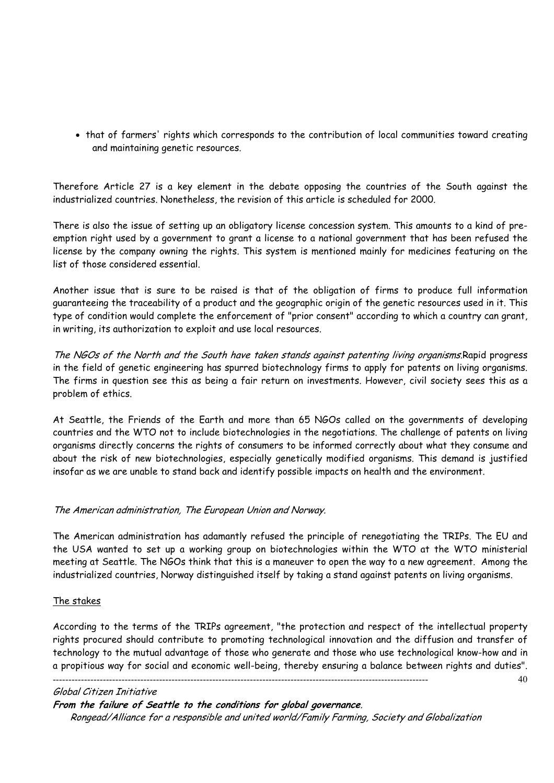• that of farmers' rights which corresponds to the contribution of local communities toward creating and maintaining genetic resources.

Therefore Article 27 is a key element in the debate opposing the countries of the South against the industrialized countries. Nonetheless, the revision of this article is scheduled for 2000.

There is also the issue of setting up an obligatory license concession system. This amounts to a kind of preemption right used by a government to grant a license to a national government that has been refused the license by the company owning the rights. This system is mentioned mainly for medicines featuring on the list of those considered essential.

Another issue that is sure to be raised is that of the obligation of firms to produce full information guaranteeing the traceability of a product and the geographic origin of the genetic resources used in it. This type of condition would complete the enforcement of "prior consent" according to which a country can grant, in writing, its authorization to exploit and use local resources.

The NGOs of the North and the South have taken stands against patenting living organisms.Rapid progress in the field of genetic engineering has spurred biotechnology firms to apply for patents on living organisms. The firms in question see this as being a fair return on investments. However, civil society sees this as a problem of ethics.

At Seattle, the Friends of the Earth and more than 65 NGOs called on the governments of developing countries and the WTO not to include biotechnologies in the negotiations. The challenge of patents on living organisms directly concerns the rights of consumers to be informed correctly about what they consume and about the risk of new biotechnologies, especially genetically modified organisms. This demand is justified insofar as we are unable to stand back and identify possible impacts on health and the environment.

# The American administration, The European Union and Norway.

The American administration has adamantly refused the principle of renegotiating the TRIPs. The EU and the USA wanted to set up a working group on biotechnologies within the WTO at the WTO ministerial meeting at Seattle. The NGOs think that this is a maneuver to open the way to a new agreement. Among the industrialized countries, Norway distinguished itself by taking a stand against patents on living organisms.

#### The stakes

According to the terms of the TRIPs agreement, "the protection and respect of the intellectual property rights procured should contribute to promoting technological innovation and the diffusion and transfer of technology to the mutual advantage of those who generate and those who use technological know-how and in a propitious way for social and economic well-being, thereby ensuring a balance between rights and duties".

40

#### Global Citizen Initiative

**From the failure of Seattle to the conditions for global governance**.

------------------------------------------------------------------------------------------------------------------------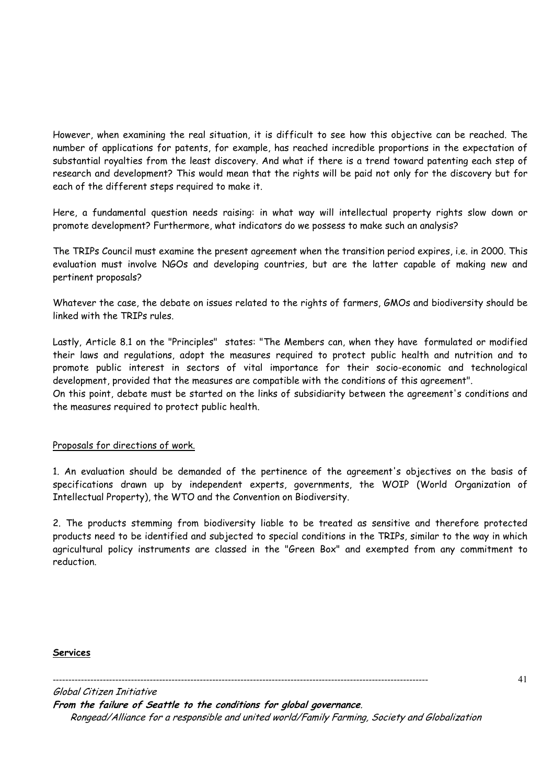However, when examining the real situation, it is difficult to see how this objective can be reached. The number of applications for patents, for example, has reached incredible proportions in the expectation of substantial royalties from the least discovery. And what if there is a trend toward patenting each step of research and development? This would mean that the rights will be paid not only for the discovery but for each of the different steps required to make it.

Here, a fundamental question needs raising: in what way will intellectual property rights slow down or promote development? Furthermore, what indicators do we possess to make such an analysis?

The TRIPs Council must examine the present agreement when the transition period expires, i.e. in 2000. This evaluation must involve NGOs and developing countries, but are the latter capable of making new and pertinent proposals?

Whatever the case, the debate on issues related to the rights of farmers, GMOs and biodiversity should be linked with the TRIPs rules.

Lastly, Article 8.1 on the "Principles" states: "The Members can, when they have formulated or modified their laws and regulations, adopt the measures required to protect public health and nutrition and to promote public interest in sectors of vital importance for their socio-economic and technological development, provided that the measures are compatible with the conditions of this agreement".

On this point, debate must be started on the links of subsidiarity between the agreement's conditions and the measures required to protect public health.

#### Proposals for directions of work.

1. An evaluation should be demanded of the pertinence of the agreement's objectives on the basis of specifications drawn up by independent experts, governments, the WOIP (World Organization of Intellectual Property), the WTO and the Convention on Biodiversity.

2. The products stemming from biodiversity liable to be treated as sensitive and therefore protected products need to be identified and subjected to special conditions in the TRIPs, similar to the way in which agricultural policy instruments are classed in the "Green Box" and exempted from any commitment to reduction.

#### **Services**

------------------------------------------------------------------------------------------------------------------------

Global Citizen Initiative **From the failure of Seattle to the conditions for global governance**. Rongead/Alliance for a responsible and united world/Family Farming, Society and Globalization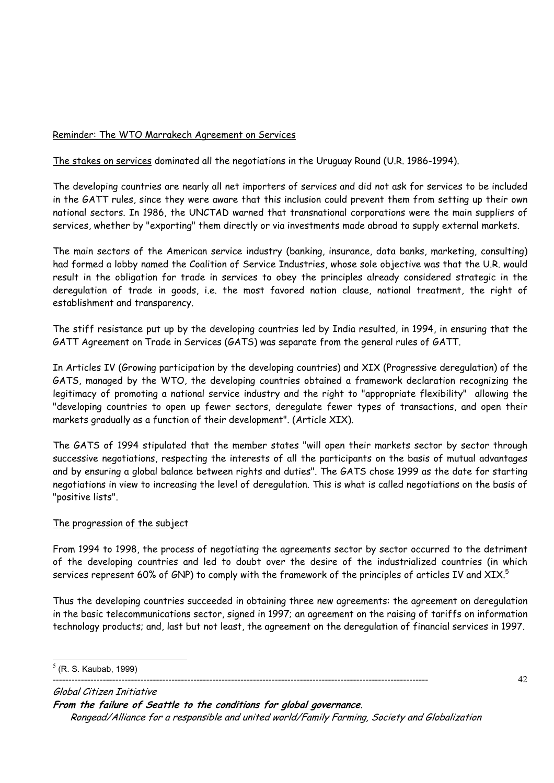# Reminder: The WTO Marrakech Agreement on Services

The stakes on services dominated all the negotiations in the Uruguay Round (U.R. 1986-1994).

The developing countries are nearly all net importers of services and did not ask for services to be included in the GATT rules, since they were aware that this inclusion could prevent them from setting up their own national sectors. In 1986, the UNCTAD warned that transnational corporations were the main suppliers of services, whether by "exporting" them directly or via investments made abroad to supply external markets.

The main sectors of the American service industry (banking, insurance, data banks, marketing, consulting) had formed a lobby named the Coalition of Service Industries, whose sole objective was that the U.R. would result in the obligation for trade in services to obey the principles already considered strategic in the deregulation of trade in goods, i.e. the most favored nation clause, national treatment, the right of establishment and transparency.

The stiff resistance put up by the developing countries led by India resulted, in 1994, in ensuring that the GATT Agreement on Trade in Services (GATS) was separate from the general rules of GATT.

In Articles IV (Growing participation by the developing countries) and XIX (Progressive deregulation) of the GATS, managed by the WTO, the developing countries obtained a framework declaration recognizing the legitimacy of promoting a national service industry and the right to "appropriate flexibility" allowing the "developing countries to open up fewer sectors, deregulate fewer types of transactions, and open their markets gradually as a function of their development". (Article XIX).

The GATS of 1994 stipulated that the member states "will open their markets sector by sector through successive negotiations, respecting the interests of all the participants on the basis of mutual advantages and by ensuring a global balance between rights and duties". The GATS chose 1999 as the date for starting negotiations in view to increasing the level of deregulation. This is what is called negotiations on the basis of "positive lists".

# The progression of the subject

From 1994 to 1998, the process of negotiating the agreements sector by sector occurred to the detriment of the developing countries and led to doubt over the desire of the industrialized countries (in which services represent 60% of GNP) to comply with the framework of the principles of articles IV and XIX. $^5$ 

Thus the developing countries succeeded in obtaining three new agreements: the agreement on deregulation in the basic telecommunications sector, signed in 1997; an agreement on the raising of tariffs on information technology products; and, last but not least, the agreement on the deregulation of financial services in 1997.

42

Global Citizen Initiative **From the failure of Seattle to the conditions for global governance**. Rongead/Alliance for a responsible and united world/Family Farming, Society and Globalization

 $\overline{a}$  $<sup>5</sup>$  (R. S. Kaubab, 1999)</sup>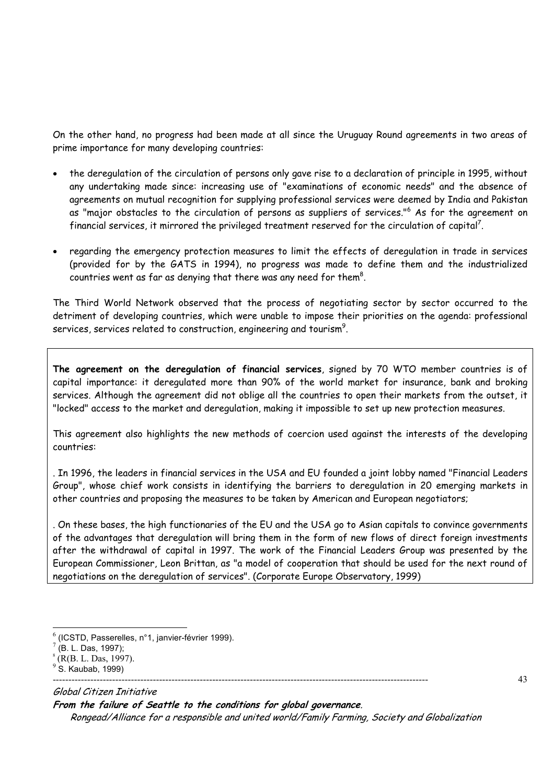On the other hand, no progress had been made at all since the Uruguay Round agreements in two areas of prime importance for many developing countries:

- the deregulation of the circulation of persons only gave rise to a declaration of principle in 1995, without any undertaking made since: increasing use of "examinations of economic needs" and the absence of agreements on mutual recognition for supplying professional services were deemed by India and Pakistan as "major obstacles to the circulation of persons as suppliers of services."6 As for the agreement on financial services, it mirrored the privileged treatment reserved for the circulation of capital<sup>7</sup>.
- regarding the emergency protection measures to limit the effects of deregulation in trade in services (provided for by the GATS in 1994), no progress was made to define them and the industrialized countries went as far as denying that there was any need for them $^8$ .

The Third World Network observed that the process of negotiating sector by sector occurred to the detriment of developing countries, which were unable to impose their priorities on the agenda: professional services, services related to construction, engineering and tourism $^9\!$ .

**The agreement on the deregulation of financial services**, signed by 70 WTO member countries is of capital importance: it deregulated more than 90% of the world market for insurance, bank and broking services. Although the agreement did not oblige all the countries to open their markets from the outset, it "locked" access to the market and deregulation, making it impossible to set up new protection measures.

This agreement also highlights the new methods of coercion used against the interests of the developing countries:

. In 1996, the leaders in financial services in the USA and EU founded a joint lobby named "Financial Leaders Group", whose chief work consists in identifying the barriers to deregulation in 20 emerging markets in other countries and proposing the measures to be taken by American and European negotiators;

. On these bases, the high functionaries of the EU and the USA go to Asian capitals to convince governments of the advantages that deregulation will bring them in the form of new flows of direct foreign investments after the withdrawal of capital in 1997. The work of the Financial Leaders Group was presented by the European Commissioner, Leon Brittan, as "a model of cooperation that should be used for the next round of negotiations on the deregulation of services". (Corporate Europe Observatory, 1999)

 $\overline{a}$ 

Global Citizen Initiative **From the failure of Seattle to the conditions for global governance**. Rongead/Alliance for a responsible and united world/Family Farming, Society and Globalization 43

 $<sup>6</sup>$  (ICSTD, Passerelles, n°1, janvier-février 1999).</sup>

<sup>7</sup> (B. L. Das, 1997);

<sup>8</sup> (R(B. L. Das, 1997).

<sup>------------------------------------------------------------------------------------------------------------------------</sup>   $9$  S. Kaubab, 1999)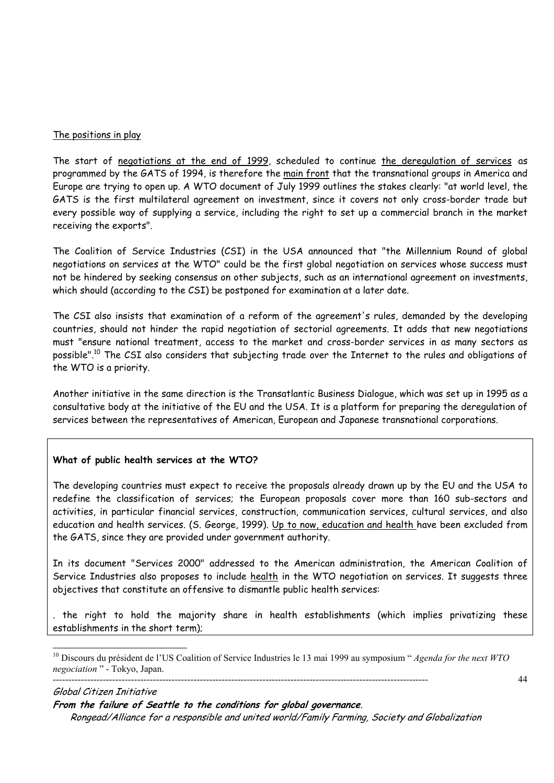#### The positions in play

The start of negotiations at the end of 1999, scheduled to continue the deregulation of services as programmed by the GATS of 1994, is therefore the main front that the transnational groups in America and Europe are trying to open up. A WTO document of July 1999 outlines the stakes clearly: "at world level, the GATS is the first multilateral agreement on investment, since it covers not only cross-border trade but every possible way of supplying a service, including the right to set up a commercial branch in the market receiving the exports".

The Coalition of Service Industries (CSI) in the USA announced that "the Millennium Round of global negotiations on services at the WTO" could be the first global negotiation on services whose success must not be hindered by seeking consensus on other subjects, such as an international agreement on investments, which should (according to the CSI) be postponed for examination at a later date.

The CSI also insists that examination of a reform of the agreement's rules, demanded by the developing countries, should not hinder the rapid negotiation of sectorial agreements. It adds that new negotiations must "ensure national treatment, access to the market and cross-border services in as many sectors as possible".10 The CSI also considers that subjecting trade over the Internet to the rules and obligations of the WTO is a priority.

Another initiative in the same direction is the Transatlantic Business Dialogue, which was set up in 1995 as a consultative body at the initiative of the EU and the USA. It is a platform for preparing the deregulation of services between the representatives of American, European and Japanese transnational corporations.

# **What of public health services at the WTO?**

 $\overline{a}$ 

The developing countries must expect to receive the proposals already drawn up by the EU and the USA to redefine the classification of services; the European proposals cover more than 160 sub-sectors and activities, in particular financial services, construction, communication services, cultural services, and also education and health services. (S. George, 1999). Up to now, education and health have been excluded from the GATS, since they are provided under government authority.

In its document "Services 2000" addressed to the American administration, the American Coalition of Service Industries also proposes to include health in the WTO negotiation on services. It suggests three objectives that constitute an offensive to dismantle public health services:

. the right to hold the majority share in health establishments (which implies privatizing these establishments in the short term);

Global Citizen Initiative **From the failure of Seattle to the conditions for global governance**. Rongead/Alliance for a responsible and united world/Family Farming, Society and Globalization

<sup>------------------------------------------------------------------------------------------------------------------------</sup>  10 Discours du président de l'US Coalition of Service Industries le 13 mai 1999 au symposium " *Agenda for the next WTO negociation* " - Tokyo, Japan.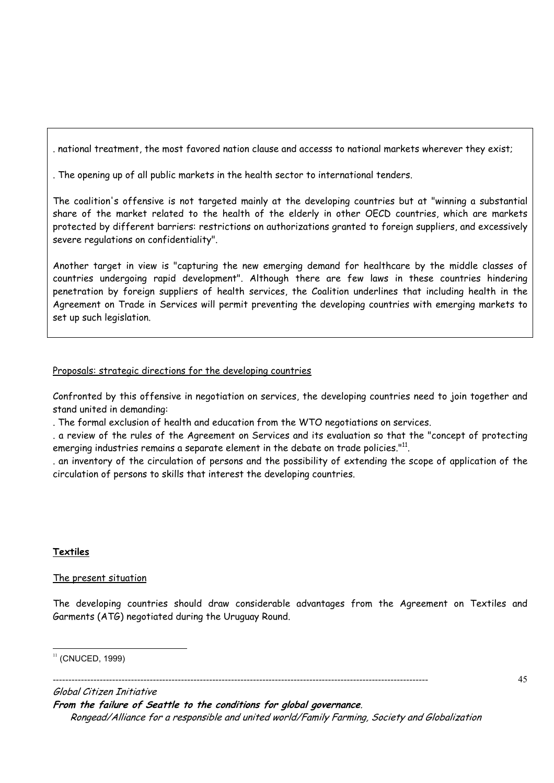. national treatment, the most favored nation clause and accesss to national markets wherever they exist;

. The opening up of all public markets in the health sector to international tenders.

The coalition's offensive is not targeted mainly at the developing countries but at "winning a substantial share of the market related to the health of the elderly in other OECD countries, which are markets protected by different barriers: restrictions on authorizations granted to foreign suppliers, and excessively severe regulations on confidentiality".

Another target in view is "capturing the new emerging demand for healthcare by the middle classes of countries undergoing rapid development". Although there are few laws in these countries hindering penetration by foreign suppliers of health services, the Coalition underlines that including health in the Agreement on Trade in Services will permit preventing the developing countries with emerging markets to set up such legislation.

# Proposals: strategic directions for the developing countries

Confronted by this offensive in negotiation on services, the developing countries need to join together and stand united in demanding:

. The formal exclusion of health and education from the WTO negotiations on services.

. a review of the rules of the Agreement on Services and its evaluation so that the "concept of protecting emerging industries remains a separate element in the debate on trade policies."<sup>11</sup>.

. an inventory of the circulation of persons and the possibility of extending the scope of application of the circulation of persons to skills that interest the developing countries.

# **Textiles**

# The present situation

The developing countries should draw considerable advantages from the Agreement on Textiles and Garments (ATG) negotiated during the Uruguay Round.

#### $\overline{a}$  $11$  (CNUCED, 1999)

------------------------------------------------------------------------------------------------------------------------

Global Citizen Initiative **From the failure of Seattle to the conditions for global governance**. Rongead/Alliance for a responsible and united world/Family Farming, Society and Globalization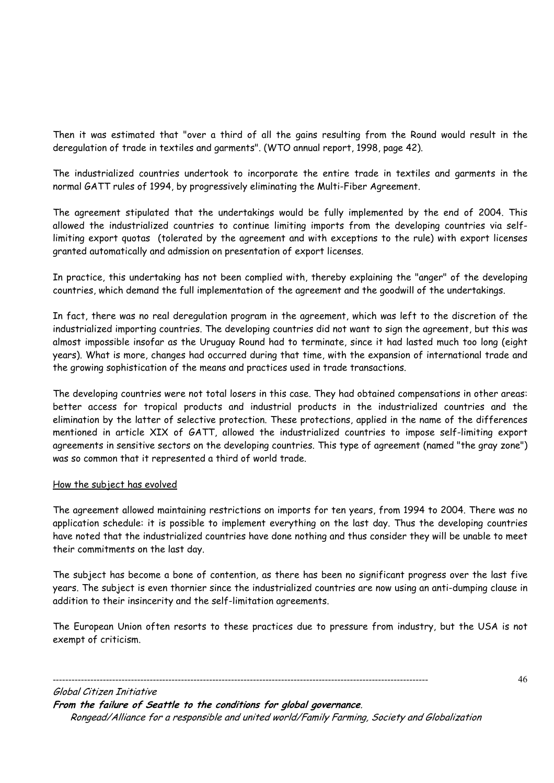Then it was estimated that "over a third of all the gains resulting from the Round would result in the deregulation of trade in textiles and garments". (WTO annual report, 1998, page 42).

The industrialized countries undertook to incorporate the entire trade in textiles and garments in the normal GATT rules of 1994, by progressively eliminating the Multi-Fiber Agreement.

The agreement stipulated that the undertakings would be fully implemented by the end of 2004. This allowed the industrialized countries to continue limiting imports from the developing countries via selflimiting export quotas (tolerated by the agreement and with exceptions to the rule) with export licenses granted automatically and admission on presentation of export licenses.

In practice, this undertaking has not been complied with, thereby explaining the "anger" of the developing countries, which demand the full implementation of the agreement and the goodwill of the undertakings.

In fact, there was no real deregulation program in the agreement, which was left to the discretion of the industrialized importing countries. The developing countries did not want to sign the agreement, but this was almost impossible insofar as the Uruguay Round had to terminate, since it had lasted much too long (eight years). What is more, changes had occurred during that time, with the expansion of international trade and the growing sophistication of the means and practices used in trade transactions.

The developing countries were not total losers in this case. They had obtained compensations in other areas: better access for tropical products and industrial products in the industrialized countries and the elimination by the latter of selective protection. These protections, applied in the name of the differences mentioned in article XIX of GATT, allowed the industrialized countries to impose self-limiting export agreements in sensitive sectors on the developing countries. This type of agreement (named "the gray zone") was so common that it represented a third of world trade.

#### How the subject has evolved

The agreement allowed maintaining restrictions on imports for ten years, from 1994 to 2004. There was no application schedule: it is possible to implement everything on the last day. Thus the developing countries have noted that the industrialized countries have done nothing and thus consider they will be unable to meet their commitments on the last day.

The subject has become a bone of contention, as there has been no significant progress over the last five years. The subject is even thornier since the industrialized countries are now using an anti-dumping clause in addition to their insincerity and the self-limitation agreements.

The European Union often resorts to these practices due to pressure from industry, but the USA is not exempt of criticism.

Global Citizen Initiative **From the failure of Seattle to the conditions for global governance**. Rongead/Alliance for a responsible and united world/Family Farming, Society and Globalization

------------------------------------------------------------------------------------------------------------------------

46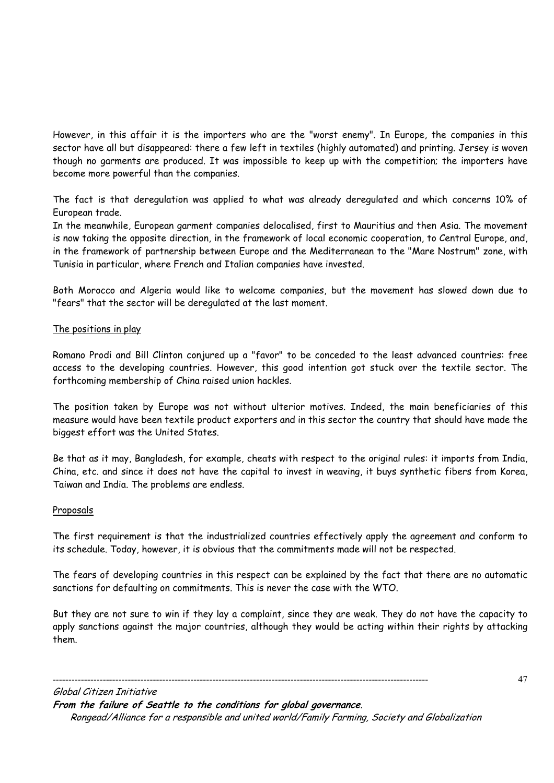However, in this affair it is the importers who are the "worst enemy". In Europe, the companies in this sector have all but disappeared: there a few left in textiles (highly automated) and printing. Jersey is woven though no garments are produced. It was impossible to keep up with the competition; the importers have become more powerful than the companies.

The fact is that deregulation was applied to what was already deregulated and which concerns 10% of European trade.

In the meanwhile, European garment companies delocalised, first to Mauritius and then Asia. The movement is now taking the opposite direction, in the framework of local economic cooperation, to Central Europe, and, in the framework of partnership between Europe and the Mediterranean to the "Mare Nostrum" zone, with Tunisia in particular, where French and Italian companies have invested.

Both Morocco and Algeria would like to welcome companies, but the movement has slowed down due to "fears" that the sector will be deregulated at the last moment.

# The positions in play

Romano Prodi and Bill Clinton conjured up a "favor" to be conceded to the least advanced countries: free access to the developing countries. However, this good intention got stuck over the textile sector. The forthcoming membership of China raised union hackles.

The position taken by Europe was not without ulterior motives. Indeed, the main beneficiaries of this measure would have been textile product exporters and in this sector the country that should have made the biggest effort was the United States.

Be that as it may, Bangladesh, for example, cheats with respect to the original rules: it imports from India, China, etc. and since it does not have the capital to invest in weaving, it buys synthetic fibers from Korea, Taiwan and India. The problems are endless.

#### Proposals

The first requirement is that the industrialized countries effectively apply the agreement and conform to its schedule. Today, however, it is obvious that the commitments made will not be respected.

The fears of developing countries in this respect can be explained by the fact that there are no automatic sanctions for defaulting on commitments. This is never the case with the WTO.

But they are not sure to win if they lay a complaint, since they are weak. They do not have the capacity to apply sanctions against the major countries, although they would be acting within their rights by attacking them.

47

Global Citizen Initiative **From the failure of Seattle to the conditions for global governance**. Rongead/Alliance for a responsible and united world/Family Farming, Society and Globalization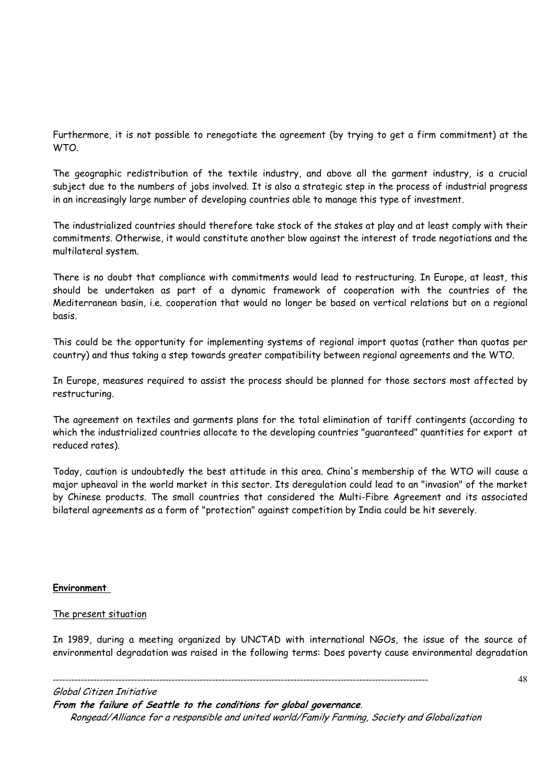Furthermore, it is not possible to renegotiate the agreement (by trying to get a firm commitment) at the WTO.

The geographic redistribution of the textile industry, and above all the garment industry, is a crucial subject due to the numbers of jobs involved. It is also a strategic step in the process of industrial progress in an increasingly large number of developing countries able to manage this type of investment.

The industrialized countries should therefore take stock of the stakes at play and at least comply with their commitments. Otherwise, it would constitute another blow against the interest of trade negotiations and the multilateral system.

There is no doubt that compliance with commitments would lead to restructuring. In Europe, at least, this should be undertaken as part of a dynamic framework of cooperation with the countries of the Mediterranean basin, i.e. cooperation that would no longer be based on vertical relations but on a regional basis.

This could be the opportunity for implementing systems of regional import quotas (rather than quotas per country) and thus taking a step towards greater compatibility between regional agreements and the WTO.

In Europe, measures required to assist the process should be planned for those sectors most affected by restructuring.

The agreement on textiles and garments plans for the total elimination of tariff contingents (according to which the industrialized countries allocate to the developing countries "guaranteed" quantities for export at reduced rates).

Today, caution is undoubtedly the best attitude in this area. China's membership of the WTO will cause a major upheaval in the world market in this sector. Its deregulation could lead to an "invasion" of the market by Chinese products. The small countries that considered the Multi-Fibre Agreement and its associated bilateral agreements as a form of "protection" against competition by India could be hit severely.

#### **Environment**

#### The present situation

In 1989, during a meeting organized by UNCTAD with international NGOs, the issue of the source of environmental degradation was raised in the following terms: Does poverty cause environmental degradation

#### Global Citizen Initiative

**From the failure of Seattle to the conditions for global governance**. Rongead/Alliance for a responsible and united world/Family Farming, Society and Globalization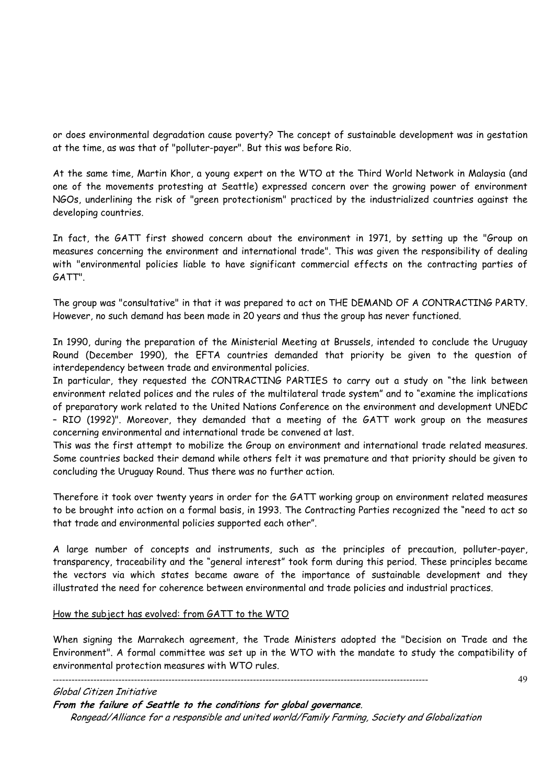or does environmental degradation cause poverty? The concept of sustainable development was in gestation at the time, as was that of "polluter-payer". But this was before Rio.

At the same time, Martin Khor, a young expert on the WTO at the Third World Network in Malaysia (and one of the movements protesting at Seattle) expressed concern over the growing power of environment NGOs, underlining the risk of "green protectionism" practiced by the industrialized countries against the developing countries.

In fact, the GATT first showed concern about the environment in 1971, by setting up the "Group on measures concerning the environment and international trade". This was given the responsibility of dealing with "environmental policies liable to have significant commercial effects on the contracting parties of GATT".

The group was "consultative" in that it was prepared to act on THE DEMAND OF A CONTRACTING PARTY. However, no such demand has been made in 20 years and thus the group has never functioned.

In 1990, during the preparation of the Ministerial Meeting at Brussels, intended to conclude the Uruguay Round (December 1990), the EFTA countries demanded that priority be given to the question of interdependency between trade and environmental policies.

In particular, they requested the CONTRACTING PARTIES to carry out a study on "the link between environment related polices and the rules of the multilateral trade system" and to "examine the implications of preparatory work related to the United Nations Conference on the environment and development UNEDC – RIO (1992)". Moreover, they demanded that a meeting of the GATT work group on the measures concerning environmental and international trade be convened at last.

This was the first attempt to mobilize the Group on environment and international trade related measures. Some countries backed their demand while others felt it was premature and that priority should be given to concluding the Uruguay Round. Thus there was no further action.

Therefore it took over twenty years in order for the GATT working group on environment related measures to be brought into action on a formal basis, in 1993. The Contracting Parties recognized the "need to act so that trade and environmental policies supported each other".

A large number of concepts and instruments, such as the principles of precaution, polluter-payer, transparency, traceability and the "general interest" took form during this period. These principles became the vectors via which states became aware of the importance of sustainable development and they illustrated the need for coherence between environmental and trade policies and industrial practices.

#### How the subject has evolved: from GATT to the WTO

When signing the Marrakech agreement, the Trade Ministers adopted the "Decision on Trade and the Environment". A formal committee was set up in the WTO with the mandate to study the compatibility of environmental protection measures with WTO rules.

------------------------------------------------------------------------------------------------------------------------

#### 49

Global Citizen Initiative

**From the failure of Seattle to the conditions for global governance**.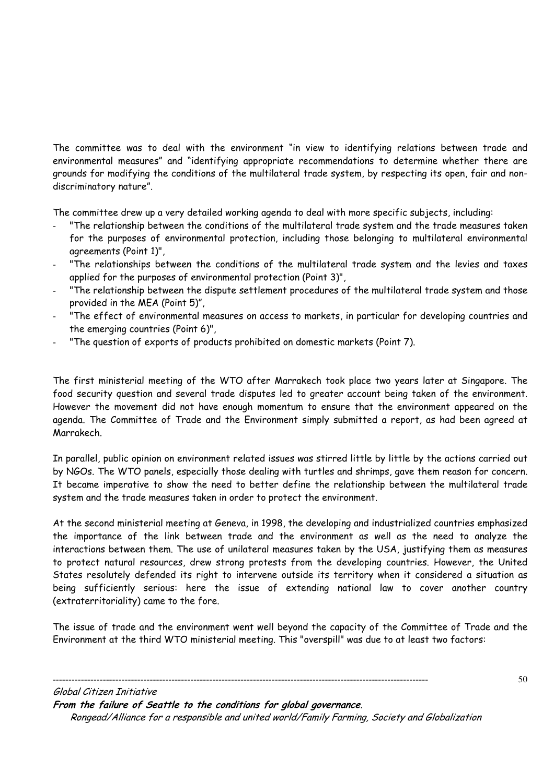The committee was to deal with the environment "in view to identifying relations between trade and environmental measures" and "identifying appropriate recommendations to determine whether there are grounds for modifying the conditions of the multilateral trade system, by respecting its open, fair and nondiscriminatory nature".

The committee drew up a very detailed working agenda to deal with more specific subjects, including:

- "The relationship between the conditions of the multilateral trade system and the trade measures taken for the purposes of environmental protection, including those belonging to multilateral environmental agreements (Point 1)",
- "The relationships between the conditions of the multilateral trade system and the levies and taxes applied for the purposes of environmental protection (Point 3)",
- "The relationship between the dispute settlement procedures of the multilateral trade system and those provided in the MEA (Point 5)",
- "The effect of environmental measures on access to markets, in particular for developing countries and the emerging countries (Point 6)",
- "The question of exports of products prohibited on domestic markets (Point 7).

The first ministerial meeting of the WTO after Marrakech took place two years later at Singapore. The food security question and several trade disputes led to greater account being taken of the environment. However the movement did not have enough momentum to ensure that the environment appeared on the agenda. The Committee of Trade and the Environment simply submitted a report, as had been agreed at Marrakech.

In parallel, public opinion on environment related issues was stirred little by little by the actions carried out by NGOs. The WTO panels, especially those dealing with turtles and shrimps, gave them reason for concern. It became imperative to show the need to better define the relationship between the multilateral trade system and the trade measures taken in order to protect the environment.

At the second ministerial meeting at Geneva, in 1998, the developing and industrialized countries emphasized the importance of the link between trade and the environment as well as the need to analyze the interactions between them. The use of unilateral measures taken by the USA, justifying them as measures to protect natural resources, drew strong protests from the developing countries. However, the United States resolutely defended its right to intervene outside its territory when it considered a situation as being sufficiently serious: here the issue of extending national law to cover another country (extraterritoriality) came to the fore.

The issue of trade and the environment went well beyond the capacity of the Committee of Trade and the Environment at the third WTO ministerial meeting. This "overspill" was due to at least two factors:

Global Citizen Initiative **From the failure of Seattle to the conditions for global governance**. Rongead/Alliance for a responsible and united world/Family Farming, Society and Globalization

------------------------------------------------------------------------------------------------------------------------

50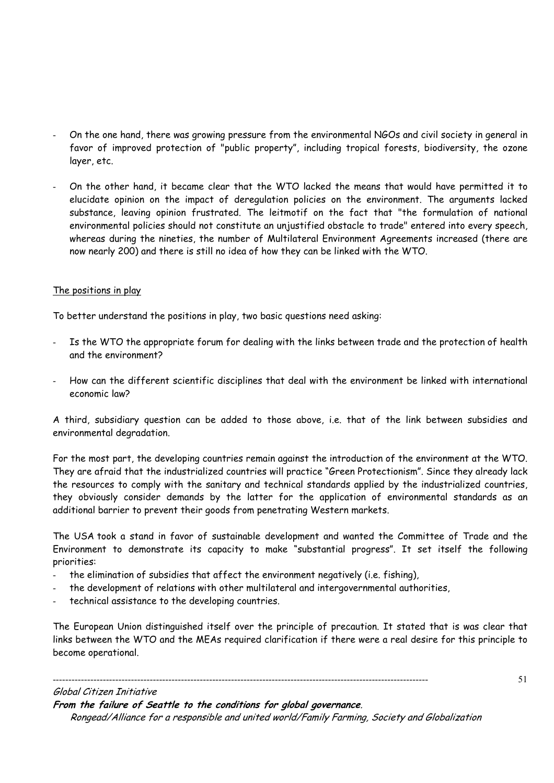- On the one hand, there was growing pressure from the environmental NGOs and civil society in general in favor of improved protection of "public property", including tropical forests, biodiversity, the ozone layer, etc.
- On the other hand, it became clear that the WTO lacked the means that would have permitted it to elucidate opinion on the impact of deregulation policies on the environment. The arguments lacked substance, leaving opinion frustrated. The leitmotif on the fact that "the formulation of national environmental policies should not constitute an unjustified obstacle to trade" entered into every speech, whereas during the nineties, the number of Multilateral Environment Agreements increased (there are now nearly 200) and there is still no idea of how they can be linked with the WTO.

# The positions in play

To better understand the positions in play, two basic questions need asking:

- Is the WTO the appropriate forum for dealing with the links between trade and the protection of health and the environment?
- How can the different scientific disciplines that deal with the environment be linked with international economic law?

A third, subsidiary question can be added to those above, i.e. that of the link between subsidies and environmental degradation.

For the most part, the developing countries remain against the introduction of the environment at the WTO. They are afraid that the industrialized countries will practice "Green Protectionism". Since they already lack the resources to comply with the sanitary and technical standards applied by the industrialized countries, they obviously consider demands by the latter for the application of environmental standards as an additional barrier to prevent their goods from penetrating Western markets.

The USA took a stand in favor of sustainable development and wanted the Committee of Trade and the Environment to demonstrate its capacity to make "substantial progress". It set itself the following priorities:

the elimination of subsidies that affect the environment negatively (i.e. fishing),

------------------------------------------------------------------------------------------------------------------------

- the development of relations with other multilateral and intergovernmental authorities,
- technical assistance to the developing countries.

The European Union distinguished itself over the principle of precaution. It stated that is was clear that links between the WTO and the MEAs required clarification if there were a real desire for this principle to become operational.

51

#### Global Citizen Initiative

**From the failure of Seattle to the conditions for global governance**.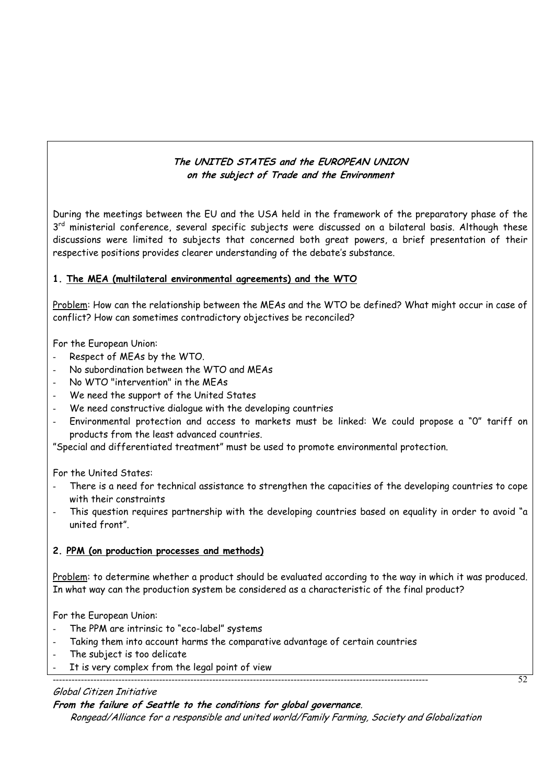# **The UNITED STATES and the EUROPEAN UNION on the subject of Trade and the Environment**

During the meetings between the EU and the USA held in the framework of the preparatory phase of the 3<sup>rd</sup> ministerial conference, several specific subjects were discussed on a bilateral basis. Although these discussions were limited to subjects that concerned both great powers, a brief presentation of their respective positions provides clearer understanding of the debate's substance.

# **1. The MEA (multilateral environmental agreements) and the WTO**

Problem: How can the relationship between the MEAs and the WTO be defined? What might occur in case of conflict? How can sometimes contradictory objectives be reconciled?

For the European Union:

- Respect of MEAs by the WTO.
- No subordination between the WTO and MEAs
- No WTO "intervention" in the MEAs
- We need the support of the United States
- We need constructive dialogue with the developing countries
- Environmental protection and access to markets must be linked: We could propose a "0" tariff on products from the least advanced countries.

"Special and differentiated treatment" must be used to promote environmental protection.

For the United States:

- There is a need for technical assistance to strengthen the capacities of the developing countries to cope with their constraints
- This question requires partnership with the developing countries based on equality in order to avoid "a united front".

#### **2. PPM (on production processes and methods)**

Problem: to determine whether a product should be evaluated according to the way in which it was produced. In what way can the production system be considered as a characteristic of the final product?

For the European Union:

- The PPM are intrinsic to "eco-label" systems
- Taking them into account harms the comparative advantage of certain countries

------------------------------------------------------------------------------------------------------------------------

- The subject is too delicate
- It is very complex from the legal point of view

# Global Citizen Initiative

# **From the failure of Seattle to the conditions for global governance**.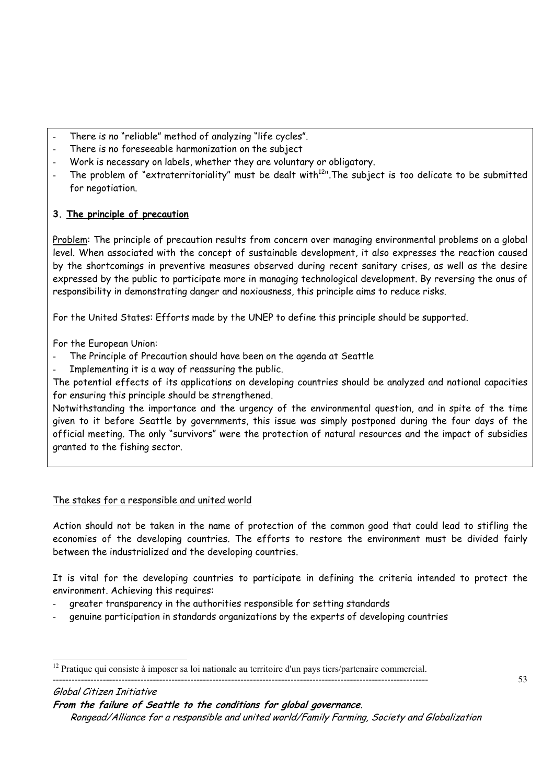- There is no "reliable" method of analyzing "life cycles".
- There is no foreseeable harmonization on the subject
- Work is necessary on labels, whether they are voluntary or obligatory.
- The problem of "extraterritoriality" must be dealt with $12$ ". The subject is too delicate to be submitted for negotiation.

# **3. The principle of precaution**

Problem: The principle of precaution results from concern over managing environmental problems on a global level. When associated with the concept of sustainable development, it also expresses the reaction caused by the shortcomings in preventive measures observed during recent sanitary crises, as well as the desire expressed by the public to participate more in managing technological development. By reversing the onus of responsibility in demonstrating danger and noxiousness, this principle aims to reduce risks.

For the United States: Efforts made by the UNEP to define this principle should be supported.

For the European Union:

- The Principle of Precaution should have been on the agenda at Seattle
- Implementing it is a way of reassuring the public.

The potential effects of its applications on developing countries should be analyzed and national capacities for ensuring this principle should be strengthened.

Notwithstanding the importance and the urgency of the environmental question, and in spite of the time given to it before Seattle by governments, this issue was simply postponed during the four days of the official meeting. The only "survivors" were the protection of natural resources and the impact of subsidies granted to the fishing sector.

# The stakes for a responsible and united world

Action should not be taken in the name of protection of the common good that could lead to stifling the economies of the developing countries. The efforts to restore the environment must be divided fairly between the industrialized and the developing countries.

It is vital for the developing countries to participate in defining the criteria intended to protect the environment. Achieving this requires:

- greater transparency in the authorities responsible for setting standards
- genuine participation in standards organizations by the experts of developing countries

#### ------------------------------------------------------------------------------------------------------------------------ Global Citizen Initiative

**From the failure of Seattle to the conditions for global governance**.

 $\overline{a}$  $12$  Pratique qui consiste à imposer sa loi nationale au territoire d'un pays tiers/partenaire commercial.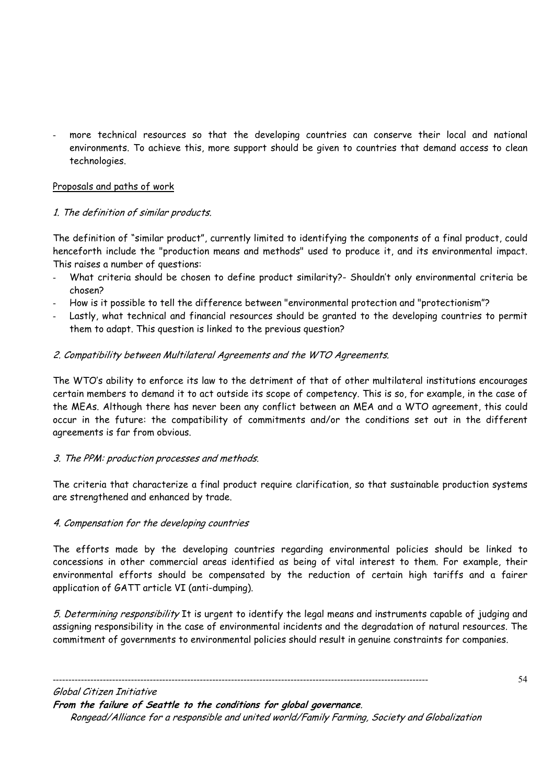more technical resources so that the developing countries can conserve their local and national environments. To achieve this, more support should be given to countries that demand access to clean technologies.

# Proposals and paths of work

# 1. The definition of similar products.

The definition of "similar product", currently limited to identifying the components of a final product, could henceforth include the "production means and methods" used to produce it, and its environmental impact. This raises a number of questions:

- What criteria should be chosen to define product similarity?- Shouldn't only environmental criteria be chosen?
- How is it possible to tell the difference between "environmental protection and "protectionism"?
- Lastly, what technical and financial resources should be granted to the developing countries to permit them to adapt. This question is linked to the previous question?

# 2. Compatibility between Multilateral Agreements and the WTO Agreements.

The WTO's ability to enforce its law to the detriment of that of other multilateral institutions encourages certain members to demand it to act outside its scope of competency. This is so, for example, in the case of the MEAs. Although there has never been any conflict between an MEA and a WTO agreement, this could occur in the future: the compatibility of commitments and/or the conditions set out in the different agreements is far from obvious.

# 3. The PPM: production processes and methods.

The criteria that characterize a final product require clarification, so that sustainable production systems are strengthened and enhanced by trade.

# 4. Compensation for the developing countries

The efforts made by the developing countries regarding environmental policies should be linked to concessions in other commercial areas identified as being of vital interest to them. For example, their environmental efforts should be compensated by the reduction of certain high tariffs and a fairer application of GATT article VI (anti-dumping).

5. Determining responsibility It is urgent to identify the legal means and instruments capable of judging and assigning responsibility in the case of environmental incidents and the degradation of natural resources. The commitment of governments to environmental policies should result in genuine constraints for companies.

Global Citizen Initiative **From the failure of Seattle to the conditions for global governance**. Rongead/Alliance for a responsible and united world/Family Farming, Society and Globalization

------------------------------------------------------------------------------------------------------------------------

54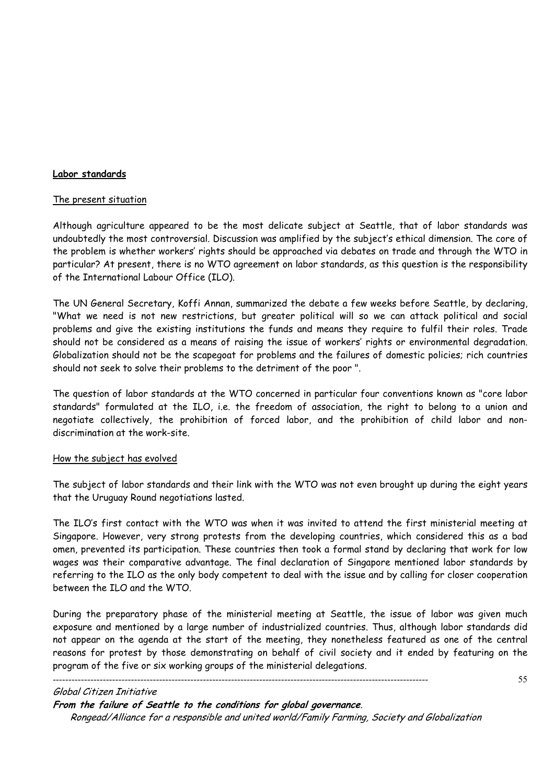# **Labor standards**

#### The present situation

Although agriculture appeared to be the most delicate subject at Seattle, that of labor standards was undoubtedly the most controversial. Discussion was amplified by the subject's ethical dimension. The core of the problem is whether workers' rights should be approached via debates on trade and through the WTO in particular? At present, there is no WTO agreement on labor standards, as this question is the responsibility of the International Labour Office (ILO).

The UN General Secretary, Koffi Annan, summarized the debate a few weeks before Seattle, by declaring, "What we need is not new restrictions, but greater political will so we can attack political and social problems and give the existing institutions the funds and means they require to fulfil their roles. Trade should not be considered as a means of raising the issue of workers' rights or environmental degradation. Globalization should not be the scapegoat for problems and the failures of domestic policies; rich countries should not seek to solve their problems to the detriment of the poor ".

The question of labor standards at the WTO concerned in particular four conventions known as "core labor standards" formulated at the ILO, i.e. the freedom of association, the right to belong to a union and negotiate collectively, the prohibition of forced labor, and the prohibition of child labor and nondiscrimination at the work-site.

#### How the subject has evolved

The subject of labor standards and their link with the WTO was not even brought up during the eight years that the Uruguay Round negotiations lasted.

The ILO's first contact with the WTO was when it was invited to attend the first ministerial meeting at Singapore. However, very strong protests from the developing countries, which considered this as a bad omen, prevented its participation. These countries then took a formal stand by declaring that work for low wages was their comparative advantage. The final declaration of Singapore mentioned labor standards by referring to the ILO as the only body competent to deal with the issue and by calling for closer cooperation between the ILO and the WTO.

During the preparatory phase of the ministerial meeting at Seattle, the issue of labor was given much exposure and mentioned by a large number of industrialized countries. Thus, although labor standards did not appear on the agenda at the start of the meeting, they nonetheless featured as one of the central reasons for protest by those demonstrating on behalf of civil society and it ended by featuring on the program of the five or six working groups of the ministerial delegations.

------------------------------------------------------------------------------------------------------------------------

55

# Global Citizen Initiative

**From the failure of Seattle to the conditions for global governance**.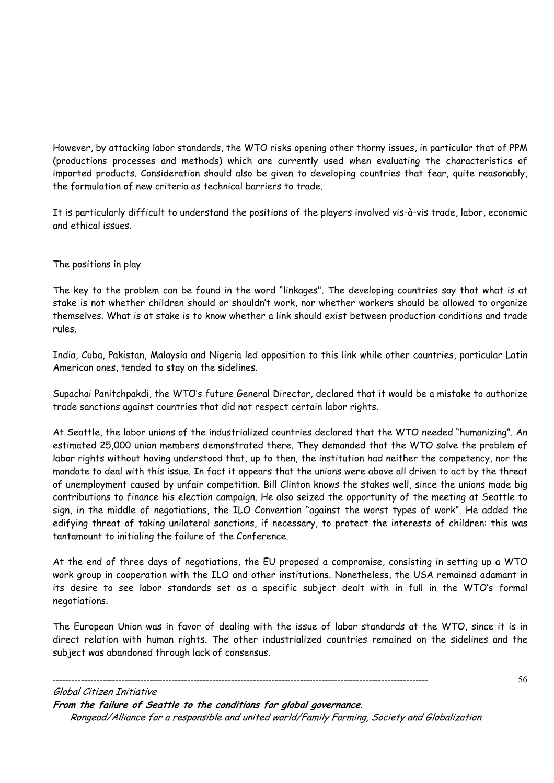However, by attacking labor standards, the WTO risks opening other thorny issues, in particular that of PPM (productions processes and methods) which are currently used when evaluating the characteristics of imported products. Consideration should also be given to developing countries that fear, quite reasonably, the formulation of new criteria as technical barriers to trade.

It is particularly difficult to understand the positions of the players involved vis-à-vis trade, labor, economic and ethical issues.

# The positions in play

The key to the problem can be found in the word "linkages". The developing countries say that what is at stake is not whether children should or shouldn't work, nor whether workers should be allowed to organize themselves. What is at stake is to know whether a link should exist between production conditions and trade rules.

India, Cuba, Pakistan, Malaysia and Nigeria led opposition to this link while other countries, particular Latin American ones, tended to stay on the sidelines.

Supachai Panitchpakdi, the WTO's future General Director, declared that it would be a mistake to authorize trade sanctions against countries that did not respect certain labor rights.

At Seattle, the labor unions of the industrialized countries declared that the WTO needed "humanizing". An estimated 25,000 union members demonstrated there. They demanded that the WTO solve the problem of labor rights without having understood that, up to then, the institution had neither the competency, nor the mandate to deal with this issue. In fact it appears that the unions were above all driven to act by the threat of unemployment caused by unfair competition. Bill Clinton knows the stakes well, since the unions made big contributions to finance his election campaign. He also seized the opportunity of the meeting at Seattle to sign, in the middle of negotiations, the ILO Convention "against the worst types of work". He added the edifying threat of taking unilateral sanctions, if necessary, to protect the interests of children: this was tantamount to initialing the failure of the Conference.

At the end of three days of negotiations, the EU proposed a compromise, consisting in setting up a WTO work group in cooperation with the ILO and other institutions. Nonetheless, the USA remained adamant in its desire to see labor standards set as a specific subject dealt with in full in the WTO's formal negotiations.

The European Union was in favor of dealing with the issue of labor standards at the WTO, since it is in direct relation with human rights. The other industrialized countries remained on the sidelines and the subject was abandoned through lack of consensus.

Global Citizen Initiative **From the failure of Seattle to the conditions for global governance**. Rongead/Alliance for a responsible and united world/Family Farming, Society and Globalization

------------------------------------------------------------------------------------------------------------------------

56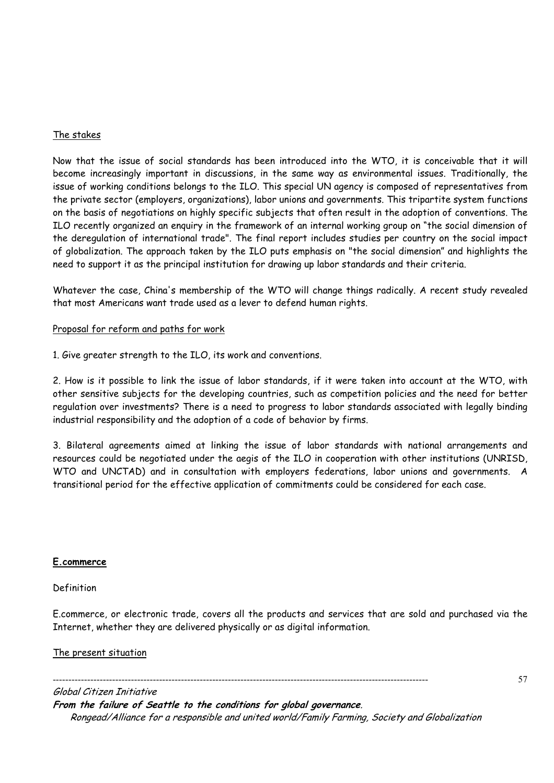# The stakes

Now that the issue of social standards has been introduced into the WTO, it is conceivable that it will become increasingly important in discussions, in the same way as environmental issues. Traditionally, the issue of working conditions belongs to the ILO. This special UN agency is composed of representatives from the private sector (employers, organizations), labor unions and governments. This tripartite system functions on the basis of negotiations on highly specific subjects that often result in the adoption of conventions. The ILO recently organized an enquiry in the framework of an internal working group on "the social dimension of the deregulation of international trade". The final report includes studies per country on the social impact of globalization. The approach taken by the ILO puts emphasis on "the social dimension" and highlights the need to support it as the principal institution for drawing up labor standards and their criteria.

Whatever the case, China's membership of the WTO will change things radically. A recent study revealed that most Americans want trade used as a lever to defend human rights.

# Proposal for reform and paths for work

1. Give greater strength to the ILO, its work and conventions.

2. How is it possible to link the issue of labor standards, if it were taken into account at the WTO, with other sensitive subjects for the developing countries, such as competition policies and the need for better regulation over investments? There is a need to progress to labor standards associated with legally binding industrial responsibility and the adoption of a code of behavior by firms.

3. Bilateral agreements aimed at linking the issue of labor standards with national arrangements and resources could be negotiated under the aegis of the ILO in cooperation with other institutions (UNRISD, WTO and UNCTAD) and in consultation with employers federations, labor unions and governments. A transitional period for the effective application of commitments could be considered for each case.

#### **E.commerce**

#### Definition

E.commerce, or electronic trade, covers all the products and services that are sold and purchased via the Internet, whether they are delivered physically or as digital information.

57

#### The present situation

------------------------------------------------------------------------------------------------------------------------ Global Citizen Initiative **From the failure of Seattle to the conditions for global governance**. Rongead/Alliance for a responsible and united world/Family Farming, Society and Globalization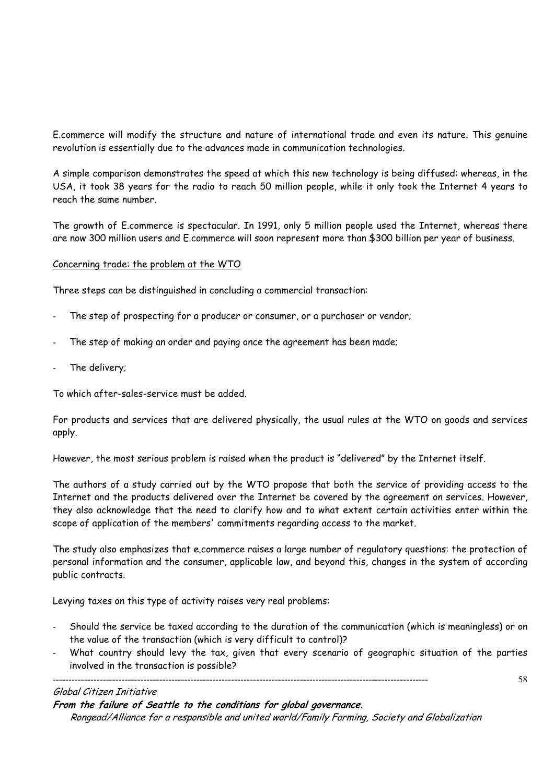E.commerce will modify the structure and nature of international trade and even its nature. This genuine revolution is essentially due to the advances made in communication technologies.

A simple comparison demonstrates the speed at which this new technology is being diffused: whereas, in the USA, it took 38 years for the radio to reach 50 million people, while it only took the Internet 4 years to reach the same number.

The growth of E.commerce is spectacular. In 1991, only 5 million people used the Internet, whereas there are now 300 million users and E.commerce will soon represent more than \$300 billion per year of business.

# Concerning trade: the problem at the WTO

Three steps can be distinguished in concluding a commercial transaction:

- The step of prospecting for a producer or consumer, or a purchaser or vendor;
- The step of making an order and paying once the agreement has been made;
- The delivery;

To which after-sales-service must be added.

For products and services that are delivered physically, the usual rules at the WTO on goods and services apply.

However, the most serious problem is raised when the product is "delivered" by the Internet itself.

The authors of a study carried out by the WTO propose that both the service of providing access to the Internet and the products delivered over the Internet be covered by the agreement on services. However, they also acknowledge that the need to clarify how and to what extent certain activities enter within the scope of application of the members' commitments regarding access to the market.

The study also emphasizes that e.commerce raises a large number of regulatory questions: the protection of personal information and the consumer, applicable law, and beyond this, changes in the system of according public contracts.

Levying taxes on this type of activity raises very real problems:

- Should the service be taxed according to the duration of the communication (which is meaningless) or on the value of the transaction (which is very difficult to control)?
- What country should levy the tax, given that every scenario of geographic situation of the parties involved in the transaction is possible?

58

#### Global Citizen Initiative

**From the failure of Seattle to the conditions for global governance**.

------------------------------------------------------------------------------------------------------------------------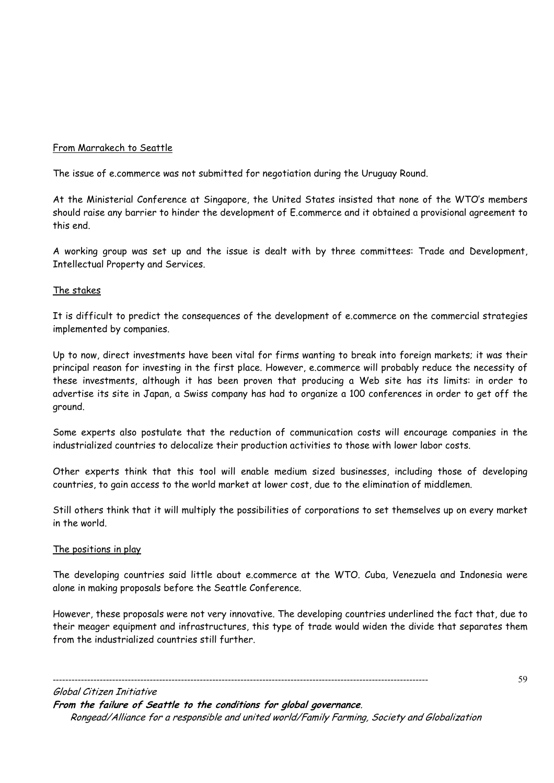# From Marrakech to Seattle

The issue of e.commerce was not submitted for negotiation during the Uruguay Round.

At the Ministerial Conference at Singapore, the United States insisted that none of the WTO's members should raise any barrier to hinder the development of E.commerce and it obtained a provisional agreement to this end.

A working group was set up and the issue is dealt with by three committees: Trade and Development, Intellectual Property and Services.

#### The stakes

It is difficult to predict the consequences of the development of e.commerce on the commercial strategies implemented by companies.

Up to now, direct investments have been vital for firms wanting to break into foreign markets; it was their principal reason for investing in the first place. However, e.commerce will probably reduce the necessity of these investments, although it has been proven that producing a Web site has its limits: in order to advertise its site in Japan, a Swiss company has had to organize a 100 conferences in order to get off the ground.

Some experts also postulate that the reduction of communication costs will encourage companies in the industrialized countries to delocalize their production activities to those with lower labor costs.

Other experts think that this tool will enable medium sized businesses, including those of developing countries, to gain access to the world market at lower cost, due to the elimination of middlemen.

Still others think that it will multiply the possibilities of corporations to set themselves up on every market in the world.

#### The positions in play

The developing countries said little about e.commerce at the WTO. Cuba, Venezuela and Indonesia were alone in making proposals before the Seattle Conference.

However, these proposals were not very innovative. The developing countries underlined the fact that, due to their meager equipment and infrastructures, this type of trade would widen the divide that separates them from the industrialized countries still further.

Global Citizen Initiative **From the failure of Seattle to the conditions for global governance**. Rongead/Alliance for a responsible and united world/Family Farming, Society and Globalization

------------------------------------------------------------------------------------------------------------------------

59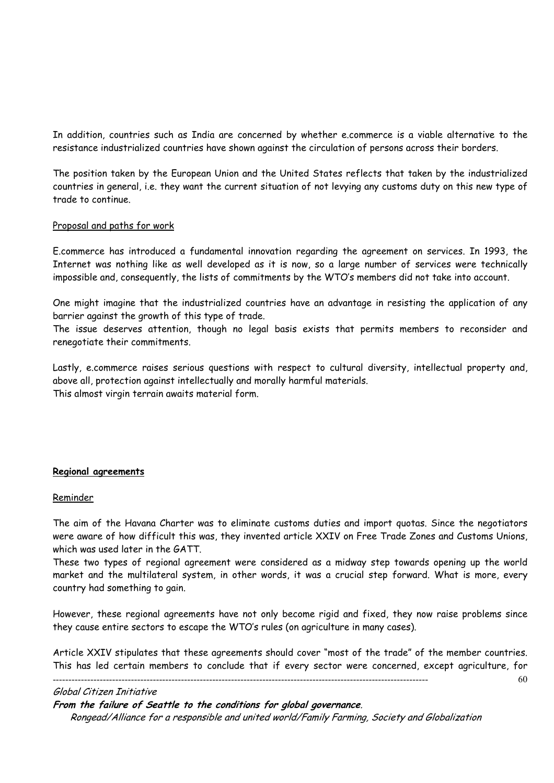In addition, countries such as India are concerned by whether e.commerce is a viable alternative to the resistance industrialized countries have shown against the circulation of persons across their borders.

The position taken by the European Union and the United States reflects that taken by the industrialized countries in general, i.e. they want the current situation of not levying any customs duty on this new type of trade to continue.

#### Proposal and paths for work

E.commerce has introduced a fundamental innovation regarding the agreement on services. In 1993, the Internet was nothing like as well developed as it is now, so a large number of services were technically impossible and, consequently, the lists of commitments by the WTO's members did not take into account.

One might imagine that the industrialized countries have an advantage in resisting the application of any barrier against the growth of this type of trade.

The issue deserves attention, though no legal basis exists that permits members to reconsider and renegotiate their commitments.

Lastly, e.commerce raises serious questions with respect to cultural diversity, intellectual property and, above all, protection against intellectually and morally harmful materials. This almost virgin terrain awaits material form.

#### **Regional agreements**

#### Reminder

The aim of the Havana Charter was to eliminate customs duties and import quotas. Since the negotiators were aware of how difficult this was, they invented article XXIV on Free Trade Zones and Customs Unions, which was used later in the GATT.

These two types of regional agreement were considered as a midway step towards opening up the world market and the multilateral system, in other words, it was a crucial step forward. What is more, every country had something to gain.

However, these regional agreements have not only become rigid and fixed, they now raise problems since they cause entire sectors to escape the WTO's rules (on agriculture in many cases).

------------------------------------------------------------------------------------------------------------------------ 60 Article XXIV stipulates that these agreements should cover "most of the trade" of the member countries. This has led certain members to conclude that if every sector were concerned, except agriculture, for

#### Global Citizen Initiative

**From the failure of Seattle to the conditions for global governance**.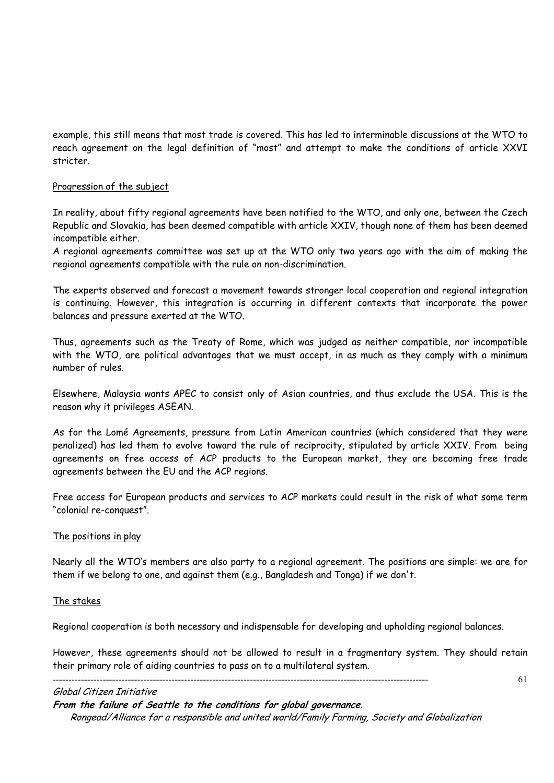example, this still means that most trade is covered. This has led to interminable discussions at the WTO to reach agreement on the legal definition of "most" and attempt to make the conditions of article XXVI stricter.

# Progression of the subject

In reality, about fifty regional agreements have been notified to the WTO, and only one, between the Czech Republic and Slovakia, has been deemed compatible with article XXIV, though none of them has been deemed incompatible either.

A regional agreements committee was set up at the WTO only two years ago with the aim of making the regional agreements compatible with the rule on non-discrimination.

The experts observed and forecast a movement towards stronger local cooperation and regional integration is continuing. However, this integration is occurring in different contexts that incorporate the power balances and pressure exerted at the WTO.

Thus, agreements such as the Treaty of Rome, which was judged as neither compatible, nor incompatible with the WTO, are political advantages that we must accept, in as much as they comply with a minimum number of rules.

Elsewhere, Malaysia wants APEC to consist only of Asian countries, and thus exclude the USA. This is the reason why it privileges ASEAN.

As for the Lomé Agreements, pressure from Latin American countries (which considered that they were penalized) has led them to evolve toward the rule of reciprocity, stipulated by article XXIV. From being agreements on free access of ACP products to the European market, they are becoming free trade agreements between the EU and the ACP regions.

Free access for European products and services to ACP markets could result in the risk of what some term "colonial re-conquest".

#### The positions in play

Nearly all the WTO's members are also party to a regional agreement. The positions are simple: we are for them if we belong to one, and against them (e.g., Bangladesh and Tonga) if we don't.

#### The stakes

Regional cooperation is both necessary and indispensable for developing and upholding regional balances.

However, these agreements should not be allowed to result in a fragmentary system. They should retain their primary role of aiding countries to pass on to a multilateral system.

61

#### Global Citizen Initiative

**From the failure of Seattle to the conditions for global governance**.

------------------------------------------------------------------------------------------------------------------------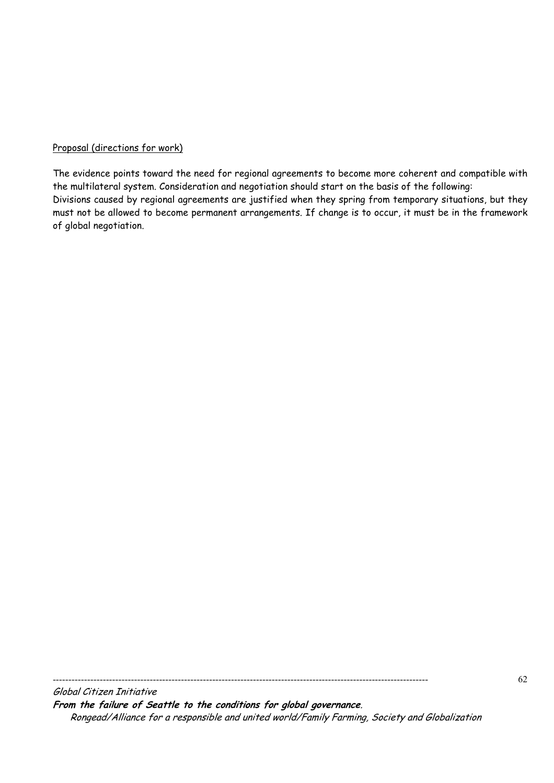# Proposal (directions for work)

The evidence points toward the need for regional agreements to become more coherent and compatible with the multilateral system. Consideration and negotiation should start on the basis of the following: Divisions caused by regional agreements are justified when they spring from temporary situations, but they must not be allowed to become permanent arrangements. If change is to occur, it must be in the framework of global negotiation.

Global Citizen Initiative **From the failure of Seattle to the conditions for global governance**. Rongead/Alliance for a responsible and united world/Family Farming, Society and Globalization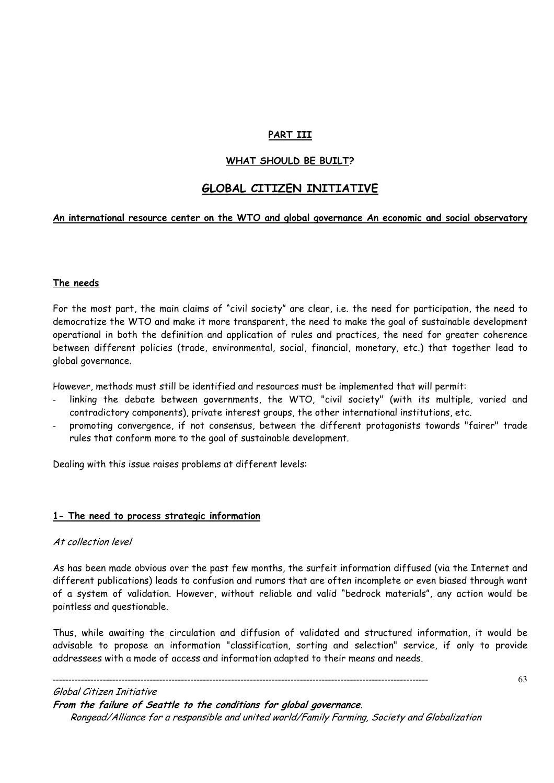# **PART III**

# **WHAT SHOULD BE BUILT?**

# **GLOBAL CITIZEN INITIATIVE**

#### **An international resource center on the WTO and global governance An economic and social observatory**

#### **The needs**

For the most part, the main claims of "civil society" are clear, i.e. the need for participation, the need to democratize the WTO and make it more transparent, the need to make the goal of sustainable development operational in both the definition and application of rules and practices, the need for greater coherence between different policies (trade, environmental, social, financial, monetary, etc.) that together lead to global governance.

However, methods must still be identified and resources must be implemented that will permit:

- linking the debate between governments, the WTO, "civil society" (with its multiple, varied and contradictory components), private interest groups, the other international institutions, etc.
- promoting convergence, if not consensus, between the different protagonists towards "fairer" trade rules that conform more to the goal of sustainable development.

Dealing with this issue raises problems at different levels:

#### **1- The need to process strategic information**

#### At collection level

As has been made obvious over the past few months, the surfeit information diffused (via the Internet and different publications) leads to confusion and rumors that are often incomplete or even biased through want of a system of validation. However, without reliable and valid "bedrock materials", any action would be pointless and questionable.

Thus, while awaiting the circulation and diffusion of validated and structured information, it would be advisable to propose an information "classification, sorting and selection" service, if only to provide addressees with a mode of access and information adapted to their means and needs.

Global Citizen Initiative

**From the failure of Seattle to the conditions for global governance**.

------------------------------------------------------------------------------------------------------------------------

Rongead/Alliance for a responsible and united world/Family Farming, Society and Globalization

63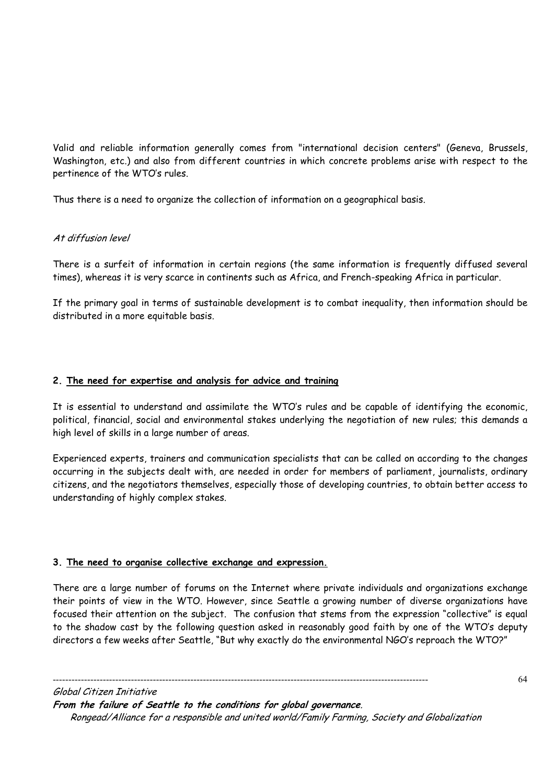Valid and reliable information generally comes from "international decision centers" (Geneva, Brussels, Washington, etc.) and also from different countries in which concrete problems arise with respect to the pertinence of the WTO's rules.

Thus there is a need to organize the collection of information on a geographical basis.

# At diffusion level

There is a surfeit of information in certain regions (the same information is frequently diffused several times), whereas it is very scarce in continents such as Africa, and French-speaking Africa in particular.

If the primary goal in terms of sustainable development is to combat inequality, then information should be distributed in a more equitable basis.

# **2. The need for expertise and analysis for advice and training**

It is essential to understand and assimilate the WTO's rules and be capable of identifying the economic, political, financial, social and environmental stakes underlying the negotiation of new rules; this demands a high level of skills in a large number of areas.

Experienced experts, trainers and communication specialists that can be called on according to the changes occurring in the subjects dealt with, are needed in order for members of parliament, journalists, ordinary citizens, and the negotiators themselves, especially those of developing countries, to obtain better access to understanding of highly complex stakes.

# **3. The need to organise collective exchange and expression.**

There are a large number of forums on the Internet where private individuals and organizations exchange their points of view in the WTO. However, since Seattle a growing number of diverse organizations have focused their attention on the subject. The confusion that stems from the expression "collective" is equal to the shadow cast by the following question asked in reasonably good faith by one of the WTO's deputy directors a few weeks after Seattle, "But why exactly do the environmental NGO's reproach the WTO?"

Global Citizen Initiative **From the failure of Seattle to the conditions for global governance**. Rongead/Alliance for a responsible and united world/Family Farming, Society and Globalization

------------------------------------------------------------------------------------------------------------------------

64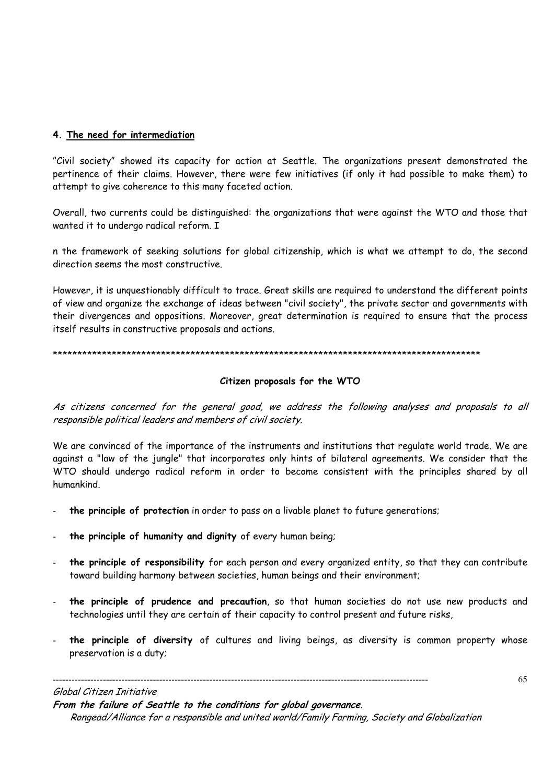# **4. The need for intermediation**

"Civil society" showed its capacity for action at Seattle. The organizations present demonstrated the pertinence of their claims. However, there were few initiatives (if only it had possible to make them) to attempt to give coherence to this many faceted action.

Overall, two currents could be distinguished: the organizations that were against the WTO and those that wanted it to undergo radical reform. I

n the framework of seeking solutions for global citizenship, which is what we attempt to do, the second direction seems the most constructive.

However, it is unquestionably difficult to trace. Great skills are required to understand the different points of view and organize the exchange of ideas between "civil society", the private sector and governments with their divergences and oppositions. Moreover, great determination is required to ensure that the process itself results in constructive proposals and actions.

#### \*\*\*\*\*\*\*\*\*\*\*\*\*\*\*\*\*\*\*\*\*\*\*\*\*\*\*\*\*\*\*\*\*\*\*\*\*\*\*\*\*\*\*\*\*\*\*\*\*\*\*\*\*\*\*\*\*\*\*\*\*\*\*\*\*\*\*\*\*\*\*\*\*\*\*\*\*\*\*\*\*\*\*\*\*\*\*

# **Citizen proposals for the WTO**

As citizens concerned for the general good, we address the following analyses and proposals to all responsible political leaders and members of civil society.

We are convinced of the importance of the instruments and institutions that regulate world trade. We are against a "law of the jungle" that incorporates only hints of bilateral agreements. We consider that the WTO should undergo radical reform in order to become consistent with the principles shared by all humankind.

- **the principle of protection** in order to pass on a livable planet to future generations;
- **the principle of humanity and dignity** of every human being;
- the principle of responsibility for each person and every organized entity, so that they can contribute toward building harmony between societies, human beings and their environment;
- **the principle of prudence and precaution**, so that human societies do not use new products and technologies until they are certain of their capacity to control present and future risks,
- the principle of diversity of cultures and living beings, as diversity is common property whose preservation is a duty;

#### Global Citizen Initiative

**From the failure of Seattle to the conditions for global governance**.

------------------------------------------------------------------------------------------------------------------------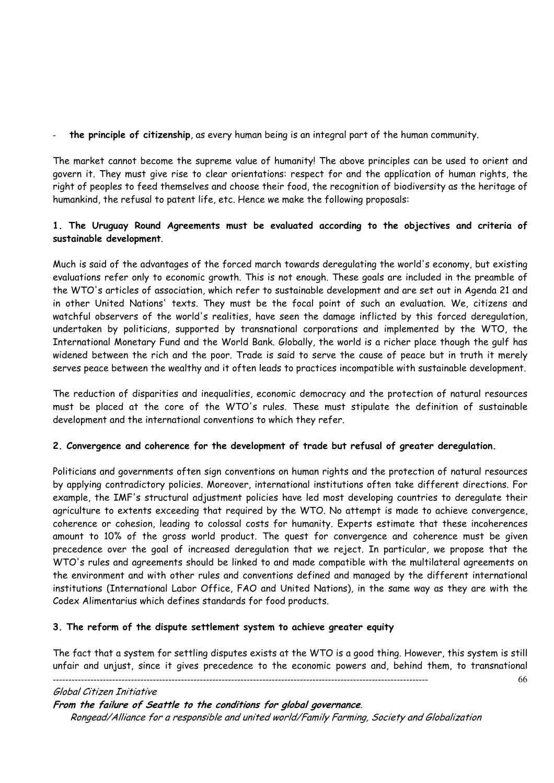- **the principle of citizenship**, as every human being is an integral part of the human community.

The market cannot become the supreme value of humanity! The above principles can be used to orient and govern it. They must give rise to clear orientations: respect for and the application of human rights, the right of peoples to feed themselves and choose their food, the recognition of biodiversity as the heritage of humankind, the refusal to patent life, etc. Hence we make the following proposals:

# **1. The Uruguay Round Agreements must be evaluated according to the objectives and criteria of sustainable development**.

Much is said of the advantages of the forced march towards deregulating the world's economy, but existing evaluations refer only to economic growth. This is not enough. These goals are included in the preamble of the WTO's articles of association, which refer to sustainable development and are set out in Agenda 21 and in other United Nations' texts. They must be the focal point of such an evaluation. We, citizens and watchful observers of the world's realities, have seen the damage inflicted by this forced deregulation, undertaken by politicians, supported by transnational corporations and implemented by the WTO, the International Monetary Fund and the World Bank. Globally, the world is a richer place though the gulf has widened between the rich and the poor. Trade is said to serve the cause of peace but in truth it merely serves peace between the wealthy and it often leads to practices incompatible with sustainable development.

The reduction of disparities and inequalities, economic democracy and the protection of natural resources must be placed at the core of the WTO's rules. These must stipulate the definition of sustainable development and the international conventions to which they refer.

# **2. Convergence and coherence for the development of trade but refusal of greater deregulation.**

Politicians and governments often sign conventions on human rights and the protection of natural resources by applying contradictory policies. Moreover, international institutions often take different directions. For example, the IMF's structural adjustment policies have led most developing countries to deregulate their agriculture to extents exceeding that required by the WTO. No attempt is made to achieve convergence, coherence or cohesion, leading to colossal costs for humanity. Experts estimate that these incoherences amount to 10% of the gross world product. The quest for convergence and coherence must be given precedence over the goal of increased deregulation that we reject. In particular, we propose that the WTO's rules and agreements should be linked to and made compatible with the multilateral agreements on the environment and with other rules and conventions defined and managed by the different international institutions (International Labor Office, FAO and United Nations), in the same way as they are with the Codex Alimentarius which defines standards for food products.

# **3. The reform of the dispute settlement system to achieve greater equity**

------------------------------------------------------------------------------------------------------------------------ 66 The fact that a system for settling disputes exists at the WTO is a good thing. However, this system is still unfair and unjust, since it gives precedence to the economic powers and, behind them, to transnational

Global Citizen Initiative

**From the failure of Seattle to the conditions for global governance**.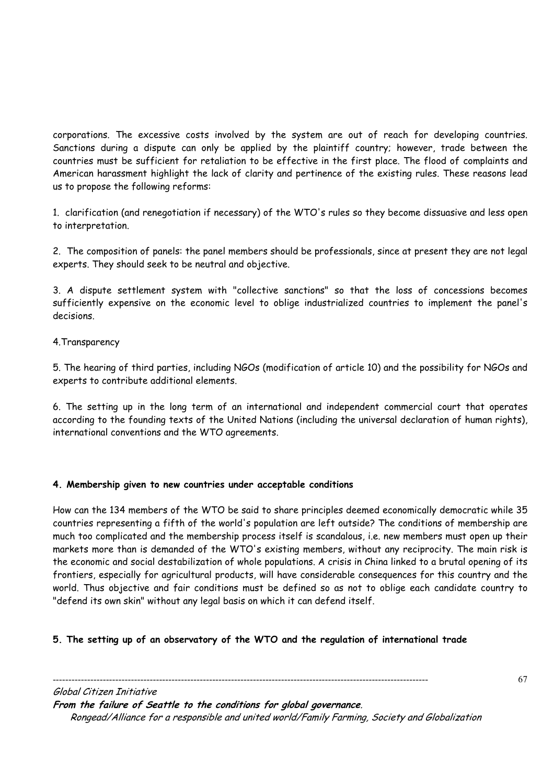corporations. The excessive costs involved by the system are out of reach for developing countries. Sanctions during a dispute can only be applied by the plaintiff country; however, trade between the countries must be sufficient for retaliation to be effective in the first place. The flood of complaints and American harassment highlight the lack of clarity and pertinence of the existing rules. These reasons lead us to propose the following reforms:

1. clarification (and renegotiation if necessary) of the WTO's rules so they become dissuasive and less open to interpretation.

2. The composition of panels: the panel members should be professionals, since at present they are not legal experts. They should seek to be neutral and objective.

3. A dispute settlement system with "collective sanctions" so that the loss of concessions becomes sufficiently expensive on the economic level to oblige industrialized countries to implement the panel's decisions.

# 4.Transparency

5. The hearing of third parties, including NGOs (modification of article 10) and the possibility for NGOs and experts to contribute additional elements.

6. The setting up in the long term of an international and independent commercial court that operates according to the founding texts of the United Nations (including the universal declaration of human rights), international conventions and the WTO agreements.

# **4. Membership given to new countries under acceptable conditions**

How can the 134 members of the WTO be said to share principles deemed economically democratic while 35 countries representing a fifth of the world's population are left outside? The conditions of membership are much too complicated and the membership process itself is scandalous, i.e. new members must open up their markets more than is demanded of the WTO's existing members, without any reciprocity. The main risk is the economic and social destabilization of whole populations. A crisis in China linked to a brutal opening of its frontiers, especially for agricultural products, will have considerable consequences for this country and the world. Thus objective and fair conditions must be defined so as not to oblige each candidate country to "defend its own skin" without any legal basis on which it can defend itself.

# **5. The setting up of an observatory of the WTO and the regulation of international trade**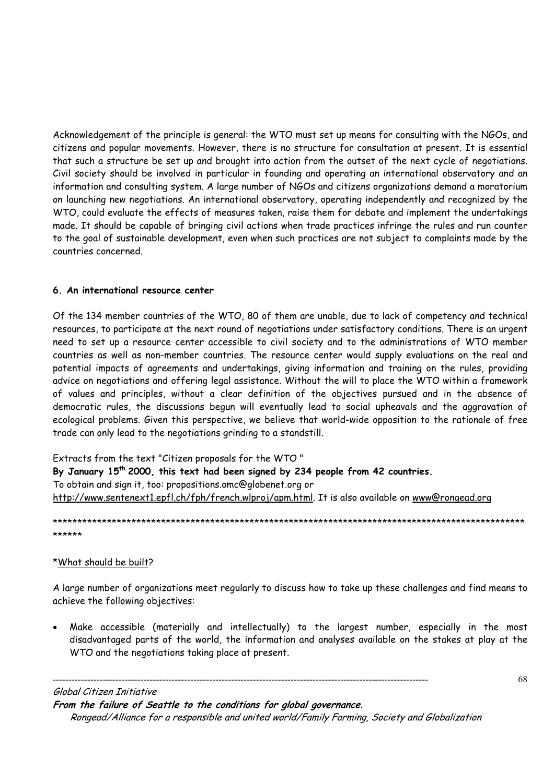Acknowledgement of the principle is general: the WTO must set up means for consulting with the NGOs, and citizens and popular movements. However, there is no structure for consultation at present. It is essential that such a structure be set up and brought into action from the outset of the next cycle of negotiations. Civil society should be involved in particular in founding and operating an international observatory and an information and consulting system. A large number of NGOs and citizens organizations demand a moratorium on launching new negotiations. An international observatory, operating independently and recognized by the WTO, could evaluate the effects of measures taken, raise them for debate and implement the undertakings made. It should be capable of bringing civil actions when trade practices infringe the rules and run counter to the goal of sustainable development, even when such practices are not subject to complaints made by the countries concerned.

# **6. An international resource center**

Of the 134 member countries of the WTO, 80 of them are unable, due to lack of competency and technical resources, to participate at the next round of negotiations under satisfactory conditions. There is an urgent need to set up a resource center accessible to civil society and to the administrations of WTO member countries as well as non-member countries. The resource center would supply evaluations on the real and potential impacts of agreements and undertakings, giving information and training on the rules, providing advice on negotiations and offering legal assistance. Without the will to place the WTO within a framework of values and principles, without a clear definition of the objectives pursued and in the absence of democratic rules, the discussions begun will eventually lead to social upheavals and the aggravation of ecological problems. Given this perspective, we believe that world-wide opposition to the rationale of free trade can only lead to the negotiations grinding to a standstill.

Extracts from the text "Citizen proposals for the WTO " **By January 15th 2000, this text had been signed by 234 people from 42 countries.**  To obtain and sign it, too: propositions.omc@globenet.org or http://www.sentenext1.epfl.ch/fph/french.wlproj/apm.html. It is also available on www@rongead.org

\*\*\*\*\*\*\*\*\*\*\*\*\*\*\*\*\*\*\*\*\*\*\*\*\*\*\*\*\*\*\*\*\*\*\*\*\*\*\*\*\*\*\*\*\*\*\*\*\*\*\*\*\*\*\*\*\*\*\*\*\*\*\*\*\*\*\*\*\*\*\*\*\*\*\*\*\*\*\*\*\*\*\*\*\*\*\*\*\*\*\*\*\*\*\*\* \*\*\*\*\*\*

# \*What should be built?

A large number of organizations meet regularly to discuss how to take up these challenges and find means to achieve the following objectives:

• Make accessible (materially and intellectually) to the largest number, especially in the most disadvantaged parts of the world, the information and analyses available on the stakes at play at the WTO and the negotiations taking place at present.

------------------------------------------------------------------------------------------------------------------------ Global Citizen Initiative

**From the failure of Seattle to the conditions for global governance**.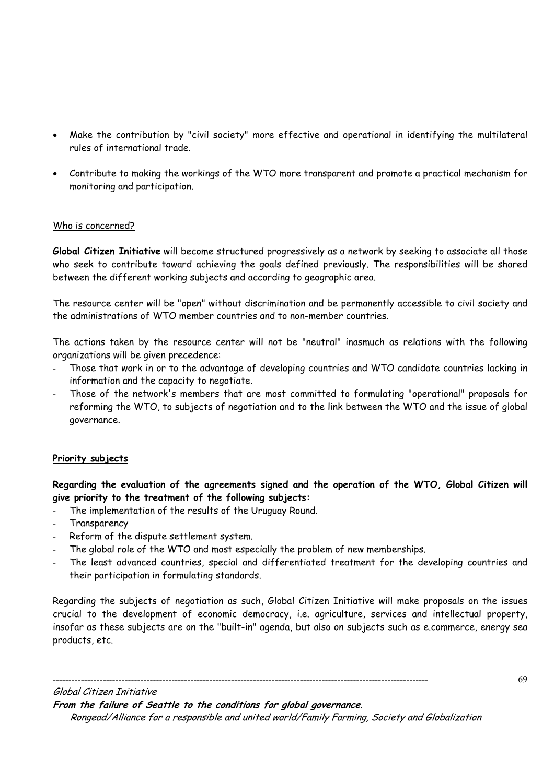- Make the contribution by "civil society" more effective and operational in identifying the multilateral rules of international trade.
- Contribute to making the workings of the WTO more transparent and promote a practical mechanism for monitoring and participation.

# Who is concerned?

**Global Citizen Initiative** will become structured progressively as a network by seeking to associate all those who seek to contribute toward achieving the goals defined previously. The responsibilities will be shared between the different working subjects and according to geographic area.

The resource center will be "open" without discrimination and be permanently accessible to civil society and the administrations of WTO member countries and to non-member countries.

The actions taken by the resource center will not be "neutral" inasmuch as relations with the following organizations will be given precedence:

- Those that work in or to the advantage of developing countries and WTO candidate countries lacking in information and the capacity to negotiate.
- Those of the network's members that are most committed to formulating "operational" proposals for reforming the WTO, to subjects of negotiation and to the link between the WTO and the issue of global governance.

# **Priority subjects**

**Regarding the evaluation of the agreements signed and the operation of the WTO, Global Citizen will give priority to the treatment of the following subjects:** 

- The implementation of the results of the Uruguay Round.
- Transparency
- Reform of the dispute settlement system.
- The global role of the WTO and most especially the problem of new memberships.
- The least advanced countries, special and differentiated treatment for the developing countries and their participation in formulating standards.

Regarding the subjects of negotiation as such, Global Citizen Initiative will make proposals on the issues crucial to the development of economic democracy, i.e. agriculture, services and intellectual property, insofar as these subjects are on the "built-in" agenda, but also on subjects such as e.commerce, energy sea products, etc.

Global Citizen Initiative **From the failure of Seattle to the conditions for global governance**.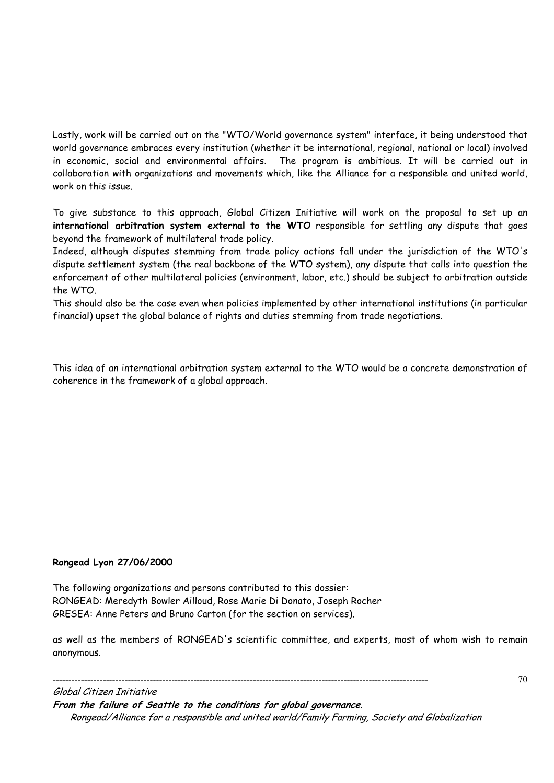Lastly, work will be carried out on the "WTO/World governance system" interface, it being understood that world governance embraces every institution (whether it be international, regional, national or local) involved in economic, social and environmental affairs. The program is ambitious. It will be carried out in collaboration with organizations and movements which, like the Alliance for a responsible and united world, work on this issue.

To give substance to this approach, Global Citizen Initiative will work on the proposal to set up an **international arbitration system external to the WTO** responsible for settling any dispute that goes beyond the framework of multilateral trade policy.

Indeed, although disputes stemming from trade policy actions fall under the jurisdiction of the WTO's dispute settlement system (the real backbone of the WTO system), any dispute that calls into question the enforcement of other multilateral policies (environment, labor, etc.) should be subject to arbitration outside the WTO.

This should also be the case even when policies implemented by other international institutions (in particular financial) upset the global balance of rights and duties stemming from trade negotiations.

This idea of an international arbitration system external to the WTO would be a concrete demonstration of coherence in the framework of a global approach.

# **Rongead Lyon 27/06/2000**

The following organizations and persons contributed to this dossier: RONGEAD: Meredyth Bowler Ailloud, Rose Marie Di Donato, Joseph Rocher GRESEA: Anne Peters and Bruno Carton (for the section on services).

as well as the members of RONGEAD's scientific committee, and experts, most of whom wish to remain anonymous.

------------------------------------------------------------------------------------------------------------------------ Global Citizen Initiative

**From the failure of Seattle to the conditions for global governance**. Rongead/Alliance for a responsible and united world/Family Farming, Society and Globalization